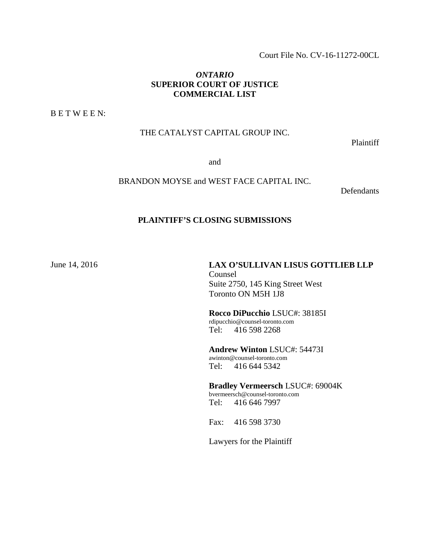Court File No. CV-16-11272-00CL

### *ONTARIO* **SUPERIOR COURT OF JUSTICE COMMERCIAL LIST**

B E T W E E N:

### THE CATALYST CAPITAL GROUP INC.

Plaintiff

and

### BRANDON MOYSE and WEST FACE CAPITAL INC.

**Defendants** 

#### **PLAINTIFF'S CLOSING SUBMISSIONS**

June 14, 2016 **LAX O'SULLIVAN LISUS GOTTLIEB LLP** Counsel Suite 2750, 145 King Street West Toronto ON M5H 1J8

> **Rocco DiPucchio** LSUC#: 38185I rdipucchio@counsel-toronto.com Tel: 416 598 2268

**Andrew Winton** LSUC#: 54473I awinton@counsel-toronto.com Tel: 416 644 5342

**Bradley Vermeersch** LSUC#: 69004K bvermeersch@counsel-toronto.com Tel: 416 646 7997

Fax: 416 598 3730

Lawyers for the Plaintiff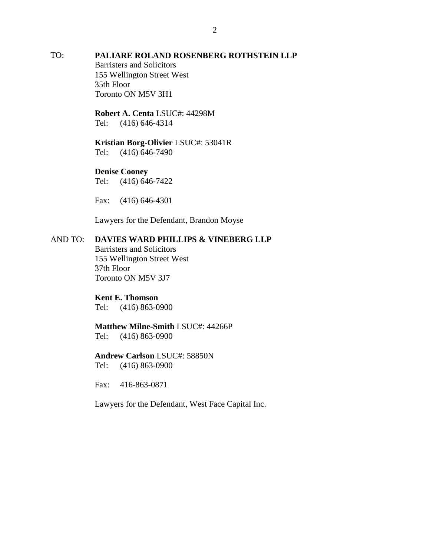## TO: **PALIARE ROLAND ROSENBERG ROTHSTEIN LLP**

Barristers and Solicitors 155 Wellington Street West 35th Floor Toronto ON M5V 3H1

**Robert A. Centa** LSUC#: 44298M Tel: (416) 646-4314

#### **Kristian Borg-Olivier** LSUC#: 53041R Tel: (416) 646-7490

### **Denise Cooney**

Tel: (416) 646-7422

Fax: (416) 646-4301

Lawyers for the Defendant, Brandon Moyse

### AND TO: **DAVIES WARD PHILLIPS & VINEBERG LLP**

Barristers and Solicitors 155 Wellington Street West 37th Floor Toronto ON M5V 3J7

### **Kent E. Thomson**

Tel: (416) 863-0900

# **Matthew Milne-Smith** LSUC#: 44266P

Tel: (416) 863-0900

## **Andrew Carlson** LSUC#: 58850N

Tel: (416) 863-0900

Fax: 416-863-0871

Lawyers for the Defendant, West Face Capital Inc.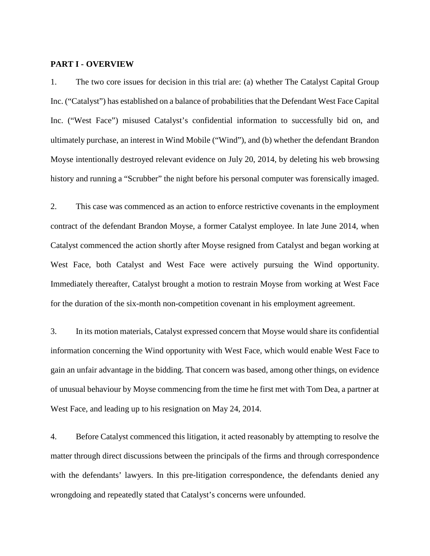#### **PART I - OVERVIEW**

1. The two core issues for decision in this trial are: (a) whether The Catalyst Capital Group Inc. ("Catalyst") has established on a balance of probabilities that the Defendant West Face Capital Inc. ("West Face") misused Catalyst's confidential information to successfully bid on, and ultimately purchase, an interest in Wind Mobile ("Wind"), and (b) whether the defendant Brandon Moyse intentionally destroyed relevant evidence on July 20, 2014, by deleting his web browsing history and running a "Scrubber" the night before his personal computer was forensically imaged.

2. This case was commenced as an action to enforce restrictive covenants in the employment contract of the defendant Brandon Moyse, a former Catalyst employee. In late June 2014, when Catalyst commenced the action shortly after Moyse resigned from Catalyst and began working at West Face, both Catalyst and West Face were actively pursuing the Wind opportunity. Immediately thereafter, Catalyst brought a motion to restrain Moyse from working at West Face for the duration of the six-month non-competition covenant in his employment agreement.

3. In its motion materials, Catalyst expressed concern that Moyse would share its confidential information concerning the Wind opportunity with West Face, which would enable West Face to gain an unfair advantage in the bidding. That concern was based, among other things, on evidence of unusual behaviour by Moyse commencing from the time he first met with Tom Dea, a partner at West Face, and leading up to his resignation on May 24, 2014.

4. Before Catalyst commenced this litigation, it acted reasonably by attempting to resolve the matter through direct discussions between the principals of the firms and through correspondence with the defendants' lawyers. In this pre-litigation correspondence, the defendants denied any wrongdoing and repeatedly stated that Catalyst's concerns were unfounded.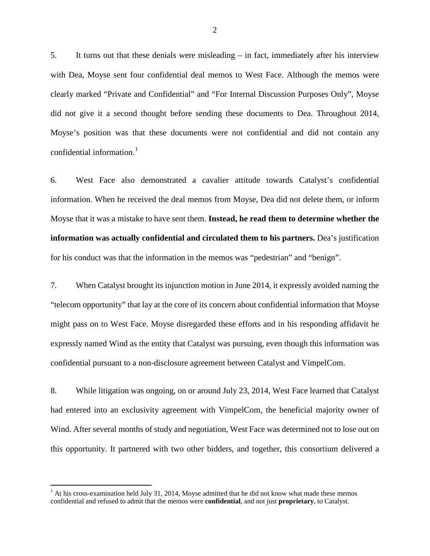5. It turns out that these denials were misleading – in fact, immediately after his interview with Dea, Moyse sent four confidential deal memos to West Face. Although the memos were clearly marked "Private and Confidential" and "For Internal Discussion Purposes Only", Moyse did not give it a second thought before sending these documents to Dea. Throughout 2014, Moyse's position was that these documents were not confidential and did not contain any confidential information.<sup>[1](#page-3-0)</sup>

6. West Face also demonstrated a cavalier attitude towards Catalyst's confidential information. When he received the deal memos from Moyse, Dea did not delete them, or inform Moyse that it was a mistake to have sent them. **Instead, he read them to determine whether the information was actually confidential and circulated them to his partners.** Dea's justification for his conduct was that the information in the memos was "pedestrian" and "benign".

7. When Catalyst brought its injunction motion in June 2014, it expressly avoided naming the "telecom opportunity" that lay at the core of its concern about confidential information that Moyse might pass on to West Face. Moyse disregarded these efforts and in his responding affidavit he expressly named Wind as the entity that Catalyst was pursuing, even though this information was confidential pursuant to a non-disclosure agreement between Catalyst and VimpelCom.

8. While litigation was ongoing, on or around July 23, 2014, West Face learned that Catalyst had entered into an exclusivity agreement with VimpelCom, the beneficial majority owner of Wind. After several months of study and negotiation, West Face was determined not to lose out on this opportunity. It partnered with two other bidders, and together, this consortium delivered a

<span id="page-3-0"></span> $<sup>1</sup>$  At his cross-examination held July 31, 2014, Moyse admitted that he did not know what made these memos</sup> confidential and refused to admit that the memos were **confidential**, and not just **proprietary**, to Catalyst.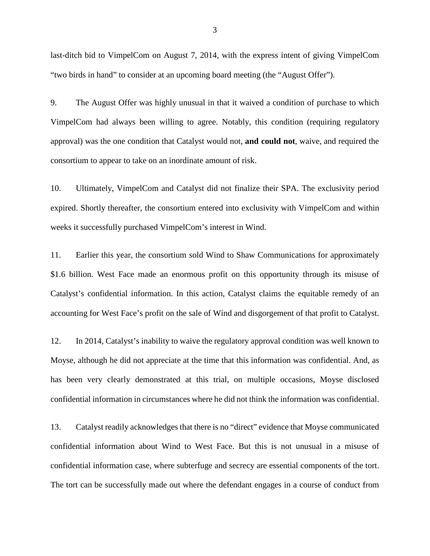last-ditch bid to VimpelCom on August 7, 2014, with the express intent of giving VimpelCom "two birds in hand" to consider at an upcoming board meeting (the "August Offer").

9. The August Offer was highly unusual in that it waived a condition of purchase to which VimpelCom had always been willing to agree. Notably, this condition (requiring regulatory approval) was the one condition that Catalyst would not, **and could not**, waive, and required the consortium to appear to take on an inordinate amount of risk.

10. Ultimately, VimpelCom and Catalyst did not finalize their SPA. The exclusivity period expired. Shortly thereafter, the consortium entered into exclusivity with VimpelCom and within weeks it successfully purchased VimpelCom's interest in Wind.

11. Earlier this year, the consortium sold Wind to Shaw Communications for approximately \$1.6 billion. West Face made an enormous profit on this opportunity through its misuse of Catalyst's confidential information. In this action, Catalyst claims the equitable remedy of an accounting for West Face's profit on the sale of Wind and disgorgement of that profit to Catalyst.

12. In 2014, Catalyst's inability to waive the regulatory approval condition was well known to Moyse, although he did not appreciate at the time that this information was confidential. And, as has been very clearly demonstrated at this trial, on multiple occasions, Moyse disclosed confidential information in circumstances where he did not think the information was confidential.

13. Catalyst readily acknowledges that there is no "direct" evidence that Moyse communicated confidential information about Wind to West Face. But this is not unusual in a misuse of confidential information case, where subterfuge and secrecy are essential components of the tort. The tort can be successfully made out where the defendant engages in a course of conduct from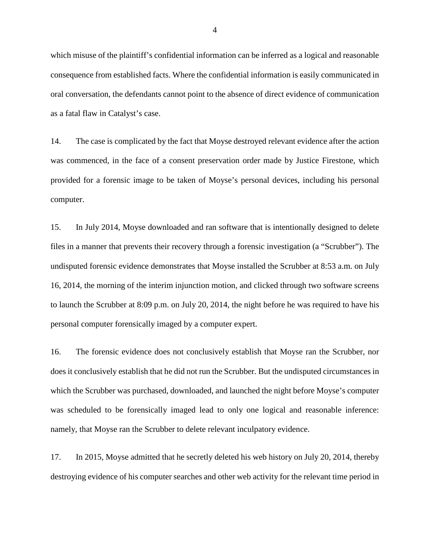which misuse of the plaintiff's confidential information can be inferred as a logical and reasonable consequence from established facts. Where the confidential information is easily communicated in oral conversation, the defendants cannot point to the absence of direct evidence of communication as a fatal flaw in Catalyst's case.

14. The case is complicated by the fact that Moyse destroyed relevant evidence after the action was commenced, in the face of a consent preservation order made by Justice Firestone, which provided for a forensic image to be taken of Moyse's personal devices, including his personal computer.

15. In July 2014, Moyse downloaded and ran software that is intentionally designed to delete files in a manner that prevents their recovery through a forensic investigation (a "Scrubber"). The undisputed forensic evidence demonstrates that Moyse installed the Scrubber at 8:53 a.m. on July 16, 2014, the morning of the interim injunction motion, and clicked through two software screens to launch the Scrubber at 8:09 p.m. on July 20, 2014, the night before he was required to have his personal computer forensically imaged by a computer expert.

16. The forensic evidence does not conclusively establish that Moyse ran the Scrubber, nor does it conclusively establish that he did not run the Scrubber. But the undisputed circumstances in which the Scrubber was purchased, downloaded, and launched the night before Moyse's computer was scheduled to be forensically imaged lead to only one logical and reasonable inference: namely, that Moyse ran the Scrubber to delete relevant inculpatory evidence.

17. In 2015, Moyse admitted that he secretly deleted his web history on July 20, 2014, thereby destroying evidence of his computer searches and other web activity for the relevant time period in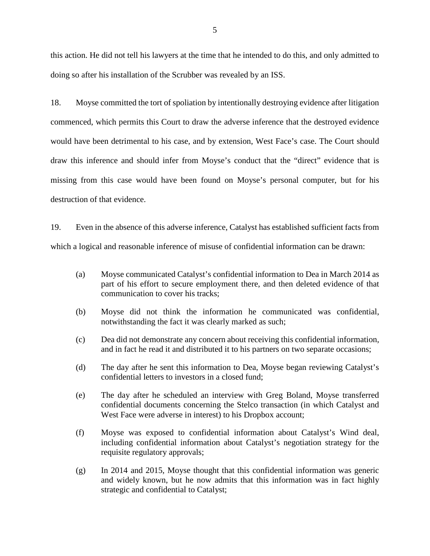this action. He did not tell his lawyers at the time that he intended to do this, and only admitted to doing so after his installation of the Scrubber was revealed by an ISS.

18. Moyse committed the tort of spoliation by intentionally destroying evidence after litigation commenced, which permits this Court to draw the adverse inference that the destroyed evidence would have been detrimental to his case, and by extension, West Face's case. The Court should draw this inference and should infer from Moyse's conduct that the "direct" evidence that is missing from this case would have been found on Moyse's personal computer, but for his destruction of that evidence.

19. Even in the absence of this adverse inference, Catalyst has established sufficient facts from which a logical and reasonable inference of misuse of confidential information can be drawn:

- (a) Moyse communicated Catalyst's confidential information to Dea in March 2014 as part of his effort to secure employment there, and then deleted evidence of that communication to cover his tracks;
- (b) Moyse did not think the information he communicated was confidential, notwithstanding the fact it was clearly marked as such;
- (c) Dea did not demonstrate any concern about receiving this confidential information, and in fact he read it and distributed it to his partners on two separate occasions;
- (d) The day after he sent this information to Dea, Moyse began reviewing Catalyst's confidential letters to investors in a closed fund;
- (e) The day after he scheduled an interview with Greg Boland, Moyse transferred confidential documents concerning the Stelco transaction (in which Catalyst and West Face were adverse in interest) to his Dropbox account;
- (f) Moyse was exposed to confidential information about Catalyst's Wind deal, including confidential information about Catalyst's negotiation strategy for the requisite regulatory approvals;
- (g) In 2014 and 2015, Moyse thought that this confidential information was generic and widely known, but he now admits that this information was in fact highly strategic and confidential to Catalyst;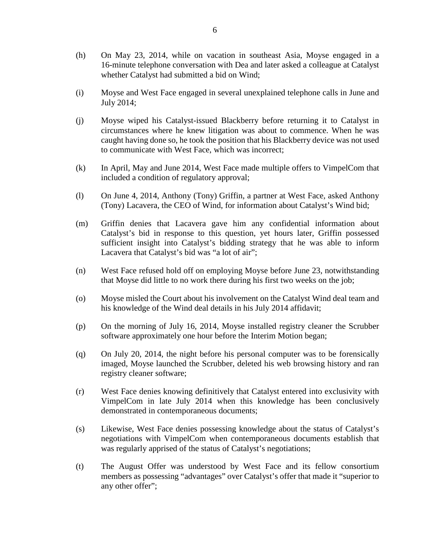- (h) On May 23, 2014, while on vacation in southeast Asia, Moyse engaged in a 16-minute telephone conversation with Dea and later asked a colleague at Catalyst whether Catalyst had submitted a bid on Wind;
- (i) Moyse and West Face engaged in several unexplained telephone calls in June and July 2014;
- (j) Moyse wiped his Catalyst-issued Blackberry before returning it to Catalyst in circumstances where he knew litigation was about to commence. When he was caught having done so, he took the position that his Blackberry device was not used to communicate with West Face, which was incorrect;
- (k) In April, May and June 2014, West Face made multiple offers to VimpelCom that included a condition of regulatory approval;
- (l) On June 4, 2014, Anthony (Tony) Griffin, a partner at West Face, asked Anthony (Tony) Lacavera, the CEO of Wind, for information about Catalyst's Wind bid;
- (m) Griffin denies that Lacavera gave him any confidential information about Catalyst's bid in response to this question, yet hours later, Griffin possessed sufficient insight into Catalyst's bidding strategy that he was able to inform Lacavera that Catalyst's bid was "a lot of air";
- (n) West Face refused hold off on employing Moyse before June 23, notwithstanding that Moyse did little to no work there during his first two weeks on the job;
- (o) Moyse misled the Court about his involvement on the Catalyst Wind deal team and his knowledge of the Wind deal details in his July 2014 affidavit;
- (p) On the morning of July 16, 2014, Moyse installed registry cleaner the Scrubber software approximately one hour before the Interim Motion began;
- (q) On July 20, 2014, the night before his personal computer was to be forensically imaged, Moyse launched the Scrubber, deleted his web browsing history and ran registry cleaner software;
- (r) West Face denies knowing definitively that Catalyst entered into exclusivity with VimpelCom in late July 2014 when this knowledge has been conclusively demonstrated in contemporaneous documents;
- (s) Likewise, West Face denies possessing knowledge about the status of Catalyst's negotiations with VimpelCom when contemporaneous documents establish that was regularly apprised of the status of Catalyst's negotiations;
- (t) The August Offer was understood by West Face and its fellow consortium members as possessing "advantages" over Catalyst's offer that made it "superior to any other offer";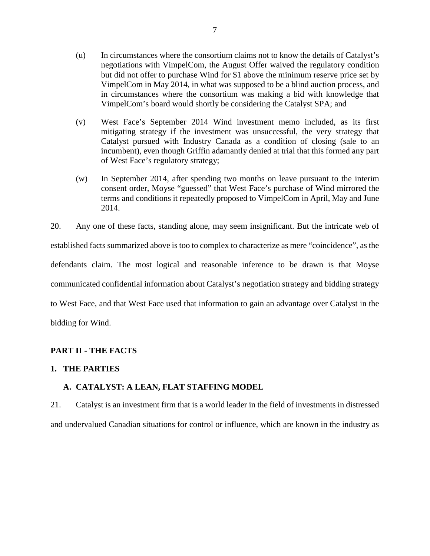- (u) In circumstances where the consortium claims not to know the details of Catalyst's negotiations with VimpelCom, the August Offer waived the regulatory condition but did not offer to purchase Wind for \$1 above the minimum reserve price set by VimpelCom in May 2014, in what was supposed to be a blind auction process, and in circumstances where the consortium was making a bid with knowledge that VimpelCom's board would shortly be considering the Catalyst SPA; and
- (v) West Face's September 2014 Wind investment memo included, as its first mitigating strategy if the investment was unsuccessful, the very strategy that Catalyst pursued with Industry Canada as a condition of closing (sale to an incumbent), even though Griffin adamantly denied at trial that this formed any part of West Face's regulatory strategy;
- (w) In September 2014, after spending two months on leave pursuant to the interim consent order, Moyse "guessed" that West Face's purchase of Wind mirrored the terms and conditions it repeatedly proposed to VimpelCom in April, May and June 2014.

20. Any one of these facts, standing alone, may seem insignificant. But the intricate web of established facts summarized above is too to complex to characterize as mere "coincidence", as the defendants claim. The most logical and reasonable inference to be drawn is that Moyse communicated confidential information about Catalyst's negotiation strategy and bidding strategy to West Face, and that West Face used that information to gain an advantage over Catalyst in the bidding for Wind.

# **PART II - THE FACTS**

### **1. THE PARTIES**

# **A. CATALYST: A LEAN, FLAT STAFFING MODEL**

21. Catalyst is an investment firm that is a world leader in the field of investments in distressed and undervalued Canadian situations for control or influence, which are known in the industry as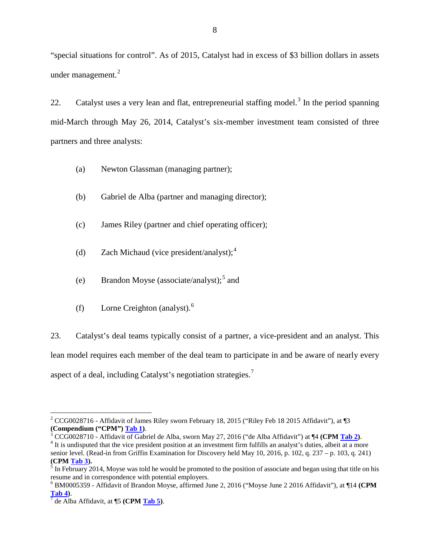"special situations for control". As of 2015, Catalyst had in excess of \$3 billion dollars in assets under management.<sup>[2](#page-9-0)</sup>

22. Catalyst uses a very lean and flat, entrepreneurial staffing model.<sup>[3](#page-9-1)</sup> In the period spanning mid-March through May 26, 2014, Catalyst's six-member investment team consisted of three partners and three analysts:

- (a) Newton Glassman (managing partner);
- (b) Gabriel de Alba (partner and managing director);
- (c) James Riley (partner and chief operating officer);
- (d) Zach Michaud (vice president/analyst);  $4^4$  $4^4$
- (e) Brandon Moyse (associate/analyst);<sup>[5](#page-9-3)</sup> and
- (f) Lorne Creighton (analyst). $<sup>6</sup>$  $<sup>6</sup>$  $<sup>6</sup>$ </sup>

23. Catalyst's deal teams typically consist of a partner, a vice-president and an analyst. This lean model requires each member of the deal team to participate in and be aware of nearly every aspect of a deal, including Catalyst's negotiation strategies.[7](#page-9-5)

<span id="page-9-0"></span><sup>&</sup>lt;sup>2</sup> CCG0028716 - Affidavit of James Riley sworn February 18, 2015 ("Riley Feb 18 2015 Affidavit"), at ¶3 (Compendium ("CPM") Tab 1).

<span id="page-9-1"></span><sup>&</sup>lt;sup>3</sup> CCG0028710 - Affidavit of Gabriel de Alba, sworn May 27, 2016 ("de Alba Affidavit") at  $\P$ 4 (CPM Tab 2).<br><sup>4</sup> It is undisputed that the vice president position at an investment firm fulfills an analyst's duties, albeit

<span id="page-9-2"></span>senior level. (Read-in from Griffin Examination for Discovery held May 10, 2016, p. 102, q. 237 – p. 103, q. 241)

<span id="page-9-3"></span>**<sup>(</sup>CPM Tab 3).**<br><sup>5</sup> In February 2014, Moyse was told he would be promoted to the position of associate and began using that title on his

<span id="page-9-4"></span>resume and in correspondence with potential employers.<br><sup>6</sup> BM0005359 - Affidavit of Brandon Moyse, affirmed June 2, 2016 ("Moyse June 2 2016 Affidavit"), at ¶14 **(CPM Tab 4**).

<span id="page-9-5"></span>**Tab 4)**. <sup>7</sup> de Alba Affidavit, at ¶5 **(CPM Tab 5)**.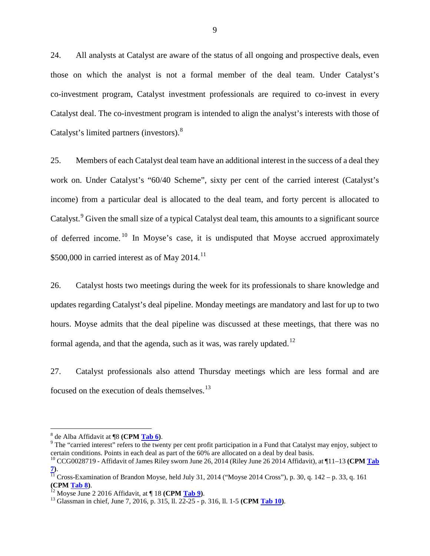24. All analysts at Catalyst are aware of the status of all ongoing and prospective deals, even those on which the analyst is not a formal member of the deal team. Under Catalyst's co-investment program, Catalyst investment professionals are required to co-invest in every Catalyst deal. The co-investment program is intended to align the analyst's interests with those of Catalyst's limited partners (investors).<sup>[8](#page-10-0)</sup>

25. Members of each Catalyst deal team have an additional interest in the success of a deal they work on. Under Catalyst's "60/40 Scheme", sixty per cent of the carried interest (Catalyst's income) from a particular deal is allocated to the deal team, and forty percent is allocated to Catalyst.<sup>[9](#page-10-1)</sup> Given the small size of a typical Catalyst deal team, this amounts to a significant source of deferred income. <sup>[10](#page-10-2)</sup> In Moyse's case, it is undisputed that Moyse accrued approximately \$500,000 in carried interest as of May  $2014$ .<sup>[11](#page-10-3)</sup>

26. Catalyst hosts two meetings during the week for its professionals to share knowledge and updates regarding Catalyst's deal pipeline. Monday meetings are mandatory and last for up to two hours. Moyse admits that the deal pipeline was discussed at these meetings, that there was no formal agenda, and that the agenda, such as it was, was rarely updated.<sup>[12](#page-10-4)</sup>

27. Catalyst professionals also attend Thursday meetings which are less formal and are focused on the execution of deals themselves.[13](#page-10-5)

<span id="page-10-1"></span><span id="page-10-0"></span><sup>&</sup>lt;sup>8</sup> de Alba Affidavit at ¶8 **(CPM <u>Tab 6</u>)**.<br><sup>9</sup> The "carried interest" refers to the twenty per cent profit participation in a Fund that Catalyst may enjoy, subject to certain conditions. Points in each deal as part of the 60% are allocated on a deal by deal basis.

<span id="page-10-2"></span><sup>10</sup> CCG0028719 - Affidavit of James Riley sworn June 26, 2014 (Riley June 26 2014 Affidavit), at ¶11–13 **(CPM Tab** 

<span id="page-10-3"></span>**<sup>7)</sup>**. <sup>11</sup> Cross-Examination of Brandon Moyse, held July 31, 2014 ("Moyse 2014 Cross"), p. 30, q. 142 – p. 33, q. 161 **(CPM <u>Tab 8</u>).**<br><sup>12</sup> Moyse June 2 2016 Affidavit, at ¶ 18 **(CPM <u>Tab 9</u>)**.<br><sup>13</sup> Glassman in chief, June 7, 2016, p. 315, ll. 22-25 - p. 316, ll. 1-5 **(CPM <u>Tab 10</u>)**.

<span id="page-10-4"></span>

<span id="page-10-5"></span>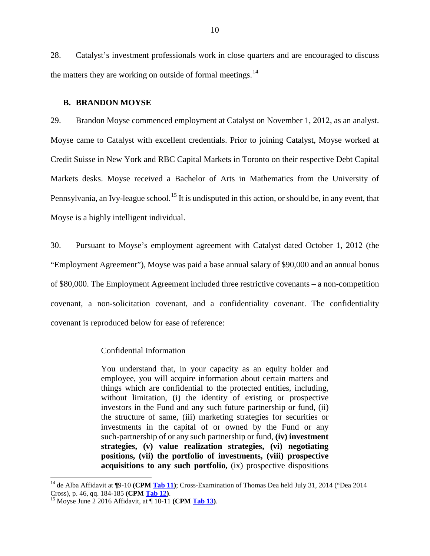28. Catalyst's investment professionals work in close quarters and are encouraged to discuss the matters they are working on outside of formal meetings. $^{14}$  $^{14}$  $^{14}$ 

#### **B. BRANDON MOYSE**

29. Brandon Moyse commenced employment at Catalyst on November 1, 2012, as an analyst. Moyse came to Catalyst with excellent credentials. Prior to joining Catalyst, Moyse worked at Credit Suisse in New York and RBC Capital Markets in Toronto on their respective Debt Capital Markets desks. Moyse received a Bachelor of Arts in Mathematics from the University of Pennsylvania, an Ivy-league school.<sup>[15](#page-11-1)</sup> It is undisputed in this action, or should be, in any event, that Moyse is a highly intelligent individual.

30. Pursuant to Moyse's employment agreement with Catalyst dated October 1, 2012 (the "Employment Agreement"), Moyse was paid a base annual salary of \$90,000 and an annual bonus of \$80,000. The Employment Agreement included three restrictive covenants – a non-competition covenant, a non-solicitation covenant, and a confidentiality covenant. The confidentiality covenant is reproduced below for ease of reference:

#### Confidential Information

You understand that, in your capacity as an equity holder and employee, you will acquire information about certain matters and things which are confidential to the protected entities, including, without limitation, (i) the identity of existing or prospective investors in the Fund and any such future partnership or fund, (ii) the structure of same, (iii) marketing strategies for securities or investments in the capital of or owned by the Fund or any such-partnership of or any such partnership or fund, **(iv) investment strategies, (v) value realization strategies, (vi) negotiating positions, (vii) the portfolio of investments, (viii) prospective acquisitions to any such portfolio,** (ix) prospective dispositions

<span id="page-11-0"></span><sup>&</sup>lt;sup>14</sup> de Alba Affidavit at ¶9-10 **(CPM <u>Tab 11</u>)**; Cross-Examination of Thomas Dea held July 31, 2014 ("Dea 2014 Cross), p. 46, qq. 184-185 **(CPM Tab 12)**.

<span id="page-11-1"></span><sup>&</sup>lt;sup>15</sup> Moyse June 2 2016 Affidavit, at ¶ 10-11 **(CPM <u>Tab 13</u>)**.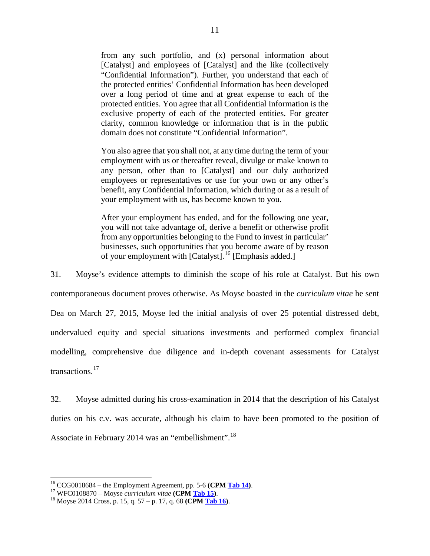from any such portfolio, and (x) personal information about [Catalyst] and employees of [Catalyst] and the like (collectively "Confidential Information"). Further, you understand that each of the protected entities' Confidential Information has been developed over a long period of time and at great expense to each of the protected entities. You agree that all Confidential Information is the exclusive property of each of the protected entities. For greater clarity, common knowledge or information that is in the public domain does not constitute "Confidential Information".

You also agree that you shall not, at any time during the term of your employment with us or thereafter reveal, divulge or make known to any person, other than to [Catalyst] and our duly authorized employees or representatives or use for your own or any other's benefit, any Confidential Information, which during or as a result of your employment with us, has become known to you.

After your employment has ended, and for the following one year, you will not take advantage of, derive a benefit or otherwise profit from any opportunities belonging to the Fund to invest in particular' businesses, such opportunities that you become aware of by reason of your employment with [Catalyst].[16](#page-12-0) [Emphasis added.]

31. Moyse's evidence attempts to diminish the scope of his role at Catalyst. But his own contemporaneous document proves otherwise. As Moyse boasted in the *curriculum vitae* he sent Dea on March 27, 2015, Moyse led the initial analysis of over 25 potential distressed debt, undervalued equity and special situations investments and performed complex financial modelling, comprehensive due diligence and in-depth covenant assessments for Catalyst transactions.[17](#page-12-1)

32. Moyse admitted during his cross-examination in 2014 that the description of his Catalyst duties on his c.v. was accurate, although his claim to have been promoted to the position of Associate in February 2014 was an "embellishment".<sup>[18](#page-12-2)</sup>

<span id="page-12-0"></span><sup>16</sup> CCG0018684 – the Employment Agreement, pp. 5-6 **(CPM Tab 14)**. 17 WFC0108870 – Moyse *curriculum vitae* **(CPM Tab 15)**. <sup>18</sup> Moyse 2014 Cross, p. 15, q. 57 – p. 17, q. 68 **(CPM Tab 16)**.

<span id="page-12-1"></span>

<span id="page-12-2"></span>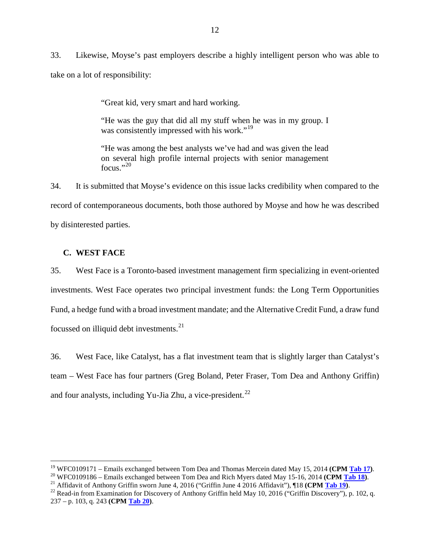33. Likewise, Moyse's past employers describe a highly intelligent person who was able to take on a lot of responsibility:

"Great kid, very smart and hard working.

"He was the guy that did all my stuff when he was in my group. I was consistently impressed with his work."<sup>[19](#page-13-0)</sup>

"He was among the best analysts we've had and was given the lead on several high profile internal projects with senior management  $f_{\Omega CUS}$  ",  $^{20}$  $^{20}$  $^{20}$ "

34. It is submitted that Moyse's evidence on this issue lacks credibility when compared to the record of contemporaneous documents, both those authored by Moyse and how he was described by disinterested parties.

### **C. WEST FACE**

35. West Face is a Toronto-based investment management firm specializing in event-oriented investments. West Face operates two principal investment funds: the Long Term Opportunities Fund, a hedge fund with a broad investment mandate; and the Alternative Credit Fund, a draw fund focussed on illiquid debt investments. $^{21}$  $^{21}$  $^{21}$ 

36. West Face, like Catalyst, has a flat investment team that is slightly larger than Catalyst's team – West Face has four partners (Greg Boland, Peter Fraser, Tom Dea and Anthony Griffin) and four analysts, including Yu-Jia Zhu, a vice-president.<sup>[22](#page-13-3)</sup>

<span id="page-13-1"></span>

<span id="page-13-0"></span><sup>&</sup>lt;sup>19</sup> WFC0109171 – Emails exchanged between Tom Dea and Thomas Mercein dated May 15, 2014 (CPM Tab 17).<br><sup>20</sup> WFC0109186 – Emails exchanged between Tom Dea and Rich Myers dated May 15-16, 2014 (CPM Tab 18).<br><sup>21</sup> Affidavit o

<span id="page-13-2"></span>

<span id="page-13-3"></span><sup>237 –</sup> p. 103, q. 243 **(CPM Tab 20)**.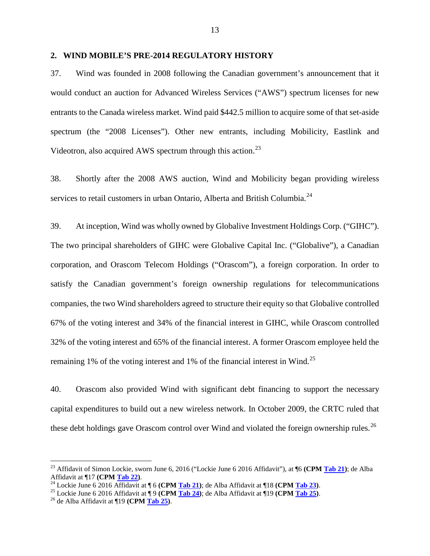#### **2. WIND MOBILE'S PRE-2014 REGULATORY HISTORY**

37. Wind was founded in 2008 following the Canadian government's announcement that it would conduct an auction for Advanced Wireless Services ("AWS") spectrum licenses for new entrants to the Canada wireless market. Wind paid \$442.5 million to acquire some of that set-aside spectrum (the "2008 Licenses"). Other new entrants, including Mobilicity, Eastlink and Videotron, also acquired AWS spectrum through this action.<sup>[23](#page-14-0)</sup>

38. Shortly after the 2008 AWS auction, Wind and Mobilicity began providing wireless services to retail customers in urban Ontario, Alberta and British Columbia.<sup>[24](#page-14-1)</sup>

39. At inception, Wind was wholly owned by Globalive Investment Holdings Corp. ("GIHC"). The two principal shareholders of GIHC were Globalive Capital Inc. ("Globalive"), a Canadian corporation, and Orascom Telecom Holdings ("Orascom"), a foreign corporation. In order to satisfy the Canadian government's foreign ownership regulations for telecommunications companies, the two Wind shareholders agreed to structure their equity so that Globalive controlled 67% of the voting interest and 34% of the financial interest in GIHC, while Orascom controlled 32% of the voting interest and 65% of the financial interest. A former Orascom employee held the remaining 1% of the voting interest and 1% of the financial interest in Wind.<sup>[25](#page-14-2)</sup>

40. Orascom also provided Wind with significant debt financing to support the necessary capital expenditures to build out a new wireless network. In October 2009, the CRTC ruled that these debt holdings gave Orascom control over Wind and violated the foreign ownership rules.<sup>[26](#page-14-3)</sup>

<span id="page-14-0"></span><sup>&</sup>lt;sup>23</sup> Affidavit of Simon Lockie, sworn June 6, 2016 ("Lockie June 6 2016 Affidavit"), at ¶6 (CPM Tab 21); de Alba Affidavit at ¶17 (CPM Tab 22).

<span id="page-14-2"></span><span id="page-14-1"></span><sup>&</sup>lt;sup>24</sup> Lockie June 6 2016 Affidavit at  $\parallel$  6 (CPM <u>Tab 21</u>); de Alba Affidavit at  $\parallel$ 18 (CPM <u>Tab 23</u>).<br><sup>25</sup> Lockie June 6 2016 Affidavit at  $\parallel$  9 (CPM <u>Tab 24</u>); de Alba Affidavit at  $\parallel$  19 (CPM <u>Tab 25</u>).<br><sup>26</sup> de Alba

<span id="page-14-3"></span>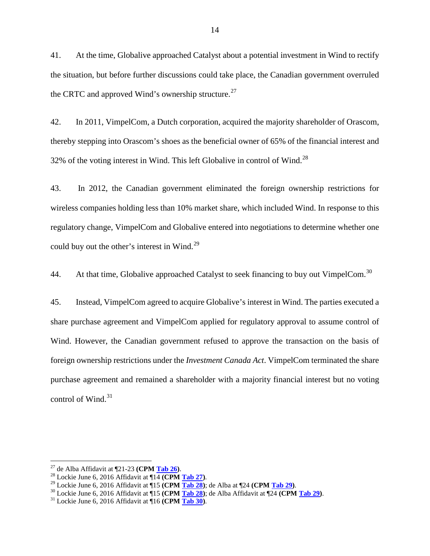41. At the time, Globalive approached Catalyst about a potential investment in Wind to rectify the situation, but before further discussions could take place, the Canadian government overruled the CRTC and approved Wind's ownership structure.<sup>[27](#page-15-0)</sup>

42. In 2011, VimpelCom, a Dutch corporation, acquired the majority shareholder of Orascom, thereby stepping into Orascom's shoes as the beneficial owner of 65% of the financial interest and 32% of the voting interest in Wind. This left Globalive in control of Wind.[28](#page-15-1)

43. In 2012, the Canadian government eliminated the foreign ownership restrictions for wireless companies holding less than 10% market share, which included Wind. In response to this regulatory change, VimpelCom and Globalive entered into negotiations to determine whether one could buy out the other's interest in Wind.<sup>[29](#page-15-2)</sup>

44. At that time, Globalive approached Catalyst to seek financing to buy out VimpelCom.<sup>[30](#page-15-3)</sup>

45. Instead, VimpelCom agreed to acquire Globalive's interest in Wind. The parties executed a share purchase agreement and VimpelCom applied for regulatory approval to assume control of Wind. However, the Canadian government refused to approve the transaction on the basis of foreign ownership restrictions under the *Investment Canada Act*. VimpelCom terminated the share purchase agreement and remained a shareholder with a majority financial interest but no voting control of Wind. [31](#page-15-4)

<span id="page-15-2"></span>

<span id="page-15-3"></span>

<span id="page-15-1"></span><span id="page-15-0"></span><sup>&</sup>lt;sup>27</sup> de Alba Affidavit at ¶21-23 (**CPM <u>Tab 26</u>)**.<br><sup>28</sup> Lockie June 6, 2016 Affidavit at ¶14 (**CPM <u>Tab 27</u>)**.<br><sup>29</sup> Lockie June 6, 2016 Affidavit at ¶15 (**CPM <u>Tab 28</u>**); de Alba at ¶24 (**CPM <u>Tab 29</u>)**.<br><sup>30</sup> Lockie June

<span id="page-15-4"></span>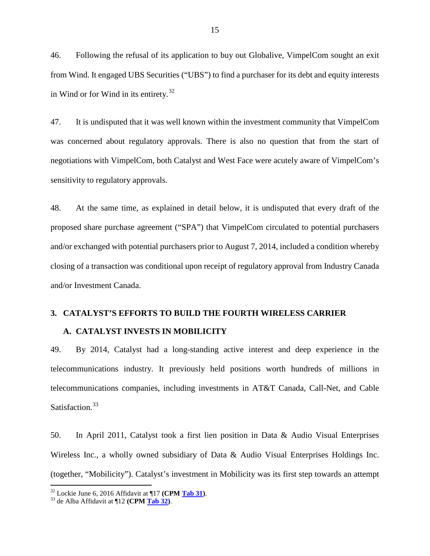46. Following the refusal of its application to buy out Globalive, VimpelCom sought an exit from Wind. It engaged UBS Securities ("UBS") to find a purchaser for its debt and equity interests in Wind or for Wind in its entirety.<sup>[32](#page-16-0)</sup>

47. It is undisputed that it was well known within the investment community that VimpelCom was concerned about regulatory approvals. There is also no question that from the start of negotiations with VimpelCom, both Catalyst and West Face were acutely aware of VimpelCom's sensitivity to regulatory approvals.

48. At the same time, as explained in detail below, it is undisputed that every draft of the proposed share purchase agreement ("SPA") that VimpelCom circulated to potential purchasers and/or exchanged with potential purchasers prior to August 7, 2014, included a condition whereby closing of a transaction was conditional upon receipt of regulatory approval from Industry Canada and/or Investment Canada.

#### **3. CATALYST'S EFFORTS TO BUILD THE FOURTH WIRELESS CARRIER**

#### **A. CATALYST INVESTS IN MOBILICITY**

49. By 2014, Catalyst had a long-standing active interest and deep experience in the telecommunications industry. It previously held positions worth hundreds of millions in telecommunications companies, including investments in AT&T Canada, Call-Net, and Cable Satisfaction.<sup>[33](#page-16-1)</sup>

50. In April 2011, Catalyst took a first lien position in Data & Audio Visual Enterprises Wireless Inc., a wholly owned subsidiary of Data & Audio Visual Enterprises Holdings Inc. (together, "Mobilicity"). Catalyst's investment in Mobilicity was its first step towards an attempt

<span id="page-16-0"></span><sup>32</sup> Lockie June 6, 2016 Affidavit at ¶17 **(CPM Tab 31)**. 33 de Alba Affidavit at ¶12 **(CPM Tab 32)**.

<span id="page-16-1"></span>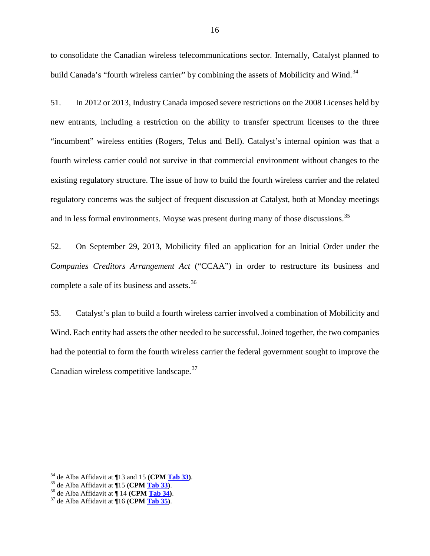to consolidate the Canadian wireless telecommunications sector. Internally, Catalyst planned to build Canada's "fourth wireless carrier" by combining the assets of Mobilicity and Wind.<sup>[34](#page-17-0)</sup>

51. In 2012 or 2013, Industry Canada imposed severe restrictions on the 2008 Licenses held by new entrants, including a restriction on the ability to transfer spectrum licenses to the three "incumbent" wireless entities (Rogers, Telus and Bell). Catalyst's internal opinion was that a fourth wireless carrier could not survive in that commercial environment without changes to the existing regulatory structure. The issue of how to build the fourth wireless carrier and the related regulatory concerns was the subject of frequent discussion at Catalyst, both at Monday meetings and in less formal environments. Moyse was present during many of those discussions.<sup>[35](#page-17-1)</sup>

52. On September 29, 2013, Mobilicity filed an application for an Initial Order under the *Companies Creditors Arrangement Act* ("CCAA") in order to restructure its business and complete a sale of its business and assets.<sup>[36](#page-17-2)</sup>

53. Catalyst's plan to build a fourth wireless carrier involved a combination of Mobilicity and Wind. Each entity had assets the other needed to be successful. Joined together, the two companies had the potential to form the fourth wireless carrier the federal government sought to improve the Canadian wireless competitive landscape.<sup>[37](#page-17-3)</sup>

<span id="page-17-0"></span><sup>&</sup>lt;sup>34</sup> de Alba Affidavit at ¶13 and 15 (**CPM <u>Tab 33</u>**).<br><sup>35</sup> de Alba Affidavit at ¶15 (**CPM <u>Tab 33</u>**).<br><sup>36</sup> de Alba Affidavit at ¶ 14 (**CPM <u>Tab 34</u>**).<br><sup>37</sup> de Alba Affidavit at ¶ 16 (**CPM Tab 35**).

<span id="page-17-1"></span>

<span id="page-17-3"></span><span id="page-17-2"></span>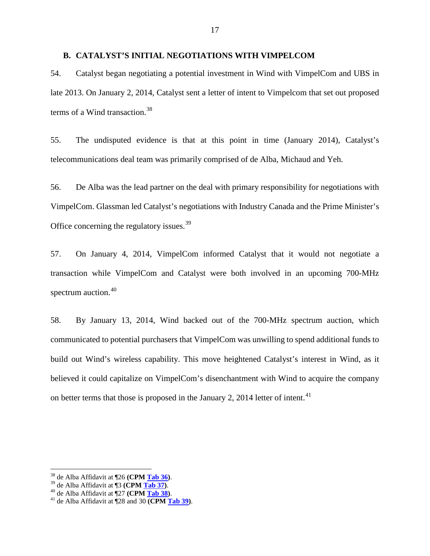### **B. CATALYST'S INITIAL NEGOTIATIONS WITH VIMPELCOM**

54. Catalyst began negotiating a potential investment in Wind with VimpelCom and UBS in late 2013. On January 2, 2014, Catalyst sent a letter of intent to Vimpelcom that set out proposed terms of a Wind transaction.<sup>[38](#page-18-0)</sup>

55. The undisputed evidence is that at this point in time (January 2014), Catalyst's telecommunications deal team was primarily comprised of de Alba, Michaud and Yeh.

56. De Alba was the lead partner on the deal with primary responsibility for negotiations with VimpelCom. Glassman led Catalyst's negotiations with Industry Canada and the Prime Minister's Office concerning the regulatory issues.<sup>[39](#page-18-1)</sup>

57. On January 4, 2014, VimpelCom informed Catalyst that it would not negotiate a transaction while VimpelCom and Catalyst were both involved in an upcoming 700-MHz spectrum auction.<sup>[40](#page-18-2)</sup>

58. By January 13, 2014, Wind backed out of the 700-MHz spectrum auction, which communicated to potential purchasers that VimpelCom was unwilling to spend additional funds to build out Wind's wireless capability. This move heightened Catalyst's interest in Wind, as it believed it could capitalize on VimpelCom's disenchantment with Wind to acquire the company on better terms that those is proposed in the January 2, 2014 letter of intent.<sup>[41](#page-18-3)</sup>

<span id="page-18-1"></span>

<span id="page-18-3"></span><span id="page-18-2"></span>

<span id="page-18-0"></span><sup>&</sup>lt;sup>38</sup> de Alba Affidavit at ¶26 **(CPM<u> Tab 36</u>)**.<br><sup>39</sup> de Alba Affidavit at ¶3 **(CPM <u>Tab 37</u>)**.<br><sup>40</sup> de Alba Affidavit at ¶28 and 30 **(CPM <u>Tab 39</u>)**.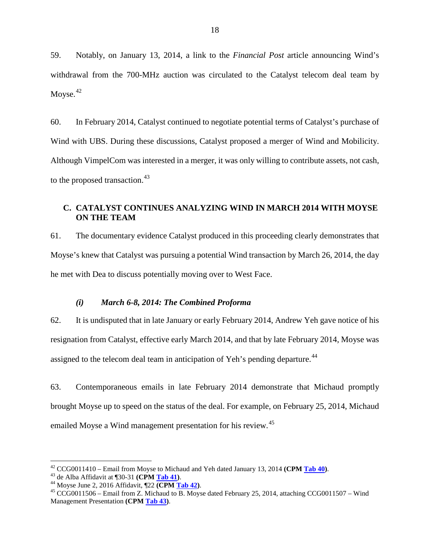59. Notably, on January 13, 2014, a link to the *Financial Post* article announcing Wind's withdrawal from the 700-MHz auction was circulated to the Catalyst telecom deal team by Moyse. $42$ 

60. In February 2014, Catalyst continued to negotiate potential terms of Catalyst's purchase of Wind with UBS. During these discussions, Catalyst proposed a merger of Wind and Mobilicity. Although VimpelCom was interested in a merger, it was only willing to contribute assets, not cash, to the proposed transaction.<sup>[43](#page-19-1)</sup>

## **C. CATALYST CONTINUES ANALYZING WIND IN MARCH 2014 WITH MOYSE ON THE TEAM**

61. The documentary evidence Catalyst produced in this proceeding clearly demonstrates that Moyse's knew that Catalyst was pursuing a potential Wind transaction by March 26, 2014, the day he met with Dea to discuss potentially moving over to West Face.

### *(i) March 6-8, 2014: The Combined Proforma*

62. It is undisputed that in late January or early February 2014, Andrew Yeh gave notice of his resignation from Catalyst, effective early March 2014, and that by late February 2014, Moyse was assigned to the telecom deal team in anticipation of Yeh's pending departure.<sup>[44](#page-19-2)</sup>

63. Contemporaneous emails in late February 2014 demonstrate that Michaud promptly brought Moyse up to speed on the status of the deal. For example, on February 25, 2014, Michaud emailed Moyse a Wind management presentation for his review.<sup>[45](#page-19-3)</sup>

<span id="page-19-1"></span>

<span id="page-19-3"></span><span id="page-19-2"></span>

<span id="page-19-0"></span><sup>&</sup>lt;sup>42</sup> CCG0011410 – Email from Moyse to Michaud and Yeh dated January 13, 2014 (CPM <u>Tab 40</u>).<br><sup>43</sup> de Alba Affidavit at ¶30-31 (CPM <u>Tab 41</u>).<br><sup>44</sup> Moyse June 2, 2016 Affidavit, ¶22 (CPM <u>Tab 42</u>).<br><sup>45</sup> CCG0011506 – Email Management Presentation **(CPM Tab 43)**.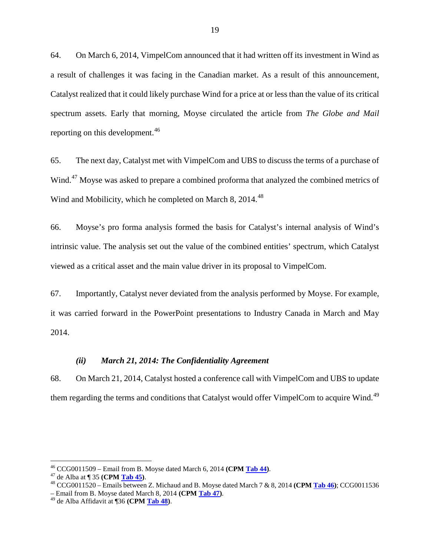64. On March 6, 2014, VimpelCom announced that it had written off its investment in Wind as a result of challenges it was facing in the Canadian market. As a result of this announcement, Catalyst realized that it could likely purchase Wind for a price at or less than the value of its critical spectrum assets. Early that morning, Moyse circulated the article from *The Globe and Mail* reporting on this development.<sup>[46](#page-20-0)</sup>

65. The next day, Catalyst met with VimpelCom and UBS to discuss the terms of a purchase of Wind.<sup>[47](#page-20-1)</sup> Moyse was asked to prepare a combined proforma that analyzed the combined metrics of Wind and Mobilicity, which he completed on March 8, 2014.<sup>[48](#page-20-2)</sup>

66. Moyse's pro forma analysis formed the basis for Catalyst's internal analysis of Wind's intrinsic value. The analysis set out the value of the combined entities' spectrum, which Catalyst viewed as a critical asset and the main value driver in its proposal to VimpelCom.

67. Importantly, Catalyst never deviated from the analysis performed by Moyse. For example, it was carried forward in the PowerPoint presentations to Industry Canada in March and May 2014.

### *(ii) March 21, 2014: The Confidentiality Agreement*

68. On March 21, 2014, Catalyst hosted a conference call with VimpelCom and UBS to update them regarding the terms and conditions that Catalyst would offer VimpelCom to acquire Wind.<sup>[49](#page-20-3)</sup>

<span id="page-20-2"></span><span id="page-20-1"></span>

<span id="page-20-0"></span><sup>&</sup>lt;sup>46</sup> CCG0011509 – Email from B. Moyse dated March 6, 2014 (CPM Tab 44).<br><sup>47</sup> de Alba at ¶ 35 (CPM Tab 45).<br><sup>48</sup> CCG0011520 – Emails between Z. Michaud and B. Moyse dated March 7 & 8, 2014 (CPM Tab 46); CCG0011536 – Email from B. Moyse dated March 8, 2014 **(CPM Tab 47)**. <sup>49</sup> de Alba Affidavit at ¶36 **(CPM Tab 48)**.

<span id="page-20-3"></span>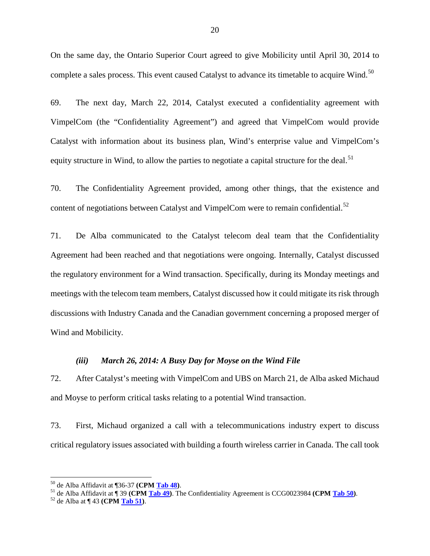On the same day, the Ontario Superior Court agreed to give Mobilicity until April 30, 2014 to complete a sales process. This event caused Catalyst to advance its timetable to acquire Wind.<sup>[50](#page-21-0)</sup>

69. The next day, March 22, 2014, Catalyst executed a confidentiality agreement with VimpelCom (the "Confidentiality Agreement") and agreed that VimpelCom would provide Catalyst with information about its business plan, Wind's enterprise value and VimpelCom's equity structure in Wind, to allow the parties to negotiate a capital structure for the deal.<sup>[51](#page-21-1)</sup>

70. The Confidentiality Agreement provided, among other things, that the existence and content of negotiations between Catalyst and VimpelCom were to remain confidential.<sup>[52](#page-21-2)</sup>

71. De Alba communicated to the Catalyst telecom deal team that the Confidentiality Agreement had been reached and that negotiations were ongoing. Internally, Catalyst discussed the regulatory environment for a Wind transaction. Specifically, during its Monday meetings and meetings with the telecom team members, Catalyst discussed how it could mitigate its risk through discussions with Industry Canada and the Canadian government concerning a proposed merger of Wind and Mobilicity.

#### *(iii) March 26, 2014: A Busy Day for Moyse on the Wind File*

72. After Catalyst's meeting with VimpelCom and UBS on March 21, de Alba asked Michaud and Moyse to perform critical tasks relating to a potential Wind transaction.

73. First, Michaud organized a call with a telecommunications industry expert to discuss critical regulatory issues associated with building a fourth wireless carrier in Canada. The call took

<span id="page-21-1"></span><span id="page-21-0"></span><sup>&</sup>lt;sup>50</sup> de Alba Affidavit at ¶36-37 (CPM <u>Tab 48</u>).<br><sup>51</sup> de Alba Affidavit at ¶ 39 (CPM <u>Tab 49</u>). The Confidentiality Agreement is CCG0023984 (CPM <u>Tab 50</u>).<br><sup>52</sup> de Alba at ¶ 43 (CPM Tab 51).

<span id="page-21-2"></span>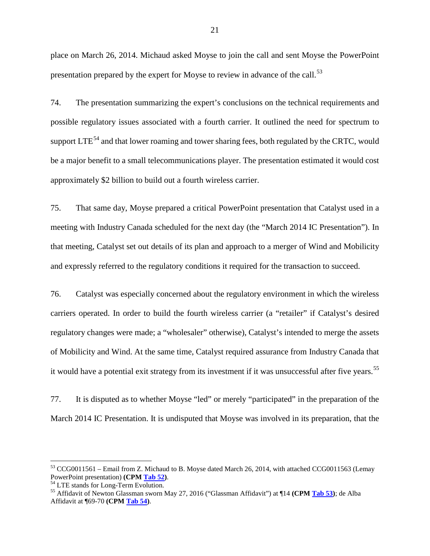place on March 26, 2014. Michaud asked Moyse to join the call and sent Moyse the PowerPoint presentation prepared by the expert for Moyse to review in advance of the call.<sup>[53](#page-22-0)</sup>

74. The presentation summarizing the expert's conclusions on the technical requirements and possible regulatory issues associated with a fourth carrier. It outlined the need for spectrum to support  $LTE^{54}$  $LTE^{54}$  $LTE^{54}$  and that lower roaming and tower sharing fees, both regulated by the CRTC, would be a major benefit to a small telecommunications player. The presentation estimated it would cost approximately \$2 billion to build out a fourth wireless carrier.

75. That same day, Moyse prepared a critical PowerPoint presentation that Catalyst used in a meeting with Industry Canada scheduled for the next day (the "March 2014 IC Presentation"). In that meeting, Catalyst set out details of its plan and approach to a merger of Wind and Mobilicity and expressly referred to the regulatory conditions it required for the transaction to succeed.

76. Catalyst was especially concerned about the regulatory environment in which the wireless carriers operated. In order to build the fourth wireless carrier (a "retailer" if Catalyst's desired regulatory changes were made; a "wholesaler" otherwise), Catalyst's intended to merge the assets of Mobilicity and Wind. At the same time, Catalyst required assurance from Industry Canada that it would have a potential exit strategy from its investment if it was unsuccessful after five years.<sup>[55](#page-22-2)</sup>

77. It is disputed as to whether Moyse "led" or merely "participated" in the preparation of the March 2014 IC Presentation. It is undisputed that Moyse was involved in its preparation, that the

<span id="page-22-0"></span><sup>&</sup>lt;sup>53</sup> CCG0011561 – Email from Z. Michaud to B. Moyse dated March 26, 2014, with attached CCG0011563 (Lemay PowerPoint presentation) (CPM Tab 52).

<span id="page-22-2"></span><span id="page-22-1"></span><sup>&</sup>lt;sup>54</sup> LTE stands for Long-Term Evolution.<br><sup>55</sup> Affidavit of Newton Glassman sworn May 27, 2016 ("Glassman Affidavit") at ¶14 **(CPM <u>Tab 53</u>)**; de Alba Affidavit at ¶69-70 **(CPM Tab 54)**.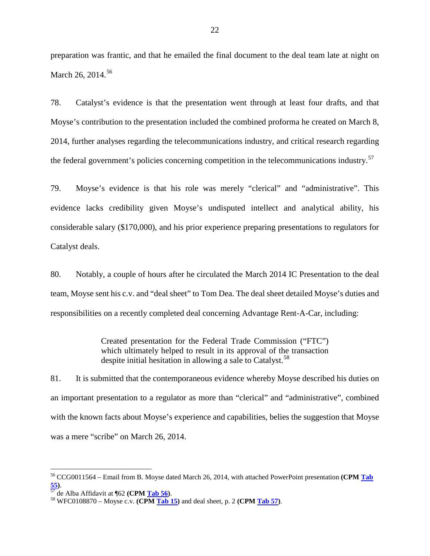preparation was frantic, and that he emailed the final document to the deal team late at night on March 26, 2014.<sup>[56](#page-23-0)</sup>

78. Catalyst's evidence is that the presentation went through at least four drafts, and that Moyse's contribution to the presentation included the combined proforma he created on March 8, 2014, further analyses regarding the telecommunications industry, and critical research regarding the federal government's policies concerning competition in the telecommunications industry.<sup>[57](#page-23-1)</sup>

79. Moyse's evidence is that his role was merely "clerical" and "administrative". This evidence lacks credibility given Moyse's undisputed intellect and analytical ability, his considerable salary (\$170,000), and his prior experience preparing presentations to regulators for Catalyst deals.

80. Notably, a couple of hours after he circulated the March 2014 IC Presentation to the deal team, Moyse sent his c.v. and "deal sheet" to Tom Dea. The deal sheet detailed Moyse's duties and responsibilities on a recently completed deal concerning Advantage Rent-A-Car, including:

> Created presentation for the Federal Trade Commission ("FTC") which ultimately helped to result in its approval of the transaction despite initial hesitation in allowing a sale to Catalyst.<sup>[58](#page-23-2)</sup>

81. It is submitted that the contemporaneous evidence whereby Moyse described his duties on an important presentation to a regulator as more than "clerical" and "administrative", combined with the known facts about Moyse's experience and capabilities, belies the suggestion that Moyse was a mere "scribe" on March 26, 2014.

<span id="page-23-0"></span> <sup>56</sup> CCG0011564 – Email from B. Moyse dated March 26, 2014, with attached PowerPoint presentation **(CPM Tab 55)**. <sup>57</sup> de Alba Affidavit at ¶62 **(CPM Tab 56)**. <sup>58</sup> WFC0108870 – Moyse c.v. **(CPM Tab 15)** and deal sheet, p. 2 **(CPM Tab 57)**.

<span id="page-23-1"></span>

<span id="page-23-2"></span>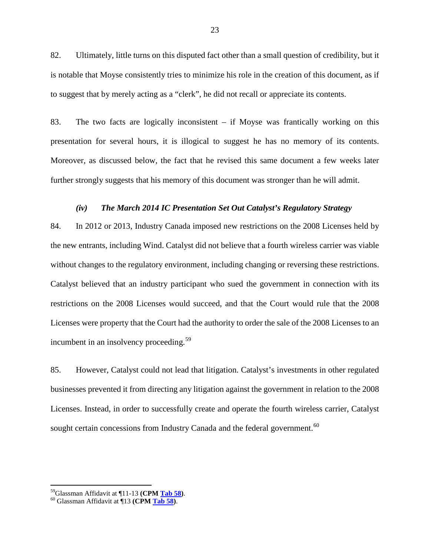82. Ultimately, little turns on this disputed fact other than a small question of credibility, but it is notable that Moyse consistently tries to minimize his role in the creation of this document, as if to suggest that by merely acting as a "clerk", he did not recall or appreciate its contents.

83. The two facts are logically inconsistent – if Moyse was frantically working on this presentation for several hours, it is illogical to suggest he has no memory of its contents. Moreover, as discussed below, the fact that he revised this same document a few weeks later further strongly suggests that his memory of this document was stronger than he will admit.

#### *(iv) The March 2014 IC Presentation Set Out Catalyst's Regulatory Strategy*

84. In 2012 or 2013, Industry Canada imposed new restrictions on the 2008 Licenses held by the new entrants, including Wind. Catalyst did not believe that a fourth wireless carrier was viable without changes to the regulatory environment, including changing or reversing these restrictions. Catalyst believed that an industry participant who sued the government in connection with its restrictions on the 2008 Licenses would succeed, and that the Court would rule that the 2008 Licenses were property that the Court had the authority to order the sale of the 2008 Licenses to an incumbent in an insolvency proceeding.<sup>[59](#page-24-0)</sup>

85. However, Catalyst could not lead that litigation. Catalyst's investments in other regulated businesses prevented it from directing any litigation against the government in relation to the 2008 Licenses. Instead, in order to successfully create and operate the fourth wireless carrier, Catalyst sought certain concessions from Industry Canada and the federal government.<sup>[60](#page-24-1)</sup>

<span id="page-24-1"></span><span id="page-24-0"></span> <sup>59</sup>Glassman Affidavit at ¶11-13 **(CPM Tab 58)**. <sup>60</sup> Glassman Affidavit at ¶13 **(CPM Tab 58)**.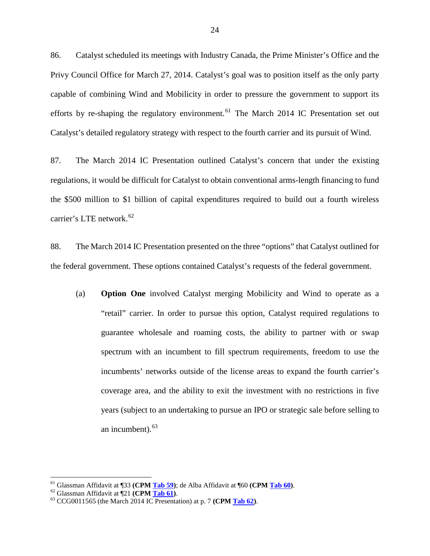86. Catalyst scheduled its meetings with Industry Canada, the Prime Minister's Office and the Privy Council Office for March 27, 2014. Catalyst's goal was to position itself as the only party capable of combining Wind and Mobilicity in order to pressure the government to support its efforts by re-shaping the regulatory environment.<sup>[61](#page-25-0)</sup> The March 2014 IC Presentation set out Catalyst's detailed regulatory strategy with respect to the fourth carrier and its pursuit of Wind.

87. The March 2014 IC Presentation outlined Catalyst's concern that under the existing regulations, it would be difficult for Catalyst to obtain conventional arms-length financing to fund the \$500 million to \$1 billion of capital expenditures required to build out a fourth wireless carrier's LTE network.<sup>[62](#page-25-1)</sup>

88. The March 2014 IC Presentation presented on the three "options" that Catalyst outlined for the federal government. These options contained Catalyst's requests of the federal government.

(a) **Option One** involved Catalyst merging Mobilicity and Wind to operate as a "retail" carrier. In order to pursue this option, Catalyst required regulations to guarantee wholesale and roaming costs, the ability to partner with or swap spectrum with an incumbent to fill spectrum requirements, freedom to use the incumbents' networks outside of the license areas to expand the fourth carrier's coverage area, and the ability to exit the investment with no restrictions in five years (subject to an undertaking to pursue an IPO or strategic sale before selling to an incumbent).<sup>[63](#page-25-2)</sup>

<span id="page-25-1"></span><span id="page-25-0"></span><sup>&</sup>lt;sup>61</sup> Glassman Affidavit at ¶33 (CPM <u>Tab 59</u>); de Alba Affidavit at ¶60 (CPM <u>Tab 60</u>).<br><sup>62</sup> Glassman Affidavit at ¶21 (CPM <u>Tab 61</u>).<br><sup>63</sup> CCG0011565 (the March 2014 IC Presentation) at p. 7 (CPM <u>Tab 62</u>).

<span id="page-25-2"></span>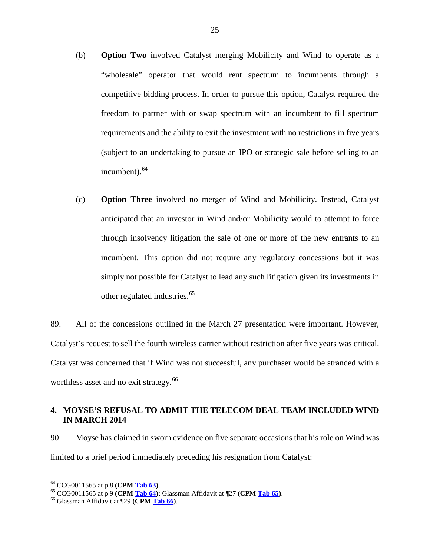- (b) **Option Two** involved Catalyst merging Mobilicity and Wind to operate as a "wholesale" operator that would rent spectrum to incumbents through a competitive bidding process. In order to pursue this option, Catalyst required the freedom to partner with or swap spectrum with an incumbent to fill spectrum requirements and the ability to exit the investment with no restrictions in five years (subject to an undertaking to pursue an IPO or strategic sale before selling to an incumbent).<sup>[64](#page-26-0)</sup>
- (c) **Option Three** involved no merger of Wind and Mobilicity. Instead, Catalyst anticipated that an investor in Wind and/or Mobilicity would to attempt to force through insolvency litigation the sale of one or more of the new entrants to an incumbent. This option did not require any regulatory concessions but it was simply not possible for Catalyst to lead any such litigation given its investments in other regulated industries.<sup>[65](#page-26-1)</sup>

89. All of the concessions outlined in the March 27 presentation were important. However, Catalyst's request to sell the fourth wireless carrier without restriction after five years was critical. Catalyst was concerned that if Wind was not successful, any purchaser would be stranded with a worthless asset and no exit strategy.<sup>[66](#page-26-2)</sup>

# **4. MOYSE'S REFUSAL TO ADMIT THE TELECOM DEAL TEAM INCLUDED WIND IN MARCH 2014**

90. Moyse has claimed in sworn evidence on five separate occasions that his role on Wind was limited to a brief period immediately preceding his resignation from Catalyst:

<span id="page-26-1"></span><span id="page-26-0"></span><sup>64</sup> CCG0011565 at p 8 **(CPM Tab 63)**. <sup>65</sup> CCG0011565 at p 9 **(CPM Tab 64)**; Glassman Affidavit at ¶27 **(CPM Tab 65)**. <sup>66</sup> Glassman Affidavit at ¶29 **(CPM Tab 66)**.

<span id="page-26-2"></span>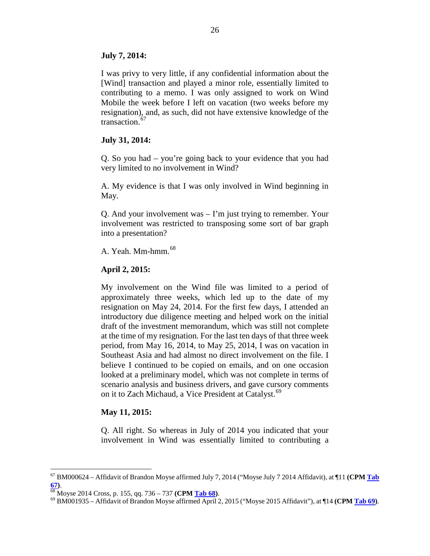### **July 7, 2014:**

I was privy to very little, if any confidential information about the [Wind] transaction and played a minor role, essentially limited to contributing to a memo. I was only assigned to work on Wind Mobile the week before I left on vacation (two weeks before my resignation), and, as such, did not have extensive knowledge of the transaction.<sup>[67](#page-27-0)</sup>

### **July 31, 2014:**

Q. So you had – you're going back to your evidence that you had very limited to no involvement in Wind?

A. My evidence is that I was only involved in Wind beginning in May.

Q. And your involvement was – I'm just trying to remember. Your involvement was restricted to transposing some sort of bar graph into a presentation?

A. Yeah. Mm-hmm.<sup>[68](#page-27-1)</sup>

# **April 2, 2015:**

My involvement on the Wind file was limited to a period of approximately three weeks, which led up to the date of my resignation on May 24, 2014. For the first few days, I attended an introductory due diligence meeting and helped work on the initial draft of the investment memorandum, which was still not complete at the time of my resignation. For the last ten days of that three week period, from May 16, 2014, to May 25, 2014, I was on vacation in Southeast Asia and had almost no direct involvement on the file. I believe I continued to be copied on emails, and on one occasion looked at a preliminary model, which was not complete in terms of scenario analysis and business drivers, and gave cursory comments on it to Zach Michaud, a Vice President at Catalyst.<sup>[69](#page-27-2)</sup>

# **May 11, 2015:**

Q. All right. So whereas in July of 2014 you indicated that your involvement in Wind was essentially limited to contributing a

<span id="page-27-0"></span> <sup>67</sup> BM000624 – Affidavit of Brandon Moyse affirmed July 7, 2014 ("Moyse July 7 2014 Affidavit), at ¶11 **(CPM Tab** 

<span id="page-27-2"></span><span id="page-27-1"></span>

**<sup>67)</sup>**. <sup>68</sup> Moyse 2014 Cross, p. 155, qq. 736 – <sup>737</sup>**(CPM Tab 68)**. <sup>69</sup> BM001935 – Affidavit of Brandon Moyse affirmed April 2, 2015 ("Moyse 2015 Affidavit"), at ¶14 **(CPM Tab 69)**.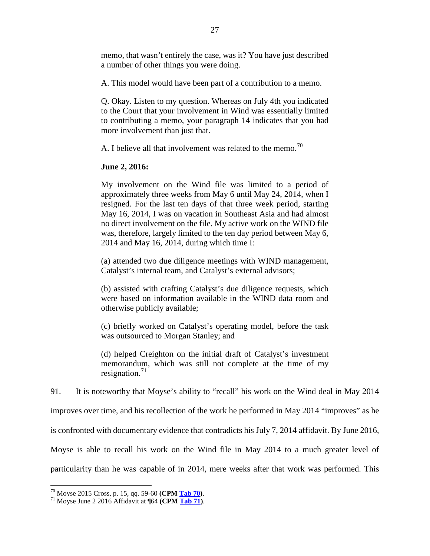memo, that wasn't entirely the case, was it? You have just described a number of other things you were doing.

A. This model would have been part of a contribution to a memo.

Q. Okay. Listen to my question. Whereas on July 4th you indicated to the Court that your involvement in Wind was essentially limited to contributing a memo, your paragraph 14 indicates that you had more involvement than just that.

A. I believe all that involvement was related to the memo.<sup>[70](#page-28-0)</sup>

### **June 2, 2016:**

My involvement on the Wind file was limited to a period of approximately three weeks from May 6 until May 24, 2014, when I resigned. For the last ten days of that three week period, starting May 16, 2014, I was on vacation in Southeast Asia and had almost no direct involvement on the file. My active work on the WIND file was, therefore, largely limited to the ten day period between May 6, 2014 and May 16, 2014, during which time I:

(a) attended two due diligence meetings with WIND management, Catalyst's internal team, and Catalyst's external advisors;

(b) assisted with crafting Catalyst's due diligence requests, which were based on information available in the WIND data room and otherwise publicly available;

(c) briefly worked on Catalyst's operating model, before the task was outsourced to Morgan Stanley; and

(d) helped Creighton on the initial draft of Catalyst's investment memorandum, which was still not complete at the time of my resignation.<sup>[71](#page-28-1)</sup>

91. It is noteworthy that Moyse's ability to "recall" his work on the Wind deal in May 2014 improves over time, and his recollection of the work he performed in May 2014 "improves" as he is confronted with documentary evidence that contradicts his July 7, 2014 affidavit. By June 2016, Moyse is able to recall his work on the Wind file in May 2014 to a much greater level of particularity than he was capable of in 2014, mere weeks after that work was performed. This

<span id="page-28-1"></span><span id="page-28-0"></span><sup>70</sup> Moyse 2015 Cross, p. 15, qq. 59-60 **(CPM Tab 70)**. <sup>71</sup> Moyse June 2 2016 Affidavit at ¶64 **(CPM Tab 71)**.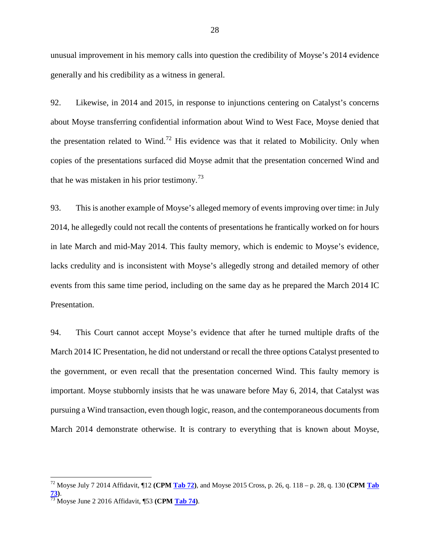unusual improvement in his memory calls into question the credibility of Moyse's 2014 evidence generally and his credibility as a witness in general.

92. Likewise, in 2014 and 2015, in response to injunctions centering on Catalyst's concerns about Moyse transferring confidential information about Wind to West Face, Moyse denied that the presentation related to Wind.<sup>[72](#page-29-0)</sup> His evidence was that it related to Mobilicity. Only when copies of the presentations surfaced did Moyse admit that the presentation concerned Wind and that he was mistaken in his prior testimony.<sup>[73](#page-29-1)</sup>

93. This is another example of Moyse's alleged memory of events improving over time: in July 2014, he allegedly could not recall the contents of presentations he frantically worked on for hours in late March and mid-May 2014. This faulty memory, which is endemic to Moyse's evidence, lacks credulity and is inconsistent with Moyse's allegedly strong and detailed memory of other events from this same time period, including on the same day as he prepared the March 2014 IC Presentation.

94. This Court cannot accept Moyse's evidence that after he turned multiple drafts of the March 2014 IC Presentation, he did not understand or recall the three options Catalyst presented to the government, or even recall that the presentation concerned Wind. This faulty memory is important. Moyse stubbornly insists that he was unaware before May 6, 2014, that Catalyst was pursuing a Wind transaction, even though logic, reason, and the contemporaneous documents from March 2014 demonstrate otherwise. It is contrary to everything that is known about Moyse,

<span id="page-29-0"></span> <sup>72</sup> Moyse July 7 2014 Affidavit, ¶12 **(CPM Tab 72)**, and Moyse 2015 Cross, p. 26, q. 118 – p. 28, q. 130 **(CPM Tab 73)**. <sup>73</sup> Moyse June 2 2016 Affidavit, ¶53 **(CPM Tab 74)**.

<span id="page-29-1"></span>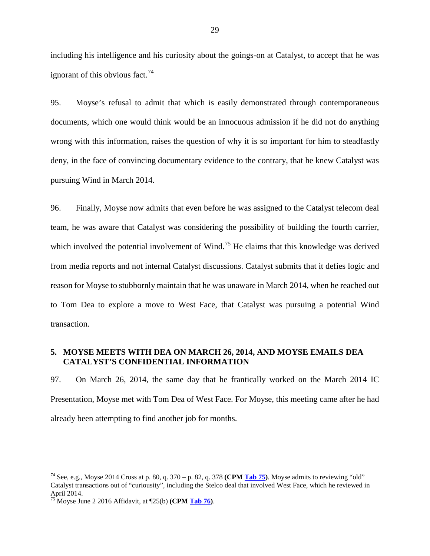including his intelligence and his curiosity about the goings-on at Catalyst, to accept that he was ignorant of this obvious fact.<sup>[74](#page-30-0)</sup>

95. Moyse's refusal to admit that which is easily demonstrated through contemporaneous documents, which one would think would be an innocuous admission if he did not do anything wrong with this information, raises the question of why it is so important for him to steadfastly deny, in the face of convincing documentary evidence to the contrary, that he knew Catalyst was pursuing Wind in March 2014.

96. Finally, Moyse now admits that even before he was assigned to the Catalyst telecom deal team, he was aware that Catalyst was considering the possibility of building the fourth carrier, which involved the potential involvement of Wind.<sup>[75](#page-30-1)</sup> He claims that this knowledge was derived from media reports and not internal Catalyst discussions. Catalyst submits that it defies logic and reason for Moyse to stubbornly maintain that he was unaware in March 2014, when he reached out to Tom Dea to explore a move to West Face, that Catalyst was pursuing a potential Wind transaction.

### **5. MOYSE MEETS WITH DEA ON MARCH 26, 2014, AND MOYSE EMAILS DEA CATALYST'S CONFIDENTIAL INFORMATION**

97. On March 26, 2014, the same day that he frantically worked on the March 2014 IC Presentation, Moyse met with Tom Dea of West Face. For Moyse, this meeting came after he had already been attempting to find another job for months.

<span id="page-30-0"></span> <sup>74</sup> See, e.g., Moyse 2014 Cross at p. 80, q. 370 – p. 82, q. 378 **(CPM Tab 75)**. Moyse admits to reviewing "old" Catalyst transactions out of "curiousity", including the Stelco deal that involved West Face, which he reviewed in April 2014.

<span id="page-30-1"></span><sup>75</sup> Moyse June 2 2016 Affidavit, at ¶25(b) **(CPM Tab 76)**.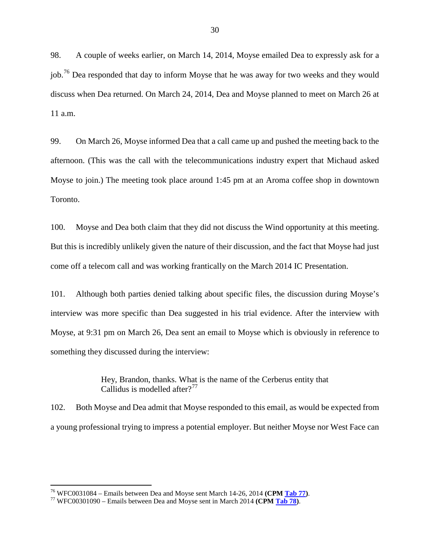98. A couple of weeks earlier, on March 14, 2014, Moyse emailed Dea to expressly ask for a job.<sup>[76](#page-31-0)</sup> Dea responded that day to inform Moyse that he was away for two weeks and they would discuss when Dea returned. On March 24, 2014, Dea and Moyse planned to meet on March 26 at 11 a.m.

99. On March 26, Moyse informed Dea that a call came up and pushed the meeting back to the afternoon. (This was the call with the telecommunications industry expert that Michaud asked Moyse to join.) The meeting took place around 1:45 pm at an Aroma coffee shop in downtown Toronto.

100. Moyse and Dea both claim that they did not discuss the Wind opportunity at this meeting. But this is incredibly unlikely given the nature of their discussion, and the fact that Moyse had just come off a telecom call and was working frantically on the March 2014 IC Presentation.

101. Although both parties denied talking about specific files, the discussion during Moyse's interview was more specific than Dea suggested in his trial evidence. After the interview with Moyse, at 9:31 pm on March 26, Dea sent an email to Moyse which is obviously in reference to something they discussed during the interview:

> Hey, Brandon, thanks. What is the name of the Cerberus entity that Callidus is modelled after $2^{77}$  $2^{77}$  $2^{77}$

102. Both Moyse and Dea admit that Moyse responded to this email, as would be expected from a young professional trying to impress a potential employer. But neither Moyse nor West Face can

<span id="page-31-0"></span><sup>76</sup> WFC0031084 – Emails between Dea and Moyse sent March 14-26, 2014 **(CPM Tab 77)**. <sup>77</sup> WFC00301090 – Emails between Dea and Moyse sent in March 2014 **(CPM Tab 78)**.

<span id="page-31-1"></span>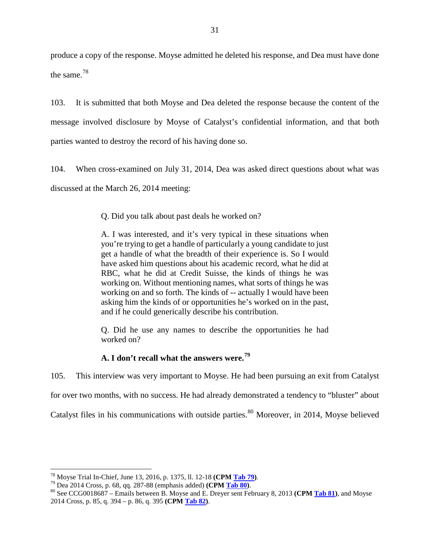produce a copy of the response. Moyse admitted he deleted his response, and Dea must have done the same.[78](#page-32-0)

103. It is submitted that both Moyse and Dea deleted the response because the content of the message involved disclosure by Moyse of Catalyst's confidential information, and that both parties wanted to destroy the record of his having done so.

104. When cross-examined on July 31, 2014, Dea was asked direct questions about what was discussed at the March 26, 2014 meeting:

Q. Did you talk about past deals he worked on?

A. I was interested, and it's very typical in these situations when you're trying to get a handle of particularly a young candidate to just get a handle of what the breadth of their experience is. So I would have asked him questions about his academic record, what he did at RBC, what he did at Credit Suisse, the kinds of things he was working on. Without mentioning names, what sorts of things he was working on and so forth. The kinds of -- actually I would have been asking him the kinds of or opportunities he's worked on in the past, and if he could generically describe his contribution.

Q. Did he use any names to describe the opportunities he had worked on?

# **A. I don't recall what the answers were.[79](#page-32-1)**

105. This interview was very important to Moyse. He had been pursuing an exit from Catalyst

for over two months, with no success. He had already demonstrated a tendency to "bluster" about

Catalyst files in his communications with outside parties.<sup>[80](#page-32-2)</sup> Moreover, in 2014, Moyse believed

<span id="page-32-2"></span><span id="page-32-1"></span>

<span id="page-32-0"></span><sup>&</sup>lt;sup>78</sup> Moyse Trial In-Chief, June 13, 2016, p. 1375, ll. 12-18 (CPM Tab 79).<br><sup>79</sup> Dea 2014 Cross, p. 68, qq. 287-88 (emphasis added) (CPM Tab 80).<br><sup>80</sup> See CCG0018687 – Emails between B. Moyse and E. Drever sent February 8, 2014 Cross, p. 85, q. 394 – p. 86, q. 395 **(CPM Tab 82)**.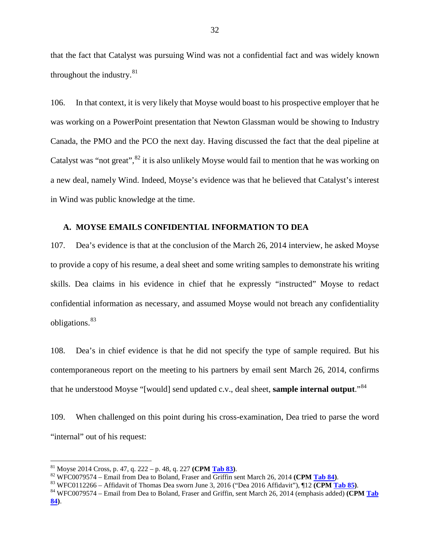that the fact that Catalyst was pursuing Wind was not a confidential fact and was widely known throughout the industry. $81$ 

106. In that context, it is very likely that Moyse would boast to his prospective employer that he was working on a PowerPoint presentation that Newton Glassman would be showing to Industry Canada, the PMO and the PCO the next day. Having discussed the fact that the deal pipeline at Catalyst was "not great",  ${}^{82}$  ${}^{82}$  ${}^{82}$  it is also unlikely Moyse would fail to mention that he was working on a new deal, namely Wind. Indeed, Moyse's evidence was that he believed that Catalyst's interest in Wind was public knowledge at the time.

### **A. MOYSE EMAILS CONFIDENTIAL INFORMATION TO DEA**

107. Dea's evidence is that at the conclusion of the March 26, 2014 interview, he asked Moyse to provide a copy of his resume, a deal sheet and some writing samples to demonstrate his writing skills. Dea claims in his evidence in chief that he expressly "instructed" Moyse to redact confidential information as necessary, and assumed Moyse would not breach any confidentiality obligations.<sup>[83](#page-33-2)</sup>

108. Dea's in chief evidence is that he did not specify the type of sample required. But his contemporaneous report on the meeting to his partners by email sent March 26, 2014, confirms that he understood Moyse "[would] send updated c.v., deal sheet, **sample internal output**."[84](#page-33-3)

109. When challenged on this point during his cross-examination, Dea tried to parse the word "internal" out of his request:

<span id="page-33-2"></span><span id="page-33-1"></span>

<span id="page-33-0"></span><sup>&</sup>lt;sup>81</sup> Moyse 2014 Cross, p. 47, q. 222 – p. 48, q. 227 (CPM Tab 83).<br><sup>82</sup> WFC0079574 – Email from Dea to Boland, Fraser and Griffin sent March 26, 2014 (CPM Tab 84).<br><sup>82</sup> WFC0079574 – Email from Dea to Boland, Fraser and Gr

<span id="page-33-3"></span>**<sup>84)</sup>**.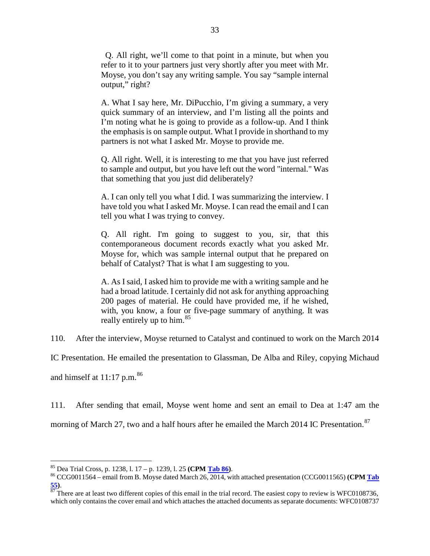Q. All right, we'll come to that point in a minute, but when you refer to it to your partners just very shortly after you meet with Mr. Moyse, you don't say any writing sample. You say "sample internal output," right?

A. What I say here, Mr. DiPucchio, I'm giving a summary, a very quick summary of an interview, and I'm listing all the points and I'm noting what he is going to provide as a follow-up. And I think the emphasis is on sample output. What I provide in shorthand to my partners is not what I asked Mr. Moyse to provide me.

Q. All right. Well, it is interesting to me that you have just referred to sample and output, but you have left out the word "internal." Was that something that you just did deliberately?

A. I can only tell you what I did. I was summarizing the interview. I have told you what I asked Mr. Moyse. I can read the email and I can tell you what I was trying to convey.

Q. All right. I'm going to suggest to you, sir, that this contemporaneous document records exactly what you asked Mr. Moyse for, which was sample internal output that he prepared on behalf of Catalyst? That is what I am suggesting to you.

A. As I said, I asked him to provide me with a writing sample and he had a broad latitude. I certainly did not ask for anything approaching 200 pages of material. He could have provided me, if he wished, with, you know, a four or five-page summary of anything. It was really entirely up to him.<sup>[85](#page-34-0)</sup>

110. After the interview, Moyse returned to Catalyst and continued to work on the March 2014

IC Presentation. He emailed the presentation to Glassman, De Alba and Riley, copying Michaud

and himself at  $11:17$  p.m.<sup>[86](#page-34-1)</sup>

111. After sending that email, Moyse went home and sent an email to Dea at 1:47 am the

morning of March 27, two and a half hours after he emailed the March 2014 IC Presentation.<sup>[87](#page-34-2)</sup>

<span id="page-34-0"></span><sup>85</sup> Dea Trial Cross, p. 1238, l. 17 – p. 1239, l. 25 **(CPM Tab 86)**. <sup>86</sup> CCG0011564 – email from B. Moyse dated March 26, 2014, with attached presentation (CCG0011565) **(CPM Tab** 

<span id="page-34-2"></span><span id="page-34-1"></span>**<sup>55</sup>**).<br><sup>87</sup> There are at least two different copies of this email in the trial record. The easiest copy to review is WFC0108736, which only contains the cover email and which attaches the attached documents as separate documents: WFC0108737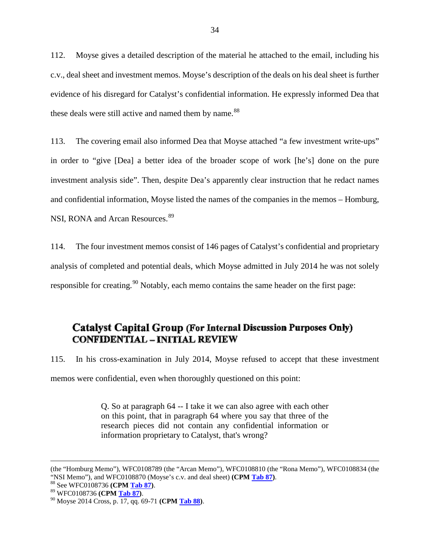112. Moyse gives a detailed description of the material he attached to the email, including his c.v., deal sheet and investment memos. Moyse's description of the deals on his deal sheet is further evidence of his disregard for Catalyst's confidential information. He expressly informed Dea that these deals were still active and named them by name.<sup>[88](#page-35-0)</sup>

113. The covering email also informed Dea that Moyse attached "a few investment write-ups" in order to "give [Dea] a better idea of the broader scope of work [he's] done on the pure investment analysis side". Then, despite Dea's apparently clear instruction that he redact names and confidential information, Moyse listed the names of the companies in the memos – Homburg, NSI, RONA and Arcan Resources.<sup>[89](#page-35-1)</sup>

114. The four investment memos consist of 146 pages of Catalyst's confidential and proprietary analysis of completed and potential deals, which Moyse admitted in July 2014 he was not solely responsible for creating.<sup>[90](#page-35-2)</sup> Notably, each memo contains the same header on the first page:

# **Catalyst Capital Group (For Internal Discussion Purposes Only)** *(v) Moyse's Inability to Identify Confidential Information (Part One)*

115. In his cross-examination in July 2014, Moyse refused to accept that these investment memos were confidential, even when thoroughly questioned on this point:

> Q. So at paragraph 64 -- I take it we can also agree with each other on this point, that in paragraph 64 where you say that three of the research pieces did not contain any confidential information or information proprietary to Catalyst, that's wrong?

 <sup>(</sup>the "Homburg Memo"), WFC0108789 (the "Arcan Memo"), WFC0108810 (the "Rona Memo"), WFC0108834 (the "NSI Memo"), and WFC0108870 (Moyse's c.v. and deal sheet) (CPM Tab 87).<br><sup>88</sup> See WFC0108736 (CPM Tab 87).<br><sup>89</sup> WFC0108736 (CPM Tab 87).<br><sup>90</sup> Moyse 2014 Cross, p. 17, qq. 69-71 (CPM Tab 88).

<span id="page-35-1"></span><span id="page-35-0"></span>

<span id="page-35-2"></span>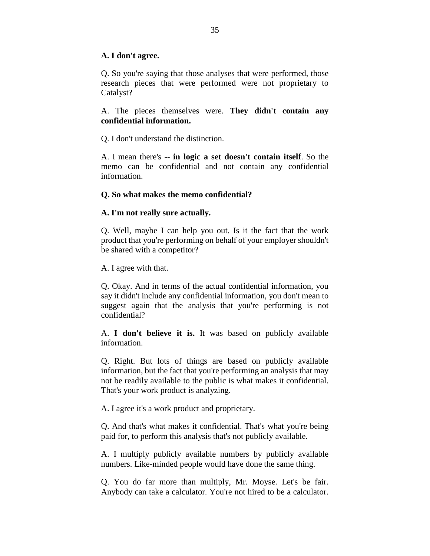## **A. I don't agree.**

Q. So you're saying that those analyses that were performed, those research pieces that were performed were not proprietary to Catalyst?

A. The pieces themselves were. **They didn't contain any confidential information.**

Q. I don't understand the distinction.

A. I mean there's -- **in logic a set doesn't contain itself**. So the memo can be confidential and not contain any confidential information.

## **Q. So what makes the memo confidential?**

## **A. I'm not really sure actually.**

Q. Well, maybe I can help you out. Is it the fact that the work product that you're performing on behalf of your employer shouldn't be shared with a competitor?

A. I agree with that.

Q. Okay. And in terms of the actual confidential information, you say it didn't include any confidential information, you don't mean to suggest again that the analysis that you're performing is not confidential?

A. **I don't believe it is.** It was based on publicly available information.

Q. Right. But lots of things are based on publicly available information, but the fact that you're performing an analysis that may not be readily available to the public is what makes it confidential. That's your work product is analyzing.

A. I agree it's a work product and proprietary.

Q. And that's what makes it confidential. That's what you're being paid for, to perform this analysis that's not publicly available.

A. I multiply publicly available numbers by publicly available numbers. Like-minded people would have done the same thing.

Q. You do far more than multiply, Mr. Moyse. Let's be fair. Anybody can take a calculator. You're not hired to be a calculator.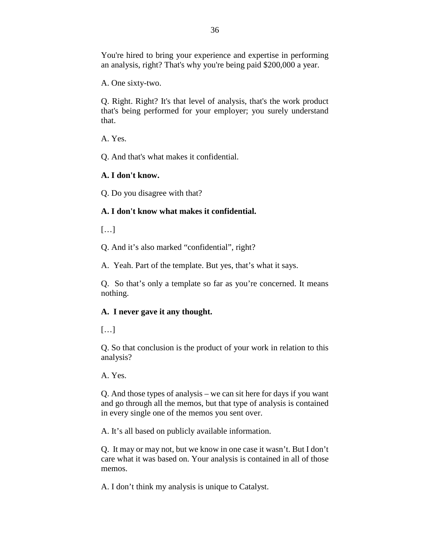You're hired to bring your experience and expertise in performing an analysis, right? That's why you're being paid \$200,000 a year.

A. One sixty-two.

Q. Right. Right? It's that level of analysis, that's the work product that's being performed for your employer; you surely understand that.

A. Yes.

Q. And that's what makes it confidential.

# **A. I don't know.**

Q. Do you disagree with that?

# **A. I don't know what makes it confidential.**

 $[\ldots]$ 

Q. And it's also marked "confidential", right?

A. Yeah. Part of the template. But yes, that's what it says.

Q. So that's only a template so far as you're concerned. It means nothing.

# **A. I never gave it any thought.**

 $[\ldots]$ 

Q. So that conclusion is the product of your work in relation to this analysis?

A. Yes.

Q. And those types of analysis – we can sit here for days if you want and go through all the memos, but that type of analysis is contained in every single one of the memos you sent over.

A. It's all based on publicly available information.

Q. It may or may not, but we know in one case it wasn't. But I don't care what it was based on. Your analysis is contained in all of those memos.

A. I don't think my analysis is unique to Catalyst.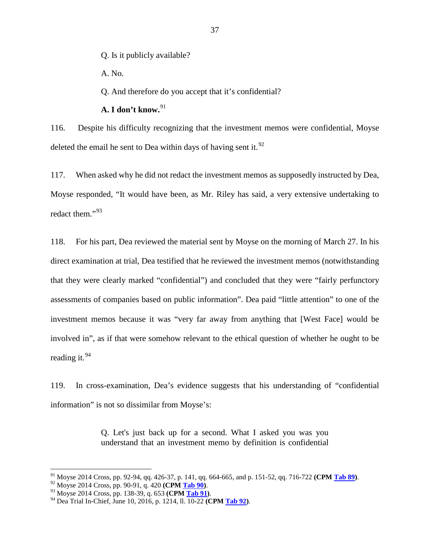Q. Is it publicly available?

A. No.

Q. And therefore do you accept that it's confidential?

**A. I don't know.**[91](#page-38-0)

116. Despite his difficulty recognizing that the investment memos were confidential, Moyse deleted the email he sent to Dea within days of having sent it.<sup>[92](#page-38-1)</sup>

117. When asked why he did not redact the investment memos as supposedly instructed by Dea, Moyse responded, "It would have been, as Mr. Riley has said, a very extensive undertaking to redact them."[93](#page-38-2)

118. For his part, Dea reviewed the material sent by Moyse on the morning of March 27. In his direct examination at trial, Dea testified that he reviewed the investment memos (notwithstanding that they were clearly marked "confidential") and concluded that they were "fairly perfunctory assessments of companies based on public information". Dea paid "little attention" to one of the investment memos because it was "very far away from anything that [West Face] would be involved in", as if that were somehow relevant to the ethical question of whether he ought to be reading it.<sup>[94](#page-38-3)</sup>

119. In cross-examination, Dea's evidence suggests that his understanding of "confidential information" is not so dissimilar from Moyse's:

> Q. Let's just back up for a second. What I asked you was you understand that an investment memo by definition is confidential

<span id="page-38-1"></span><span id="page-38-0"></span><sup>&</sup>lt;sup>91</sup> Moyse 2014 Cross, pp. 92-94, qq. 426-37, p. 141, qq. 664-665, and p. 151-52, qq. 716-722 (CPM Tab 89).<br><sup>92</sup> Moyse 2014 Cross, pp. 90-91, q. 420 (CPM Tab 90).<br><sup>93</sup> Moyse 2014 Cross, pp. 138-39, q. 653 (CPM Tab 91).<br><sup>9</sup>

<span id="page-38-2"></span>

<span id="page-38-3"></span>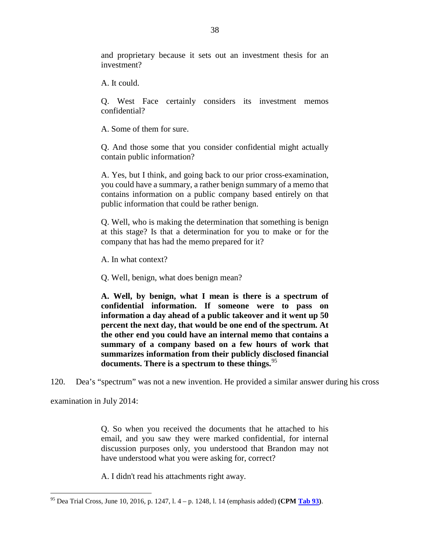and proprietary because it sets out an investment thesis for an investment?

A. It could.

Q. West Face certainly considers its investment memos confidential?

A. Some of them for sure.

Q. And those some that you consider confidential might actually contain public information?

A. Yes, but I think, and going back to our prior cross-examination, you could have a summary, a rather benign summary of a memo that contains information on a public company based entirely on that public information that could be rather benign.

Q. Well, who is making the determination that something is benign at this stage? Is that a determination for you to make or for the company that has had the memo prepared for it?

A. In what context?

Q. Well, benign, what does benign mean?

**A. Well, by benign, what I mean is there is a spectrum of confidential information. If someone were to pass on information a day ahead of a public takeover and it went up 50 percent the next day, that would be one end of the spectrum. At the other end you could have an internal memo that contains a summary of a company based on a few hours of work that summarizes information from their publicly disclosed financial documents. There is a spectrum to these things.**[95](#page-39-0)

120. Dea's "spectrum" was not a new invention. He provided a similar answer during his cross

examination in July 2014:

Q. So when you received the documents that he attached to his email, and you saw they were marked confidential, for internal discussion purposes only, you understood that Brandon may not have understood what you were asking for, correct?

A. I didn't read his attachments right away.

<span id="page-39-0"></span> <sup>95</sup> Dea Trial Cross, June 10, 2016, p. 1247, l. 4 – p. 1248, l. 14 (emphasis added) **(CPM Tab 93)**.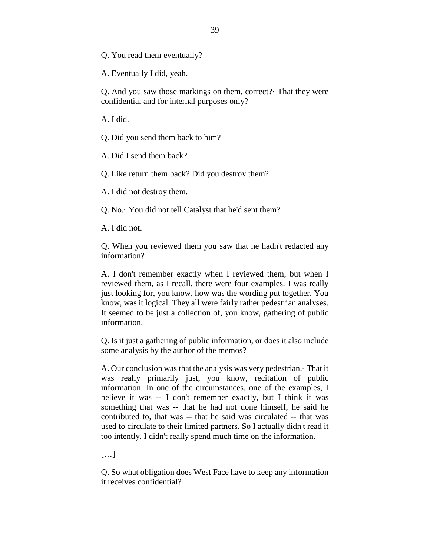Q. You read them eventually?

A. Eventually I did, yeah.

Q. And you saw those markings on them, correct?· That they were confidential and for internal purposes only?

A. I did.

Q. Did you send them back to him?

A. Did I send them back?

Q. Like return them back? Did you destroy them?

A. I did not destroy them.

Q. No.· You did not tell Catalyst that he'd sent them?

A. I did not.

Q. When you reviewed them you saw that he hadn't redacted any information?

A. I don't remember exactly when I reviewed them, but when I reviewed them, as I recall, there were four examples. I was really just looking for, you know, how was the wording put together. You know, was it logical. They all were fairly rather pedestrian analyses. It seemed to be just a collection of, you know, gathering of public information.

Q. Is it just a gathering of public information, or does it also include some analysis by the author of the memos?

A. Our conclusion was that the analysis was very pedestrian.· That it was really primarily just, you know, recitation of public information. In one of the circumstances, one of the examples, I believe it was -- I don't remember exactly, but I think it was something that was -- that he had not done himself, he said he contributed to, that was -- that he said was circulated -- that was used to circulate to their limited partners. So I actually didn't read it too intently. I didn't really spend much time on the information.

[…]

Q. So what obligation does West Face have to keep any information it receives confidential?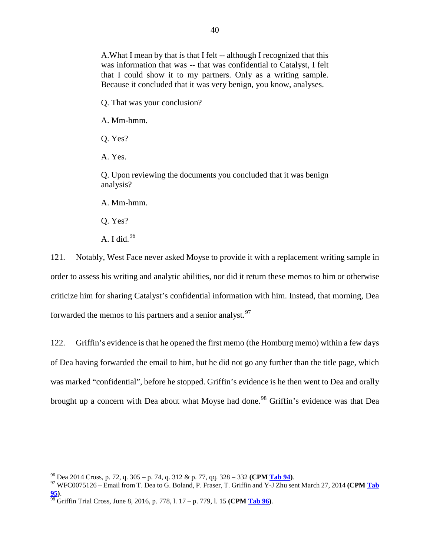A.What I mean by that is that I felt -- although I recognized that this was information that was -- that was confidential to Catalyst, I felt that I could show it to my partners. Only as a writing sample. Because it concluded that it was very benign, you know, analyses.

Q. That was your conclusion?

A. Mm-hmm.

Q. Yes?

A. Yes.

Q. Upon reviewing the documents you concluded that it was benign analysis?

A. Mm-hmm.

Q. Yes?

A. I did. $96$ 

121. Notably, West Face never asked Moyse to provide it with a replacement writing sample in order to assess his writing and analytic abilities, nor did it return these memos to him or otherwise criticize him for sharing Catalyst's confidential information with him. Instead, that morning, Dea forwarded the memos to his partners and a senior analyst.<sup>[97](#page-41-1)</sup>

122. Griffin's evidence is that he opened the first memo (the Homburg memo) within a few days of Dea having forwarded the email to him, but he did not go any further than the title page, which was marked "confidential", before he stopped. Griffin's evidence is he then went to Dea and orally brought up a concern with Dea about what Moyse had done.<sup>[98](#page-41-2)</sup> Griffin's evidence was that Dea

<span id="page-41-1"></span><span id="page-41-0"></span><sup>96</sup> Dea 2014 Cross, p. 72, q. 305 – p. 74, q. 312 & p. 77, qq. 328 – <sup>332</sup>**(CPM Tab 94)**. <sup>97</sup> WFC0075126 – Email from T. Dea to G. Boland, P. Fraser, T. Griffin and Y-J Zhu sent March 27, 2014 **(CPM Tab 95)**. <sup>98</sup> Griffin Trial Cross, June 8, 2016, p. 778, l. 17 – p. 779, l. 15 **(CPM Tab 96)**.

<span id="page-41-2"></span>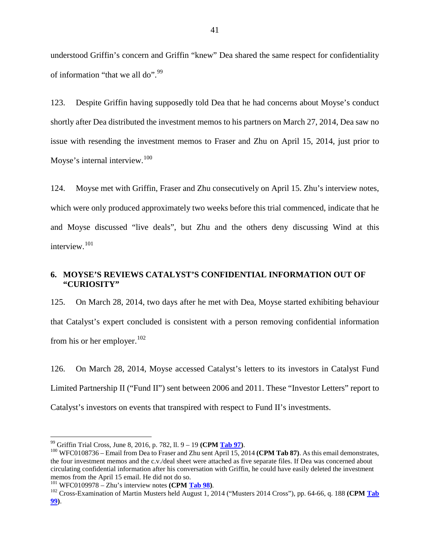understood Griffin's concern and Griffin "knew" Dea shared the same respect for confidentiality of information "that we all do".<sup>[99](#page-42-0)</sup>

123. Despite Griffin having supposedly told Dea that he had concerns about Moyse's conduct shortly after Dea distributed the investment memos to his partners on March 27, 2014, Dea saw no issue with resending the investment memos to Fraser and Zhu on April 15, 2014, just prior to Moyse's internal interview.<sup>[100](#page-42-1)</sup>

124. Moyse met with Griffin, Fraser and Zhu consecutively on April 15. Zhu's interview notes, which were only produced approximately two weeks before this trial commenced, indicate that he and Moyse discussed "live deals", but Zhu and the others deny discussing Wind at this interview.[101](#page-42-2)

## **6. MOYSE'S REVIEWS CATALYST'S CONFIDENTIAL INFORMATION OUT OF "CURIOSITY"**

125. On March 28, 2014, two days after he met with Dea, Moyse started exhibiting behaviour that Catalyst's expert concluded is consistent with a person removing confidential information from his or her employer. $102$ 

126. On March 28, 2014, Moyse accessed Catalyst's letters to its investors in Catalyst Fund Limited Partnership II ("Fund II") sent between 2006 and 2011. These "Investor Letters" report to Catalyst's investors on events that transpired with respect to Fund II's investments.

<span id="page-42-1"></span><span id="page-42-0"></span><sup>&</sup>lt;sup>99</sup> Griffin Trial Cross, June 8, 2016, p. 782, ll. 9 – 19 **(CPM <u>Tab 97</u>)**.<br><sup>100</sup> WFC0108736 – Email from Dea to Fraser and Zhu sent April 15, 2014 **(CPM Tab 87)**. As this email demonstrates, the four investment memos and the c.v./deal sheet were attached as five separate files. If Dea was concerned about circulating confidential information after his conversation with Griffin, he could have easily deleted the investment memos from the April 15 email. He did not do so.<br><sup>101</sup> WFC0109978 – Zhu's interview notes (CPM Tab 98).<br><sup>102</sup> Cross-Examination of Martin Musters held August 1, 2014 ("Musters 2014 Cross"), pp. 64-66, q. 188 (CPM Tab

<span id="page-42-3"></span><span id="page-42-2"></span>**<sup>99)</sup>**.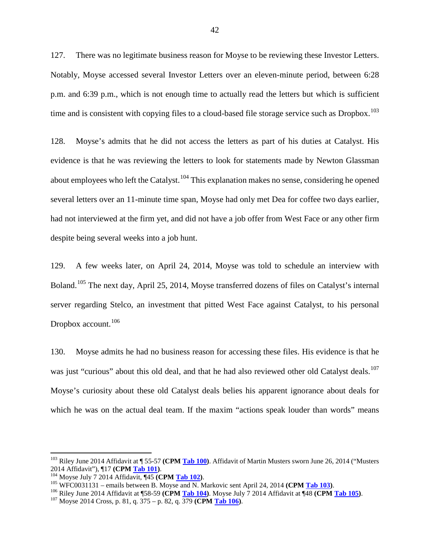127. There was no legitimate business reason for Moyse to be reviewing these Investor Letters. Notably, Moyse accessed several Investor Letters over an eleven-minute period, between 6:28 p.m. and 6:39 p.m., which is not enough time to actually read the letters but which is sufficient time and is consistent with copying files to a cloud-based file storage service such as Dropbox.<sup>[103](#page-43-0)</sup>

128. Moyse's admits that he did not access the letters as part of his duties at Catalyst. His evidence is that he was reviewing the letters to look for statements made by Newton Glassman about employees who left the Catalyst.<sup>[104](#page-43-1)</sup> This explanation makes no sense, considering he opened several letters over an 11-minute time span, Moyse had only met Dea for coffee two days earlier, had not interviewed at the firm yet, and did not have a job offer from West Face or any other firm despite being several weeks into a job hunt.

129. A few weeks later, on April 24, 2014, Moyse was told to schedule an interview with Boland.[105](#page-43-2) The next day, April 25, 2014, Moyse transferred dozens of files on Catalyst's internal server regarding Stelco, an investment that pitted West Face against Catalyst, to his personal Dropbox account.<sup>[106](#page-43-3)</sup>

130. Moyse admits he had no business reason for accessing these files. His evidence is that he was just "curious" about this old deal, and that he had also reviewed other old Catalyst deals.<sup>[107](#page-43-4)</sup> Moyse's curiosity about these old Catalyst deals belies his apparent ignorance about deals for which he was on the actual deal team. If the maxim "actions speak louder than words" means

<span id="page-43-0"></span><sup>&</sup>lt;sup>103</sup> Riley June 2014 Affidavit at ¶ 55-57 **(CPM <u>Tab 100</u>)**. Affidavit of Martin Musters sworn June 26, 2014 ("Musters 2014 Affidavit"), ¶17 **(CPM Tab 101)**.

<span id="page-43-3"></span>

<span id="page-43-2"></span><span id="page-43-1"></span><sup>&</sup>lt;sup>104</sup> Moyse July 7 2014 Affidavit, ¶45 (CPM <u>Tab 102</u>).<br><sup>105</sup> WFC0031131 – emails between B. Moyse and N. Markovic sent April 24, 2014 (CPM <u>Tab 103</u>).<br><sup>106</sup> Riley June 2014 Affidavit at ¶58-59 (CPM <u>Tab 104</u>). Moyse July

<span id="page-43-4"></span>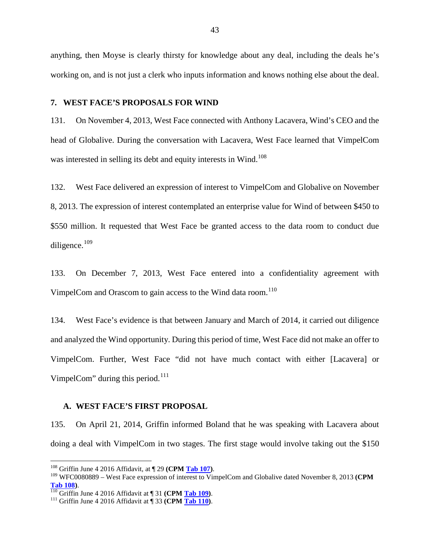anything, then Moyse is clearly thirsty for knowledge about any deal, including the deals he's working on, and is not just a clerk who inputs information and knows nothing else about the deal.

#### **7. WEST FACE'S PROPOSALS FOR WIND**

131. On November 4, 2013, West Face connected with Anthony Lacavera, Wind's CEO and the head of Globalive. During the conversation with Lacavera, West Face learned that VimpelCom was interested in selling its debt and equity interests in Wind.<sup>[108](#page-44-0)</sup>

132. West Face delivered an expression of interest to VimpelCom and Globalive on November 8, 2013. The expression of interest contemplated an enterprise value for Wind of between \$450 to \$550 million. It requested that West Face be granted access to the data room to conduct due diligence.<sup>[109](#page-44-1)</sup>

133. On December 7, 2013, West Face entered into a confidentiality agreement with VimpelCom and Orascom to gain access to the Wind data room.<sup>[110](#page-44-2)</sup>

134. West Face's evidence is that between January and March of 2014, it carried out diligence and analyzed the Wind opportunity. During this period of time, West Face did not make an offer to VimpelCom. Further, West Face "did not have much contact with either [Lacavera] or VimpelCom" during this period. $^{111}$  $^{111}$  $^{111}$ 

#### **A. WEST FACE'S FIRST PROPOSAL**

135. On April 21, 2014, Griffin informed Boland that he was speaking with Lacavera about doing a deal with VimpelCom in two stages. The first stage would involve taking out the \$150

<span id="page-44-1"></span><span id="page-44-0"></span><sup>&</sup>lt;sup>108</sup> Griffin June 4 2016 Affidavit, at ¶ 29 **(CPM <u>Tab 107</u>)**.<br><sup>109</sup> WFC0080889 – West Face expression of interest to VimpelCom and Globalive dated November 8, 2013 **(CPM Tab 108**).<br><sup>110</sup> Griffin June 4 2016 Affidavit at ¶ 31 **(CPM <u>Tab 109</u>)**.<br><sup>111</sup> Griffin June 4 2016 Affidavit at ¶ 33 **(CPM Tab 110)**.

<span id="page-44-2"></span>

<span id="page-44-3"></span>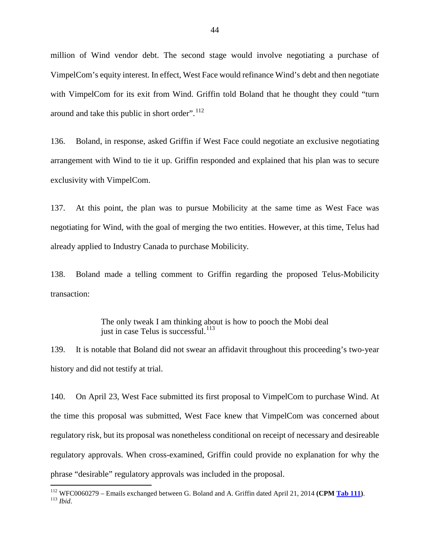million of Wind vendor debt. The second stage would involve negotiating a purchase of VimpelCom's equity interest. In effect, West Face would refinance Wind's debt and then negotiate with VimpelCom for its exit from Wind. Griffin told Boland that he thought they could "turn around and take this public in short order". $112$ 

136. Boland, in response, asked Griffin if West Face could negotiate an exclusive negotiating arrangement with Wind to tie it up. Griffin responded and explained that his plan was to secure exclusivity with VimpelCom.

137. At this point, the plan was to pursue Mobilicity at the same time as West Face was negotiating for Wind, with the goal of merging the two entities. However, at this time, Telus had already applied to Industry Canada to purchase Mobilicity.

138. Boland made a telling comment to Griffin regarding the proposed Telus-Mobilicity transaction:

> The only tweak I am thinking about is how to pooch the Mobi deal just in case Telus is successful. $^{113}$  $^{113}$  $^{113}$

139. It is notable that Boland did not swear an affidavit throughout this proceeding's two-year history and did not testify at trial.

140. On April 23, West Face submitted its first proposal to VimpelCom to purchase Wind. At the time this proposal was submitted, West Face knew that VimpelCom was concerned about regulatory risk, but its proposal was nonetheless conditional on receipt of necessary and desireable regulatory approvals. When cross-examined, Griffin could provide no explanation for why the phrase "desirable" regulatory approvals was included in the proposal.

<span id="page-45-1"></span><span id="page-45-0"></span><sup>112</sup> WFC0060279 – Emails exchanged between G. Boland and A. Griffin dated April 21, 2014 **(CPM Tab 111)**. <sup>113</sup> *Ibid*.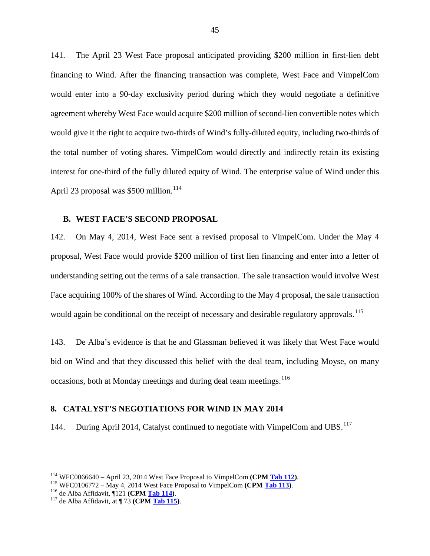141. The April 23 West Face proposal anticipated providing \$200 million in first-lien debt financing to Wind. After the financing transaction was complete, West Face and VimpelCom would enter into a 90-day exclusivity period during which they would negotiate a definitive agreement whereby West Face would acquire \$200 million of second-lien convertible notes which would give it the right to acquire two-thirds of Wind's fully-diluted equity, including two-thirds of the total number of voting shares. VimpelCom would directly and indirectly retain its existing interest for one-third of the fully diluted equity of Wind. The enterprise value of Wind under this April 23 proposal was  $$500$  million.<sup>[114](#page-46-0)</sup>

#### **B. WEST FACE'S SECOND PROPOSAL**

142. On May 4, 2014, West Face sent a revised proposal to VimpelCom. Under the May 4 proposal, West Face would provide \$200 million of first lien financing and enter into a letter of understanding setting out the terms of a sale transaction. The sale transaction would involve West Face acquiring 100% of the shares of Wind. According to the May 4 proposal, the sale transaction would again be conditional on the receipt of necessary and desirable regulatory approvals.<sup>[115](#page-46-1)</sup>

143. De Alba's evidence is that he and Glassman believed it was likely that West Face would bid on Wind and that they discussed this belief with the deal team, including Moyse, on many occasions, both at Monday meetings and during deal team meetings.<sup>[116](#page-46-2)</sup>

#### **8. CATALYST'S NEGOTIATIONS FOR WIND IN MAY 2014**

144. During April 2014, Catalyst continued to negotiate with VimpelCom and UBS.<sup>[117](#page-46-3)</sup>

<span id="page-46-0"></span><sup>&</sup>lt;sup>114</sup> WFC0066640 – April 23, 2014 West Face Proposal to VimpelCom (CPM <u>Tab 112</u>).<br><sup>115</sup> WFC0106772 – May 4, 2014 West Face Proposal to VimpelCom (CPM <u>Tab 113</u>).<br><sup>116</sup> de Alba Affidavit, ¶121 (CPM <u>Tab 114</u>).<br><sup>117</sup> de Al

<span id="page-46-2"></span><span id="page-46-1"></span>

<span id="page-46-3"></span>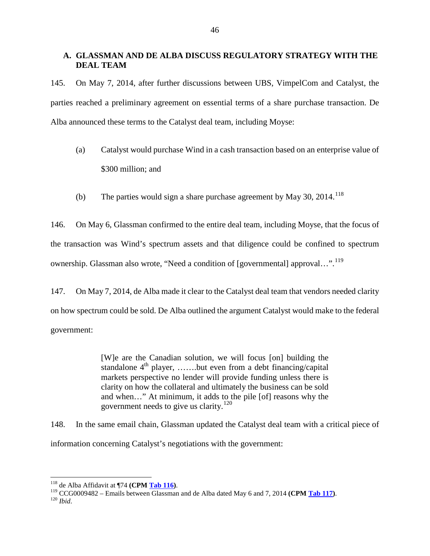## **A. GLASSMAN AND DE ALBA DISCUSS REGULATORY STRATEGY WITH THE DEAL TEAM**

145. On May 7, 2014, after further discussions between UBS, VimpelCom and Catalyst, the parties reached a preliminary agreement on essential terms of a share purchase transaction. De Alba announced these terms to the Catalyst deal team, including Moyse:

- (a) Catalyst would purchase Wind in a cash transaction based on an enterprise value of \$300 million; and
- (b) The parties would sign a share purchase agreement by May 30, 2014.<sup>[118](#page-47-0)</sup>

146. On May 6, Glassman confirmed to the entire deal team, including Moyse, that the focus of the transaction was Wind's spectrum assets and that diligence could be confined to spectrum ownership. Glassman also wrote, "Need a condition of [governmental] approval...".<sup>[119](#page-47-1)</sup>

147. On May 7, 2014, de Alba made it clear to the Catalyst deal team that vendors needed clarity on how spectrum could be sold. De Alba outlined the argument Catalyst would make to the federal government:

> [W]e are the Canadian solution, we will focus [on] building the standalone  $4<sup>th</sup>$  player, ......but even from a debt financing/capital markets perspective no lender will provide funding unless there is clarity on how the collateral and ultimately the business can be sold and when…" At minimum, it adds to the pile [of] reasons why the government needs to give us clarity.<sup>[120](#page-47-2)</sup>

148. In the same email chain, Glassman updated the Catalyst deal team with a critical piece of information concerning Catalyst's negotiations with the government:

<span id="page-47-2"></span><span id="page-47-1"></span><span id="page-47-0"></span><sup>118</sup> de Alba Affidavit at ¶74 **(CPM Tab 116)**. 119 CCG0009482 – Emails between Glassman and de Alba dated May 6 and 7, 2014 **(CPM Tab 117)**. 120 *Ibid*.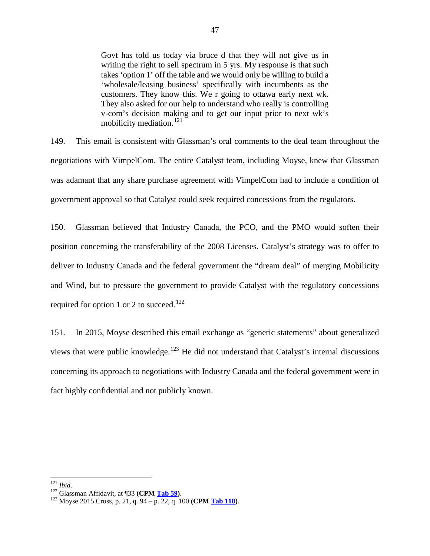Govt has told us today via bruce d that they will not give us in writing the right to sell spectrum in 5 yrs. My response is that such takes 'option 1' off the table and we would only be willing to build a 'wholesale/leasing business' specifically with incumbents as the customers. They know this. We r going to ottawa early next wk. They also asked for our help to understand who really is controlling v-com's decision making and to get our input prior to next wk's mobilicity mediation.<sup>[121](#page-48-0)</sup>

149. This email is consistent with Glassman's oral comments to the deal team throughout the negotiations with VimpelCom. The entire Catalyst team, including Moyse, knew that Glassman was adamant that any share purchase agreement with VimpelCom had to include a condition of government approval so that Catalyst could seek required concessions from the regulators.

150. Glassman believed that Industry Canada, the PCO, and the PMO would soften their position concerning the transferability of the 2008 Licenses. Catalyst's strategy was to offer to deliver to Industry Canada and the federal government the "dream deal" of merging Mobilicity and Wind, but to pressure the government to provide Catalyst with the regulatory concessions required for option 1 or 2 to succeed.<sup>[122](#page-48-1)</sup>

151. In 2015, Moyse described this email exchange as "generic statements" about generalized views that were public knowledge.<sup>[123](#page-48-2)</sup> He did not understand that Catalyst's internal discussions concerning its approach to negotiations with Industry Canada and the federal government were in fact highly confidential and not publicly known.

<span id="page-48-2"></span>

<span id="page-48-1"></span><span id="page-48-0"></span><sup>121</sup> *Ibid*. <sup>122</sup> Glassman Affidavit, at ¶33 **(CPM Tab 59)**. 123 Moyse 2015 Cross, p. 21, q. 94 – p. 22, q. 100 **(CPM Tab 118)**.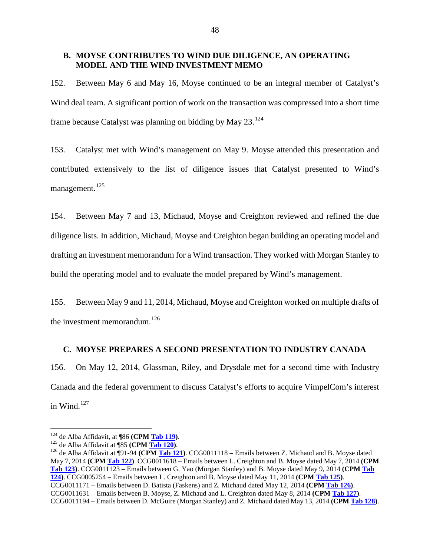#### **B. MOYSE CONTRIBUTES TO WIND DUE DILIGENCE, AN OPERATING MODEL AND THE WIND INVESTMENT MEMO**

152. Between May 6 and May 16, Moyse continued to be an integral member of Catalyst's Wind deal team. A significant portion of work on the transaction was compressed into a short time frame because Catalyst was planning on bidding by May  $23.^{124}$  $23.^{124}$  $23.^{124}$ 

153. Catalyst met with Wind's management on May 9. Moyse attended this presentation and contributed extensively to the list of diligence issues that Catalyst presented to Wind's management.<sup>[125](#page-49-1)</sup>

154. Between May 7 and 13, Michaud, Moyse and Creighton reviewed and refined the due diligence lists. In addition, Michaud, Moyse and Creighton began building an operating model and drafting an investment memorandum for a Wind transaction. They worked with Morgan Stanley to build the operating model and to evaluate the model prepared by Wind's management.

155. Between May 9 and 11, 2014, Michaud, Moyse and Creighton worked on multiple drafts of the investment memorandum. $^{126}$  $^{126}$  $^{126}$ 

#### **C. MOYSE PREPARES A SECOND PRESENTATION TO INDUSTRY CANADA**

156. On May 12, 2014, Glassman, Riley, and Drysdale met for a second time with Industry Canada and the federal government to discuss Catalyst's efforts to acquire VimpelCom's interest in Wind. $127$ 

<span id="page-49-1"></span><span id="page-49-0"></span><sup>124</sup> de Alba Affidavit, at ¶86 **(CPM <u>Tab 119</u>)**.<br><sup>125</sup> de Alba Affidavit at ¶85 **(CPM <u>Tab 120</u>)**.<br><sup>126</sup> de Alba Affidavit at ¶91-94 **(CPM Tab 121)**. CCG0011118 – Emails between Z. Michaud and B. Moyse dated May 7, 2014 **(CPM Tab 122)**. CCG0011618 – Emails between L. Creighton and B. Moyse dated May 7, 2014 **(CPM Tab 123)**. CCG0011123 – Emails between G. Yao (Morgan Stanley) and B. Moyse dated May 9, 2014 **(CPM Tab 124)**. CCG0005254 – Emails between L. Creighton and B. Moyse dated May 11, 2014 **(CPM Tab 125)**. CCG0011171 – Emails between D. Batista (Faskens) and Z. Michaud dated May 12, 2014 **(CPM Tab 126)**. CCG0011631 – Emails between B. Moyse, Z. Michaud and L. Creighton dated May 8, 2014 **(CPM Tab 127)**. CCG0011194 – Emails between D. McGuire (Morgan Stanley) and Z. Michaud dated May 13, 2014 **(CPM Tab 128)**.

<span id="page-49-3"></span><span id="page-49-2"></span>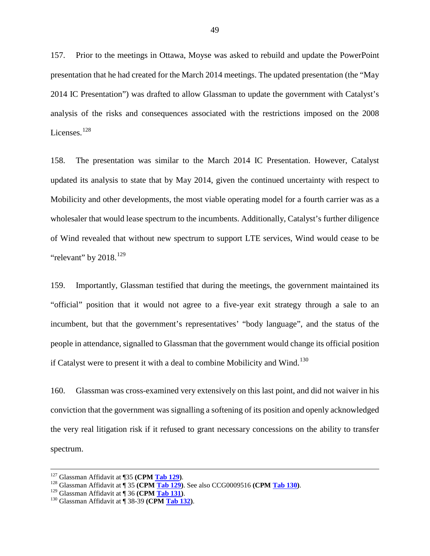157. Prior to the meetings in Ottawa, Moyse was asked to rebuild and update the PowerPoint presentation that he had created for the March 2014 meetings. The updated presentation (the "May 2014 IC Presentation") was drafted to allow Glassman to update the government with Catalyst's analysis of the risks and consequences associated with the restrictions imposed on the 2008 Licenses.<sup>[128](#page-50-0)</sup>

158. The presentation was similar to the March 2014 IC Presentation. However, Catalyst updated its analysis to state that by May 2014, given the continued uncertainty with respect to Mobilicity and other developments, the most viable operating model for a fourth carrier was as a wholesaler that would lease spectrum to the incumbents. Additionally, Catalyst's further diligence of Wind revealed that without new spectrum to support LTE services, Wind would cease to be "relevant" by  $2018$ <sup>[129](#page-50-1)</sup>

159. Importantly, Glassman testified that during the meetings, the government maintained its "official" position that it would not agree to a five-year exit strategy through a sale to an incumbent, but that the government's representatives' "body language", and the status of the people in attendance, signalled to Glassman that the government would change its official position if Catalyst were to present it with a deal to combine Mobilicity and Wind.<sup>[130](#page-50-2)</sup>

160. Glassman was cross-examined very extensively on this last point, and did not waiver in his conviction that the government was signalling a softening of its position and openly acknowledged the very real litigation risk if it refused to grant necessary concessions on the ability to transfer spectrum.

<span id="page-50-0"></span><sup>&</sup>lt;sup>127</sup> Glassman Affidavit at ¶35 (**CPM <u>Tab 129</u>**).<br><sup>128</sup> Glassman Affidavit at ¶ 35 (**CPM <u>Tab 129</u>**). See also CCG0009516 (**CPM <u>Tab 130</u>**).<br><sup>129</sup> Glassman Affidavit at ¶ 36 (**CPM <u>Tab 131</u>**).<br><sup>130</sup> Glassman Affidavit at

<span id="page-50-1"></span>

<span id="page-50-2"></span>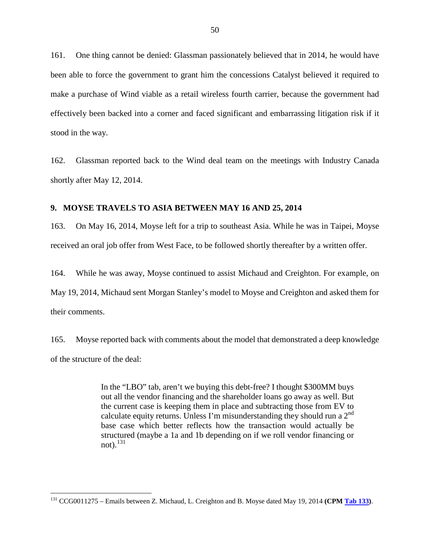161. One thing cannot be denied: Glassman passionately believed that in 2014, he would have been able to force the government to grant him the concessions Catalyst believed it required to make a purchase of Wind viable as a retail wireless fourth carrier, because the government had effectively been backed into a corner and faced significant and embarrassing litigation risk if it stood in the way.

162. Glassman reported back to the Wind deal team on the meetings with Industry Canada shortly after May 12, 2014.

#### **9. MOYSE TRAVELS TO ASIA BETWEEN MAY 16 AND 25, 2014**

163. On May 16, 2014, Moyse left for a trip to southeast Asia. While he was in Taipei, Moyse received an oral job offer from West Face, to be followed shortly thereafter by a written offer.

164. While he was away, Moyse continued to assist Michaud and Creighton. For example, on May 19, 2014, Michaud sent Morgan Stanley's model to Moyse and Creighton and asked them for their comments.

165. Moyse reported back with comments about the model that demonstrated a deep knowledge of the structure of the deal:

> In the "LBO" tab, aren't we buying this debt-free? I thought \$300MM buys out all the vendor financing and the shareholder loans go away as well. But the current case is keeping them in place and subtracting those from EV to calculate equity returns. Unless I'm misunderstanding they should run a  $2<sup>nd</sup>$ base case which better reflects how the transaction would actually be structured (maybe a 1a and 1b depending on if we roll vendor financing or not). $^{131}$  $^{131}$  $^{131}$

<span id="page-51-0"></span> <sup>131</sup> CCG0011275 – Emails between Z. Michaud, L. Creighton and B. Moyse dated May 19, 2014 **(CPM Tab 133)**.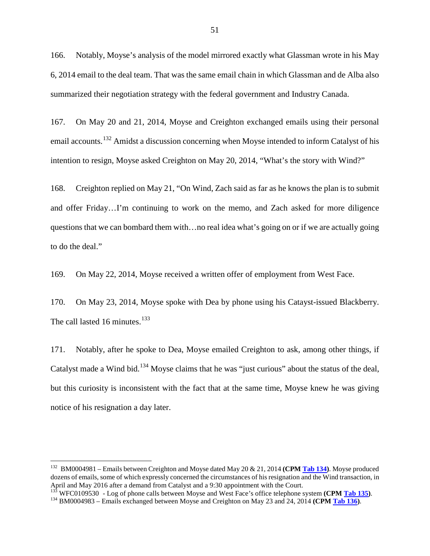166. Notably, Moyse's analysis of the model mirrored exactly what Glassman wrote in his May 6, 2014 email to the deal team. That was the same email chain in which Glassman and de Alba also summarized their negotiation strategy with the federal government and Industry Canada.

167. On May 20 and 21, 2014, Moyse and Creighton exchanged emails using their personal email accounts.<sup>[132](#page-52-0)</sup> Amidst a discussion concerning when Moyse intended to inform Catalyst of his intention to resign, Moyse asked Creighton on May 20, 2014, "What's the story with Wind?"

168. Creighton replied on May 21, "On Wind, Zach said as far as he knows the plan is to submit and offer Friday…I'm continuing to work on the memo, and Zach asked for more diligence questions that we can bombard them with…no real idea what's going on or if we are actually going to do the deal."

169. On May 22, 2014, Moyse received a written offer of employment from West Face.

170. On May 23, 2014, Moyse spoke with Dea by phone using his Catayst-issued Blackberry. The call lasted 16 minutes. $133$ 

171. Notably, after he spoke to Dea, Moyse emailed Creighton to ask, among other things, if Catalyst made a Wind bid.<sup>[134](#page-52-2)</sup> Moyse claims that he was "just curious" about the status of the deal, but this curiosity is inconsistent with the fact that at the same time, Moyse knew he was giving notice of his resignation a day later.

<span id="page-52-0"></span> <sup>132</sup> BM0004981 – Emails between Creighton and Moyse dated May 20 & 21, 2014 **(CPM Tab 134)**. Moyse produced dozens of emails, some of which expressly concerned the circumstances of his resignation and the Wind transaction, in April and May 2016 after a demand from Catalyst and a 9:30 appointment with the Court.

<span id="page-52-1"></span> $^{13\overline{3}}$  WFC0109530 - Log of phone calls between Moyse and West Face's office telephone system (CPM Tab 135).<br><sup>134</sup> BM0004983 – Emails exchanged between Moyse and Creighton on May 23 and 24, 2014 (CPM Tab 136).

<span id="page-52-2"></span>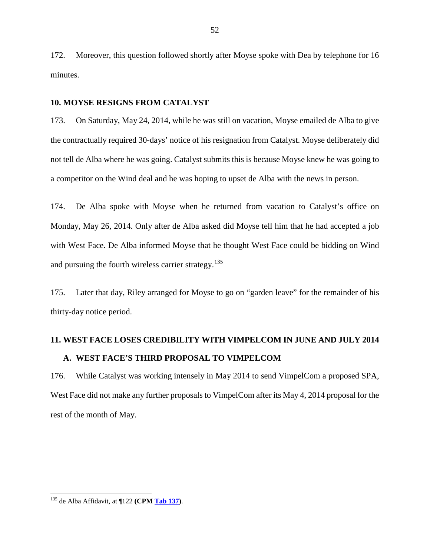172. Moreover, this question followed shortly after Moyse spoke with Dea by telephone for 16 minutes.

#### **10. MOYSE RESIGNS FROM CATALYST**

173. On Saturday, May 24, 2014, while he was still on vacation, Moyse emailed de Alba to give the contractually required 30-days' notice of his resignation from Catalyst. Moyse deliberately did not tell de Alba where he was going. Catalyst submits this is because Moyse knew he was going to a competitor on the Wind deal and he was hoping to upset de Alba with the news in person.

174. De Alba spoke with Moyse when he returned from vacation to Catalyst's office on Monday, May 26, 2014. Only after de Alba asked did Moyse tell him that he had accepted a job with West Face. De Alba informed Moyse that he thought West Face could be bidding on Wind and pursuing the fourth wireless carrier strategy.<sup>[135](#page-53-0)</sup>

175. Later that day, Riley arranged for Moyse to go on "garden leave" for the remainder of his thirty-day notice period.

# **11. WEST FACE LOSES CREDIBILITY WITH VIMPELCOM IN JUNE AND JULY 2014 A. WEST FACE'S THIRD PROPOSAL TO VIMPELCOM**

176. While Catalyst was working intensely in May 2014 to send VimpelCom a proposed SPA, West Face did not make any further proposals to VimpelCom after its May 4, 2014 proposal for the rest of the month of May.

<span id="page-53-0"></span><sup>&</sup>lt;sup>135</sup> de Alba Affidavit, at ¶122 (CPM **Tab 137**).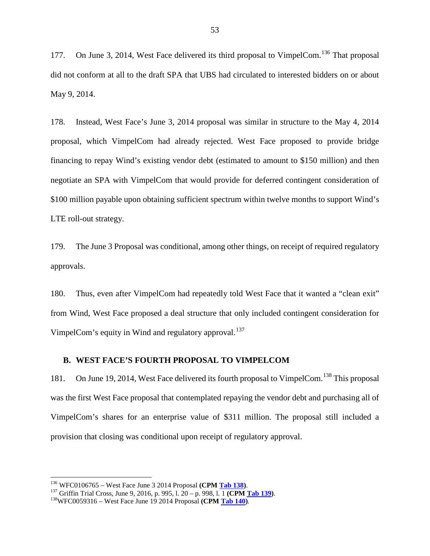177. On June 3, 2014, West Face delivered its third proposal to VimpelCom.<sup>[136](#page-54-0)</sup> That proposal did not conform at all to the draft SPA that UBS had circulated to interested bidders on or about May 9, 2014.

178. Instead, West Face's June 3, 2014 proposal was similar in structure to the May 4, 2014 proposal, which VimpelCom had already rejected. West Face proposed to provide bridge financing to repay Wind's existing vendor debt (estimated to amount to \$150 million) and then negotiate an SPA with VimpelCom that would provide for deferred contingent consideration of \$100 million payable upon obtaining sufficient spectrum within twelve months to support Wind's LTE roll-out strategy.

179. The June 3 Proposal was conditional, among other things, on receipt of required regulatory approvals.

180. Thus, even after VimpelCom had repeatedly told West Face that it wanted a "clean exit" from Wind, West Face proposed a deal structure that only included contingent consideration for VimpelCom's equity in Wind and regulatory approval.<sup>[137](#page-54-1)</sup>

#### **B. WEST FACE'S FOURTH PROPOSAL TO VIMPELCOM**

181. On June 19, 2014, West Face delivered its fourth proposal to VimpelCom.<sup>[138](#page-54-2)</sup> This proposal was the first West Face proposal that contemplated repaying the vendor debt and purchasing all of VimpelCom's shares for an enterprise value of \$311 million. The proposal still included a provision that closing was conditional upon receipt of regulatory approval.

<span id="page-54-1"></span><span id="page-54-0"></span><sup>&</sup>lt;sup>136</sup> WFC0106765 – West Face June 3 2014 Proposal (CPM <u>Tab 138</u>).<br><sup>137</sup> Griffin Trial Cross, June 9, 2016, p. 995, l. 20 – p. 998, l. 1 (CPM <u>Tab 139</u>).<br><sup>138</sup>WFC0059316 – West Face June 19 2014 Proposal (CPM Tab 140).

<span id="page-54-2"></span>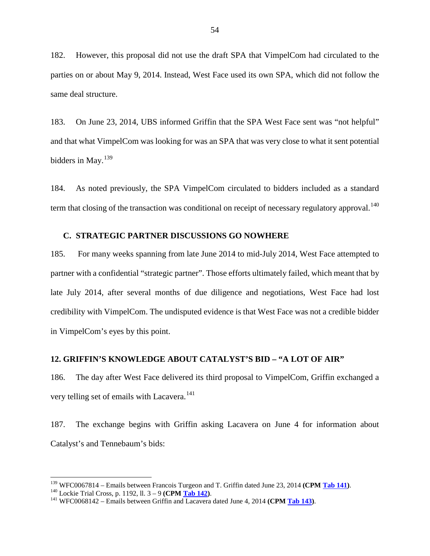182. However, this proposal did not use the draft SPA that VimpelCom had circulated to the parties on or about May 9, 2014. Instead, West Face used its own SPA, which did not follow the same deal structure.

183. On June 23, 2014, UBS informed Griffin that the SPA West Face sent was "not helpful" and that what VimpelCom was looking for was an SPA that was very close to what it sent potential bidders in May. $139$ 

184. As noted previously, the SPA VimpelCom circulated to bidders included as a standard term that closing of the transaction was conditional on receipt of necessary regulatory approval.<sup>[140](#page-55-1)</sup>

#### **C. STRATEGIC PARTNER DISCUSSIONS GO NOWHERE**

185. For many weeks spanning from late June 2014 to mid-July 2014, West Face attempted to partner with a confidential "strategic partner". Those efforts ultimately failed, which meant that by late July 2014, after several months of due diligence and negotiations, West Face had lost credibility with VimpelCom. The undisputed evidence is that West Face was not a credible bidder in VimpelCom's eyes by this point.

### **12. GRIFFIN'S KNOWLEDGE ABOUT CATALYST'S BID – "A LOT OF AIR"**

186. The day after West Face delivered its third proposal to VimpelCom, Griffin exchanged a very telling set of emails with Lacavera.<sup>[141](#page-55-2)</sup>

187. The exchange begins with Griffin asking Lacavera on June 4 for information about Catalyst's and Tennebaum's bids:

<span id="page-55-0"></span><sup>&</sup>lt;sup>139</sup> WFC0067814 – Emails between Francois Turgeon and T. Griffin dated June 23, 2014 (CPM Tab 141).<br><sup>140</sup> Lockie Trial Cross, p. 1192, ll.  $3 - 9$  (CPM <u>Tab 142</u>).<br><sup>141</sup> WFC0068142 – Emails between Griffin and Lacavera da

<span id="page-55-1"></span>

<span id="page-55-2"></span>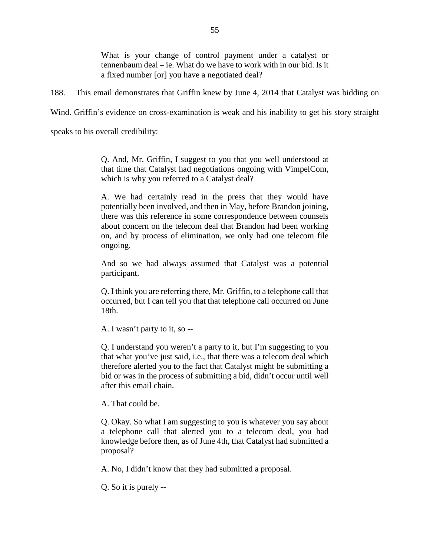What is your change of control payment under a catalyst or tennenbaum deal – ie. What do we have to work with in our bid. Is it a fixed number [or] you have a negotiated deal?

188. This email demonstrates that Griffin knew by June 4, 2014 that Catalyst was bidding on

Wind. Griffin's evidence on cross-examination is weak and his inability to get his story straight

speaks to his overall credibility:

Q. And, Mr. Griffin, I suggest to you that you well understood at that time that Catalyst had negotiations ongoing with VimpelCom, which is why you referred to a Catalyst deal?

A. We had certainly read in the press that they would have potentially been involved, and then in May, before Brandon joining, there was this reference in some correspondence between counsels about concern on the telecom deal that Brandon had been working on, and by process of elimination, we only had one telecom file ongoing.

And so we had always assumed that Catalyst was a potential participant.

Q. I think you are referring there, Mr. Griffin, to a telephone call that occurred, but I can tell you that that telephone call occurred on June 18th.

A. I wasn't party to it, so --

Q. I understand you weren't a party to it, but I'm suggesting to you that what you've just said, i.e., that there was a telecom deal which therefore alerted you to the fact that Catalyst might be submitting a bid or was in the process of submitting a bid, didn't occur until well after this email chain.

A. That could be.

Q. Okay. So what I am suggesting to you is whatever you say about a telephone call that alerted you to a telecom deal, you had knowledge before then, as of June 4th, that Catalyst had submitted a proposal?

A. No, I didn't know that they had submitted a proposal.

Q. So it is purely --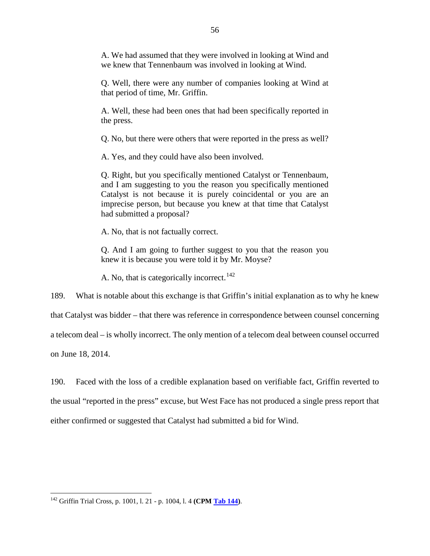A. We had assumed that they were involved in looking at Wind and we knew that Tennenbaum was involved in looking at Wind.

Q. Well, there were any number of companies looking at Wind at that period of time, Mr. Griffin.

A. Well, these had been ones that had been specifically reported in the press.

Q. No, but there were others that were reported in the press as well?

A. Yes, and they could have also been involved.

Q. Right, but you specifically mentioned Catalyst or Tennenbaum, and I am suggesting to you the reason you specifically mentioned Catalyst is not because it is purely coincidental or you are an imprecise person, but because you knew at that time that Catalyst had submitted a proposal?

A. No, that is not factually correct.

Q. And I am going to further suggest to you that the reason you knew it is because you were told it by Mr. Moyse?

A. No, that is categorically incorrect.<sup>[142](#page-57-0)</sup>

189. What is notable about this exchange is that Griffin's initial explanation as to why he knew

that Catalyst was bidder – that there was reference in correspondence between counsel concerning

a telecom deal – is wholly incorrect. The only mention of a telecom deal between counsel occurred

on June 18, 2014.

190. Faced with the loss of a credible explanation based on verifiable fact, Griffin reverted to the usual "reported in the press" excuse, but West Face has not produced a single press report that either confirmed or suggested that Catalyst had submitted a bid for Wind.

<span id="page-57-0"></span> <sup>142</sup> Griffin Trial Cross, p. 1001, l. 21 - p. 1004, l. 4 **(CPM Tab 144)**.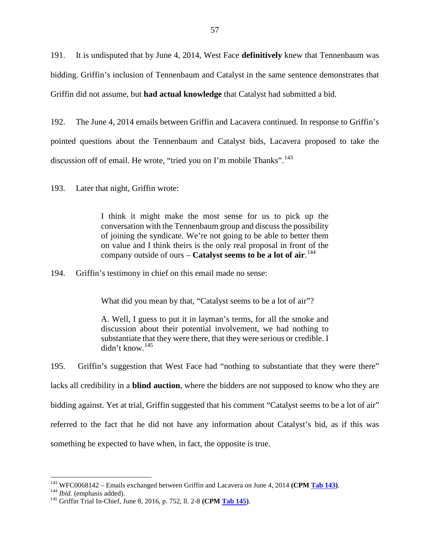191. It is undisputed that by June 4, 2014, West Face **definitively** knew that Tennenbaum was bidding. Griffin's inclusion of Tennenbaum and Catalyst in the same sentence demonstrates that Griffin did not assume, but **had actual knowledge** that Catalyst had submitted a bid.

192. The June 4, 2014 emails between Griffin and Lacavera continued. In response to Griffin's pointed questions about the Tennenbaum and Catalyst bids, Lacavera proposed to take the discussion off of email. He wrote, "tried you on I'm mobile Thanks".<sup>[143](#page-58-0)</sup>

193. Later that night, Griffin wrote:

I think it might make the most sense for us to pick up the conversation with the Tennenbaum group and discuss the possibility of joining the syndicate. We're not going to be able to better them on value and I think theirs is the only real proposal in front of the company outside of ours – **Catalyst seems to be a lot of air**. [144](#page-58-1)

194. Griffin's testimony in chief on this email made no sense:

What did you mean by that, "Catalyst seems to be a lot of air"?

A. Well, I guess to put it in layman's terms, for all the smoke and discussion about their potential involvement, we had nothing to substantiate that they were there, that they were serious or credible. I didn't know.[145](#page-58-2)

195. Griffin's suggestion that West Face had "nothing to substantiate that they were there" lacks all credibility in a **blind auction**, where the bidders are not supposed to know who they are bidding against. Yet at trial, Griffin suggested that his comment "Catalyst seems to be a lot of air" referred to the fact that he did not have any information about Catalyst's bid, as if this was something he expected to have when, in fact, the opposite is true.

<span id="page-58-0"></span><sup>&</sup>lt;sup>143</sup> WFC0068142 – Emails exchanged between Griffin and Lacavera on June 4, 2014 (CPM Tab 143).<br><sup>144</sup> *Ibid.* (emphasis added).<br><sup>145</sup> Griffin Trial In-Chief, June 8, 2016, p. 752, ll. 2-8 (CPM Tab 145).

<span id="page-58-1"></span>

<span id="page-58-2"></span>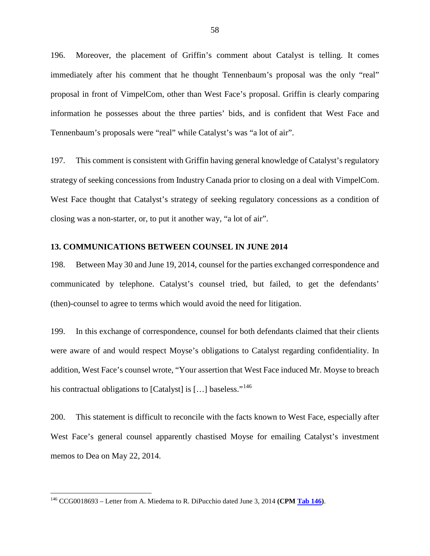196. Moreover, the placement of Griffin's comment about Catalyst is telling. It comes immediately after his comment that he thought Tennenbaum's proposal was the only "real" proposal in front of VimpelCom, other than West Face's proposal. Griffin is clearly comparing information he possesses about the three parties' bids, and is confident that West Face and Tennenbaum's proposals were "real" while Catalyst's was "a lot of air".

197. This comment is consistent with Griffin having general knowledge of Catalyst's regulatory strategy of seeking concessions from Industry Canada prior to closing on a deal with VimpelCom. West Face thought that Catalyst's strategy of seeking regulatory concessions as a condition of closing was a non-starter, or, to put it another way, "a lot of air".

#### **13. COMMUNICATIONS BETWEEN COUNSEL IN JUNE 2014**

198. Between May 30 and June 19, 2014, counsel for the parties exchanged correspondence and communicated by telephone. Catalyst's counsel tried, but failed, to get the defendants' (then)-counsel to agree to terms which would avoid the need for litigation.

199. In this exchange of correspondence, counsel for both defendants claimed that their clients were aware of and would respect Moyse's obligations to Catalyst regarding confidentiality. In addition, West Face's counsel wrote, "Your assertion that West Face induced Mr. Moyse to breach his contractual obligations to [Catalyst] is [...] baseless."<sup>[146](#page-59-0)</sup>

200. This statement is difficult to reconcile with the facts known to West Face, especially after West Face's general counsel apparently chastised Moyse for emailing Catalyst's investment memos to Dea on May 22, 2014.

<span id="page-59-0"></span><sup>&</sup>lt;sup>146</sup> CCG0018693 – Letter from A. Miedema to R. DiPucchio dated June 3, 2014 (CPM Tab 146).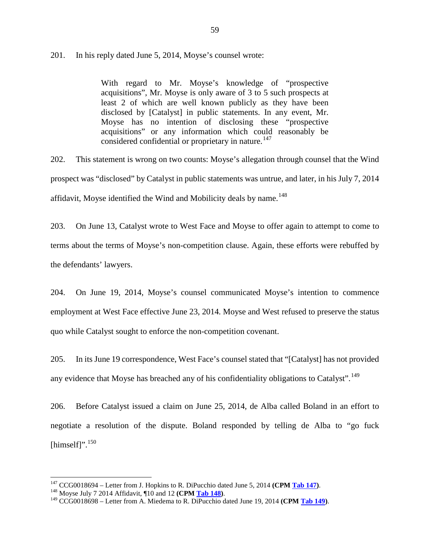#### 201. In his reply dated June 5, 2014, Moyse's counsel wrote:

With regard to Mr. Moyse's knowledge of "prospective acquisitions", Mr. Moyse is only aware of 3 to 5 such prospects at least 2 of which are well known publicly as they have been disclosed by [Catalyst] in public statements. In any event, Mr. Moyse has no intention of disclosing these "prospective acquisitions" or any information which could reasonably be considered confidential or proprietary in nature.<sup>[147](#page-60-0)</sup>

202. This statement is wrong on two counts: Moyse's allegation through counsel that the Wind prospect was "disclosed" by Catalyst in public statements was untrue, and later, in his July 7, 2014 affidavit, Moyse identified the Wind and Mobilicity deals by name.<sup>[148](#page-60-1)</sup>

203. On June 13, Catalyst wrote to West Face and Moyse to offer again to attempt to come to terms about the terms of Moyse's non-competition clause. Again, these efforts were rebuffed by the defendants' lawyers.

204. On June 19, 2014, Moyse's counsel communicated Moyse's intention to commence employment at West Face effective June 23, 2014. Moyse and West refused to preserve the status quo while Catalyst sought to enforce the non-competition covenant.

205. In its June 19 correspondence, West Face's counsel stated that "[Catalyst] has not provided any evidence that Moyse has breached any of his confidentiality obligations to Catalyst". <sup>[149](#page-60-2)</sup>

206. Before Catalyst issued a claim on June 25, 2014, de Alba called Boland in an effort to negotiate a resolution of the dispute. Boland responded by telling de Alba to "go fuck [himself]". $150$ 

<span id="page-60-0"></span><sup>&</sup>lt;sup>147</sup> CCG0018694 – Letter from J. Hopkins to R. DiPucchio dated June 5, 2014 (CPM Tab 147).<br><sup>148</sup> Moyse July 7 2014 Affidavit, ¶10 and 12 (CPM Tab 148).<br><sup>149</sup> CCG0018698 – Letter from A. Miedema to R. DiPucchio dated June

<span id="page-60-1"></span>

<span id="page-60-2"></span>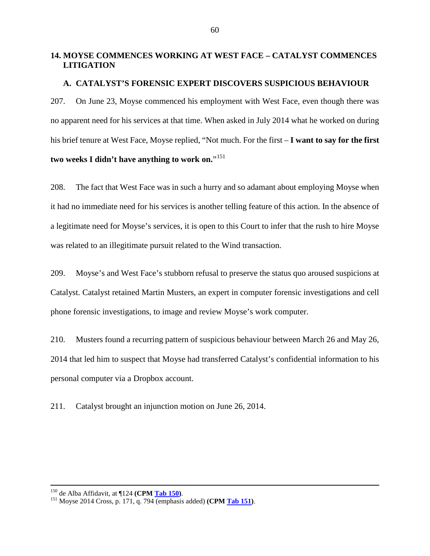# **14. MOYSE COMMENCES WORKING AT WEST FACE – CATALYST COMMENCES LITIGATION**

#### **A. CATALYST'S FORENSIC EXPERT DISCOVERS SUSPICIOUS BEHAVIOUR**

207. On June 23, Moyse commenced his employment with West Face, even though there was no apparent need for his services at that time. When asked in July 2014 what he worked on during his brief tenure at West Face, Moyse replied, "Not much. For the first – **I want to say for the first**  two weeks I didn't have anything to work on."<sup>[151](#page-61-0)</sup>

208. The fact that West Face was in such a hurry and so adamant about employing Moyse when it had no immediate need for his services is another telling feature of this action. In the absence of a legitimate need for Moyse's services, it is open to this Court to infer that the rush to hire Moyse was related to an illegitimate pursuit related to the Wind transaction.

209. Moyse's and West Face's stubborn refusal to preserve the status quo aroused suspicions at Catalyst. Catalyst retained Martin Musters, an expert in computer forensic investigations and cell phone forensic investigations, to image and review Moyse's work computer.

210. Musters found a recurring pattern of suspicious behaviour between March 26 and May 26, 2014 that led him to suspect that Moyse had transferred Catalyst's confidential information to his personal computer via a Dropbox account.

211. Catalyst brought an injunction motion on June 26, 2014.

<span id="page-61-0"></span><sup>150</sup> de Alba Affidavit, at ¶124 **(CPM Tab 150)**. <sup>151</sup> Moyse 2014 Cross, p. 171, q. 794 (emphasis added) **(CPM Tab 151)**.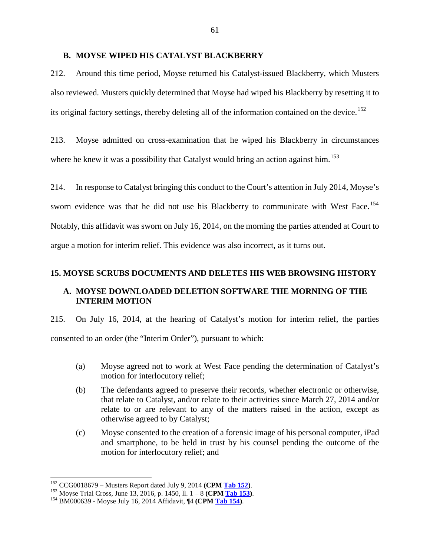#### **B. MOYSE WIPED HIS CATALYST BLACKBERRY**

212. Around this time period, Moyse returned his Catalyst-issued Blackberry, which Musters also reviewed. Musters quickly determined that Moyse had wiped his Blackberry by resetting it to its original factory settings, thereby deleting all of the information contained on the device.<sup>[152](#page-62-0)</sup>

213. Moyse admitted on cross-examination that he wiped his Blackberry in circumstances where he knew it was a possibility that Catalyst would bring an action against him.<sup>[153](#page-62-1)</sup>

214. In response to Catalyst bringing this conduct to the Court's attention in July 2014, Moyse's sworn evidence was that he did not use his Blackberry to communicate with West Face.<sup>[154](#page-62-2)</sup> Notably, this affidavit was sworn on July 16, 2014, on the morning the parties attended at Court to argue a motion for interim relief. This evidence was also incorrect, as it turns out.

#### **15. MOYSE SCRUBS DOCUMENTS AND DELETES HIS WEB BROWSING HISTORY**

## **A. MOYSE DOWNLOADED DELETION SOFTWARE THE MORNING OF THE INTERIM MOTION**

215. On July 16, 2014, at the hearing of Catalyst's motion for interim relief, the parties consented to an order (the "Interim Order"), pursuant to which:

- (a) Moyse agreed not to work at West Face pending the determination of Catalyst's motion for interlocutory relief;
- (b) The defendants agreed to preserve their records, whether electronic or otherwise, that relate to Catalyst, and/or relate to their activities since March 27, 2014 and/or relate to or are relevant to any of the matters raised in the action, except as otherwise agreed to by Catalyst;
- (c) Moyse consented to the creation of a forensic image of his personal computer, iPad and smartphone, to be held in trust by his counsel pending the outcome of the motion for interlocutory relief; and

<span id="page-62-1"></span><span id="page-62-0"></span><sup>&</sup>lt;sup>152</sup> CCG0018679 – Musters Report dated July 9, 2014 (CPM <u>Tab 152</u>).<br><sup>153</sup> Moyse Trial Cross, June 13, 2016, p. 1450, ll. 1 – 8 (CPM <u>Tab 153</u>).<br><sup>154</sup> BM000639 - Moyse July 16, 2014 Affidavit, ¶4 (CPM Tab 154).

<span id="page-62-2"></span>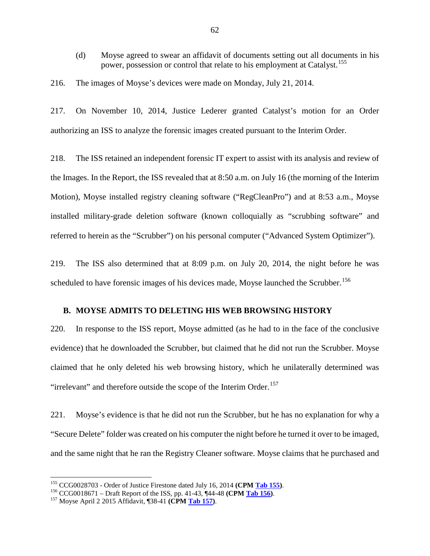(d) Moyse agreed to swear an affidavit of documents setting out all documents in his power, possession or control that relate to his employment at Catalyst.<sup>[155](#page-63-0)</sup>

216. The images of Moyse's devices were made on Monday, July 21, 2014.

217. On November 10, 2014, Justice Lederer granted Catalyst's motion for an Order authorizing an ISS to analyze the forensic images created pursuant to the Interim Order.

218. The ISS retained an independent forensic IT expert to assist with its analysis and review of the Images. In the Report, the ISS revealed that at 8:50 a.m. on July 16 (the morning of the Interim Motion), Moyse installed registry cleaning software ("RegCleanPro") and at 8:53 a.m., Moyse installed military-grade deletion software (known colloquially as "scrubbing software" and referred to herein as the "Scrubber") on his personal computer ("Advanced System Optimizer").

219. The ISS also determined that at 8:09 p.m. on July 20, 2014, the night before he was scheduled to have forensic images of his devices made, Moyse launched the Scrubber.<sup>[156](#page-63-1)</sup>

#### **B. MOYSE ADMITS TO DELETING HIS WEB BROWSING HISTORY**

220. In response to the ISS report, Moyse admitted (as he had to in the face of the conclusive evidence) that he downloaded the Scrubber, but claimed that he did not run the Scrubber. Moyse claimed that he only deleted his web browsing history, which he unilaterally determined was "irrelevant" and therefore outside the scope of the Interim Order.<sup>[157](#page-63-2)</sup>

221. Moyse's evidence is that he did not run the Scrubber, but he has no explanation for why a "Secure Delete" folder was created on his computer the night before he turned it over to be imaged, and the same night that he ran the Registry Cleaner software. Moyse claims that he purchased and

<span id="page-63-0"></span><sup>&</sup>lt;sup>155</sup> CCG0028703 - Order of Justice Firestone dated July 16, 2014 (CPM <u>Tab 155</u>).<br><sup>156</sup> CCG0018671 – Draft Report of the ISS, pp. 41-43, ¶44-48 (CPM <u>Tab 156</u>).<br><sup>157</sup> Moyse April 2 2015 Affidavit, ¶38-41 (CPM Tab 157).

<span id="page-63-1"></span>

<span id="page-63-2"></span>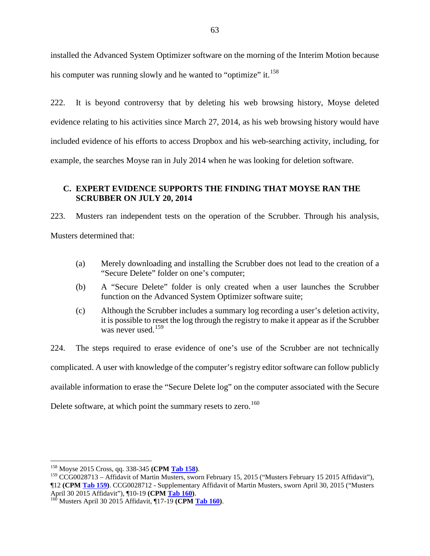installed the Advanced System Optimizer software on the morning of the Interim Motion because his computer was running slowly and he wanted to "optimize" it.<sup>[158](#page-64-0)</sup>

222. It is beyond controversy that by deleting his web browsing history, Moyse deleted evidence relating to his activities since March 27, 2014, as his web browsing history would have included evidence of his efforts to access Dropbox and his web-searching activity, including, for example, the searches Moyse ran in July 2014 when he was looking for deletion software.

## **C. EXPERT EVIDENCE SUPPORTS THE FINDING THAT MOYSE RAN THE SCRUBBER ON JULY 20, 2014**

223. Musters ran independent tests on the operation of the Scrubber. Through his analysis, Musters determined that:

- (a) Merely downloading and installing the Scrubber does not lead to the creation of a "Secure Delete" folder on one's computer;
- (b) A "Secure Delete" folder is only created when a user launches the Scrubber function on the Advanced System Optimizer software suite;
- (c) Although the Scrubber includes a summary log recording a user's deletion activity, it is possible to reset the log through the registry to make it appear as if the Scrubber was never used.<sup>[159](#page-64-1)</sup>

224. The steps required to erase evidence of one's use of the Scrubber are not technically complicated. A user with knowledge of the computer's registry editor software can follow publicly available information to erase the "Secure Delete log" on the computer associated with the Secure Delete software, at which point the summary resets to zero.<sup>[160](#page-64-2)</sup>

<span id="page-64-1"></span><span id="page-64-0"></span><sup>&</sup>lt;sup>158</sup> Moyse 2015 Cross, qq. 338-345 **(CPM <u>Tab 158</u>)**.<br><sup>159</sup> CCG0028713 – Affidavit of Martin Musters, sworn February 15, 2015 ("Musters February 15 2015 Affidavit"), ¶12 **(CPM Tab 159)**. CCG0028712 - Supplementary Affidavit of Martin Musters, sworn April 30, 2015 ("Musters

<span id="page-64-2"></span><sup>&</sup>lt;sup>160</sup> Musters April 30 2015 Affidavit, ¶17-19 **(CPM Tab 160)**.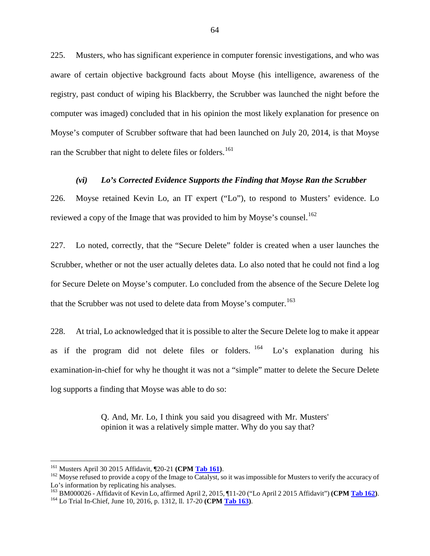225. Musters, who has significant experience in computer forensic investigations, and who was aware of certain objective background facts about Moyse (his intelligence, awareness of the registry, past conduct of wiping his Blackberry, the Scrubber was launched the night before the computer was imaged) concluded that in his opinion the most likely explanation for presence on Moyse's computer of Scrubber software that had been launched on July 20, 2014, is that Moyse ran the Scrubber that night to delete files or folders.<sup>[161](#page-65-0)</sup>

#### *(vi) Lo's Corrected Evidence Supports the Finding that Moyse Ran the Scrubber*

226. Moyse retained Kevin Lo, an IT expert ("Lo"), to respond to Musters' evidence. Lo reviewed a copy of the Image that was provided to him by Moyse's counsel.<sup>[162](#page-65-1)</sup>

227. Lo noted, correctly, that the "Secure Delete" folder is created when a user launches the Scrubber, whether or not the user actually deletes data. Lo also noted that he could not find a log for Secure Delete on Moyse's computer. Lo concluded from the absence of the Secure Delete log that the Scrubber was not used to delete data from Moyse's computer.<sup>[163](#page-65-2)</sup>

228. At trial, Lo acknowledged that it is possible to alter the Secure Delete log to make it appear as if the program did not delete files or folders.  $164$  Lo's explanation during his examination-in-chief for why he thought it was not a "simple" matter to delete the Secure Delete log supports a finding that Moyse was able to do so:

> Q. And, Mr. Lo, I think you said you disagreed with Mr. Musters' opinion it was a relatively simple matter. Why do you say that?

<span id="page-65-1"></span><span id="page-65-0"></span><sup>&</sup>lt;sup>161</sup> Musters April 30 2015 Affidavit, ¶20-21 **(CPM <u>Tab 161</u>)**.<br><sup>162</sup> Moyse refused to provide a copy of the Image to Catalyst, so it was impossible for Musters to verify the accuracy of Lo's information by replicating his analyses.

<span id="page-65-2"></span><sup>163</sup> BM000026 - Affidavit of Kevin Lo, affirmed April 2, 2015, ¶11-20 ("Lo April 2 2015 Affidavit") **(CPM Tab 162)**. <sup>164</sup> Lo Trial In-Chief, June 10, 2016, p. 1312, ll. 17-20 **(CPM Tab 163)**.

<span id="page-65-3"></span>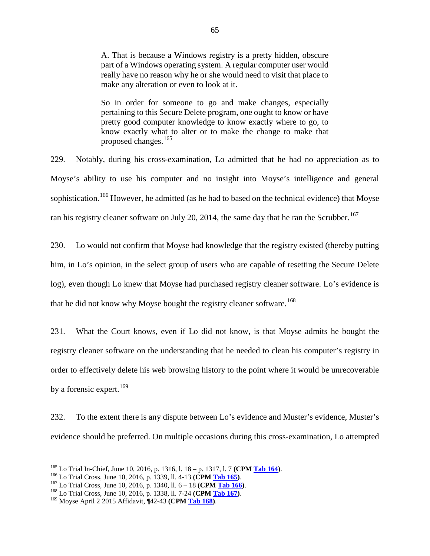A. That is because a Windows registry is a pretty hidden, obscure part of a Windows operating system. A regular computer user would really have no reason why he or she would need to visit that place to make any alteration or even to look at it.

So in order for someone to go and make changes, especially pertaining to this Secure Delete program, one ought to know or have pretty good computer knowledge to know exactly where to go, to know exactly what to alter or to make the change to make that proposed changes.[165](#page-66-0)

229. Notably, during his cross-examination, Lo admitted that he had no appreciation as to Moyse's ability to use his computer and no insight into Moyse's intelligence and general sophistication.<sup>[166](#page-66-1)</sup> However, he admitted (as he had to based on the technical evidence) that Moyse ran his registry cleaner software on July 20, 2014, the same day that he ran the Scrubber.<sup>[167](#page-66-2)</sup>

230. Lo would not confirm that Moyse had knowledge that the registry existed (thereby putting him, in Lo's opinion, in the select group of users who are capable of resetting the Secure Delete log), even though Lo knew that Moyse had purchased registry cleaner software. Lo's evidence is that he did not know why Moyse bought the registry cleaner software.<sup>[168](#page-66-3)</sup>

231. What the Court knows, even if Lo did not know, is that Moyse admits he bought the registry cleaner software on the understanding that he needed to clean his computer's registry in order to effectively delete his web browsing history to the point where it would be unrecoverable by a forensic expert.<sup>[169](#page-66-4)</sup>

232. To the extent there is any dispute between Lo's evidence and Muster's evidence, Muster's evidence should be preferred. On multiple occasions during this cross-examination, Lo attempted

<span id="page-66-0"></span><sup>&</sup>lt;sup>165</sup> Lo Trial In-Chief, June 10, 2016, p. 1316, l. 18 – p. 1317, l. 7 (CPM <u>Tab 164</u>).<br><sup>166</sup> Lo Trial Cross, June 10, 2016, p. 1339, ll. 4-13 (CPM <u>Tab 165</u>).<br><sup>167</sup> Lo Trial Cross, June 10, 2016, p. 1340, ll. 6 – 18 (CPM

<span id="page-66-1"></span>

<span id="page-66-2"></span>

<span id="page-66-3"></span>

<span id="page-66-4"></span>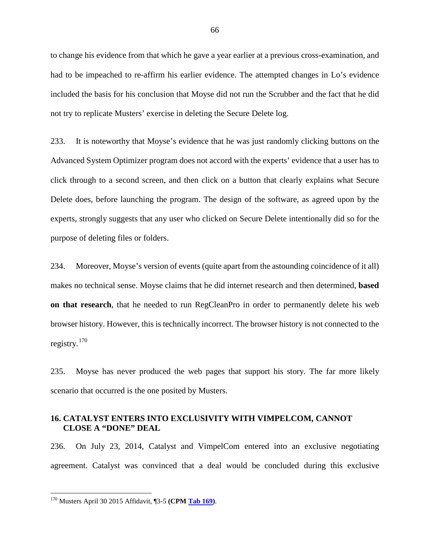to change his evidence from that which he gave a year earlier at a previous cross-examination, and had to be impeached to re-affirm his earlier evidence. The attempted changes in Lo's evidence included the basis for his conclusion that Moyse did not run the Scrubber and the fact that he did not try to replicate Musters' exercise in deleting the Secure Delete log.

233. It is noteworthy that Moyse's evidence that he was just randomly clicking buttons on the Advanced System Optimizer program does not accord with the experts' evidence that a user has to click through to a second screen, and then click on a button that clearly explains what Secure Delete does, before launching the program. The design of the software, as agreed upon by the experts, strongly suggests that any user who clicked on Secure Delete intentionally did so for the purpose of deleting files or folders.

234. Moreover, Moyse's version of events (quite apart from the astounding coincidence of it all) makes no technical sense. Moyse claims that he did internet research and then determined, **based on that research**, that he needed to run RegCleanPro in order to permanently delete his web browser history. However, this is technically incorrect. The browser history is not connected to the registry.[170](#page-67-0)

235. Moyse has never produced the web pages that support his story. The far more likely scenario that occurred is the one posited by Musters.

## **16. CATALYST ENTERS INTO EXCLUSIVITY WITH VIMPELCOM, CANNOT CLOSE A "DONE" DEAL**

236. On July 23, 2014, Catalyst and VimpelCom entered into an exclusive negotiating agreement. Catalyst was convinced that a deal would be concluded during this exclusive

<span id="page-67-0"></span> <sup>170</sup> Musters April 30 2015 Affidavit, ¶3-5 **(CPM Tab 169)**.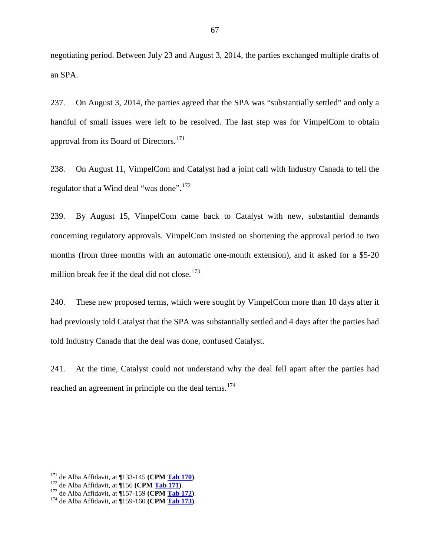negotiating period. Between July 23 and August 3, 2014, the parties exchanged multiple drafts of an SPA.

237. On August 3, 2014, the parties agreed that the SPA was "substantially settled" and only a handful of small issues were left to be resolved. The last step was for VimpelCom to obtain approval from its Board of Directors.<sup>[171](#page-68-0)</sup>

238. On August 11, VimpelCom and Catalyst had a joint call with Industry Canada to tell the regulator that a Wind deal "was done".<sup>[172](#page-68-1)</sup>

239. By August 15, VimpelCom came back to Catalyst with new, substantial demands concerning regulatory approvals. VimpelCom insisted on shortening the approval period to two months (from three months with an automatic one-month extension), and it asked for a \$5-20 million break fee if the deal did not close. [173](#page-68-2)

240. These new proposed terms, which were sought by VimpelCom more than 10 days after it had previously told Catalyst that the SPA was substantially settled and 4 days after the parties had told Industry Canada that the deal was done, confused Catalyst.

241. At the time, Catalyst could not understand why the deal fell apart after the parties had reached an agreement in principle on the deal terms.<sup>[174](#page-68-3)</sup>

<span id="page-68-2"></span><span id="page-68-1"></span>

<span id="page-68-0"></span><sup>&</sup>lt;sup>171</sup> de Alba Affidavit, at ¶133-145 (CPM <u>Tab 170</u>).<br><sup>172</sup> de Alba Affidavit, at ¶156 (CPM <u>Tab 171</u>).<br><sup>173</sup> de Alba Affidavit, at ¶157-159 (CPM <u>Tab 172</u>).<br><sup>174</sup> de Alba Affidavit, at ¶159-160 (CPM <u>Tab 173</u>).

<span id="page-68-3"></span>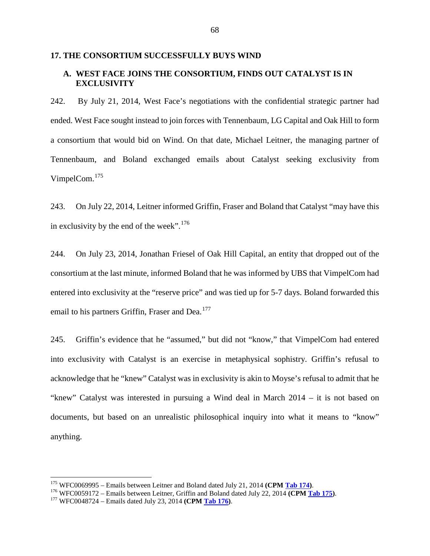## **17. THE CONSORTIUM SUCCESSFULLY BUYS WIND**

## **A. WEST FACE JOINS THE CONSORTIUM, FINDS OUT CATALYST IS IN EXCLUSIVITY**

242. By July 21, 2014, West Face's negotiations with the confidential strategic partner had ended. West Face sought instead to join forces with Tennenbaum, LG Capital and Oak Hill to form a consortium that would bid on Wind. On that date, Michael Leitner, the managing partner of Tennenbaum, and Boland exchanged emails about Catalyst seeking exclusivity from VimpelCom.[175](#page-69-0)

243. On July 22, 2014, Leitner informed Griffin, Fraser and Boland that Catalyst "may have this in exclusivity by the end of the week".<sup>[176](#page-69-1)</sup>

244. On July 23, 2014, Jonathan Friesel of Oak Hill Capital, an entity that dropped out of the consortium at the last minute, informed Boland that he was informed by UBS that VimpelCom had entered into exclusivity at the "reserve price" and was tied up for 5-7 days. Boland forwarded this email to his partners Griffin, Fraser and Dea.<sup>[177](#page-69-2)</sup>

245. Griffin's evidence that he "assumed," but did not "know," that VimpelCom had entered into exclusivity with Catalyst is an exercise in metaphysical sophistry. Griffin's refusal to acknowledge that he "knew" Catalyst was in exclusivity is akin to Moyse's refusal to admit that he "knew" Catalyst was interested in pursuing a Wind deal in March 2014 – it is not based on documents, but based on an unrealistic philosophical inquiry into what it means to "know" anything.

<span id="page-69-1"></span><span id="page-69-0"></span><sup>&</sup>lt;sup>175</sup> WFC0069995 – Emails between Leitner and Boland dated July 21, 2014 (CPM Tab 174).<br><sup>176</sup> WFC0059172 – Emails between Leitner, Griffin and Boland dated July 22, 2014 (CPM Tab 175).<br><sup>177</sup> WFC0048724 – Emails dated July

<span id="page-69-2"></span>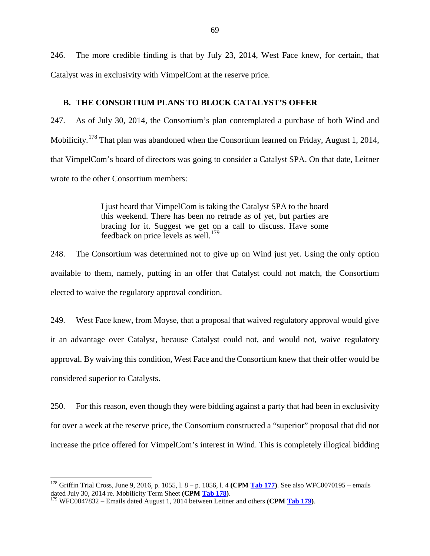246. The more credible finding is that by July 23, 2014, West Face knew, for certain, that Catalyst was in exclusivity with VimpelCom at the reserve price.

#### **B. THE CONSORTIUM PLANS TO BLOCK CATALYST'S OFFER**

247. As of July 30, 2014, the Consortium's plan contemplated a purchase of both Wind and Mobilicity.<sup>[178](#page-70-0)</sup> That plan was abandoned when the Consortium learned on Friday, August 1, 2014, that VimpelCom's board of directors was going to consider a Catalyst SPA. On that date, Leitner wrote to the other Consortium members:

> I just heard that VimpelCom is taking the Catalyst SPA to the board this weekend. There has been no retrade as of yet, but parties are bracing for it. Suggest we get on a call to discuss. Have some feedback on price levels as well.<sup>[179](#page-70-1)</sup>

248. The Consortium was determined not to give up on Wind just yet. Using the only option available to them, namely, putting in an offer that Catalyst could not match, the Consortium elected to waive the regulatory approval condition.

249. West Face knew, from Moyse, that a proposal that waived regulatory approval would give it an advantage over Catalyst, because Catalyst could not, and would not, waive regulatory approval. By waiving this condition, West Face and the Consortium knew that their offer would be considered superior to Catalysts.

250. For this reason, even though they were bidding against a party that had been in exclusivity for over a week at the reserve price, the Consortium constructed a "superior" proposal that did not increase the price offered for VimpelCom's interest in Wind. This is completely illogical bidding

<span id="page-70-0"></span><sup>&</sup>lt;sup>178</sup> Griffin Trial Cross, June 9, 2016, p. 1055, l. 8 – p. 1056, l. 4 (**CPM <u>Tab 177</u>**). See also WFC0070195 – emails dated July 30, 2014 re. Mobilicity Term Sheet (**CPM <u>Tab 178</u>**).

<span id="page-70-1"></span> $1^{19}$  WFC0047832 – Emails dated August 1, 2014 between Leitner and others **(CPM** Tab 179).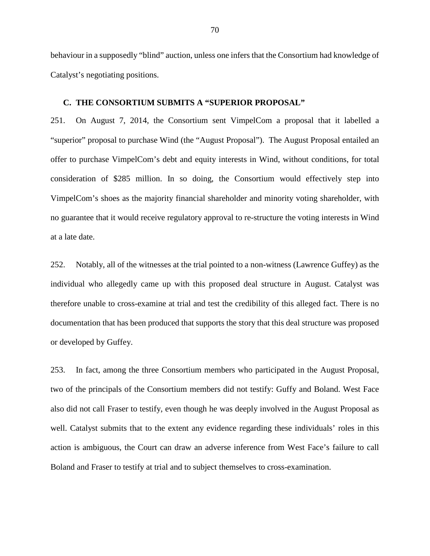behaviour in a supposedly "blind" auction, unless one infers that the Consortium had knowledge of Catalyst's negotiating positions.

#### **C. THE CONSORTIUM SUBMITS A "SUPERIOR PROPOSAL"**

251. On August 7, 2014, the Consortium sent VimpelCom a proposal that it labelled a "superior" proposal to purchase Wind (the "August Proposal"). The August Proposal entailed an offer to purchase VimpelCom's debt and equity interests in Wind, without conditions, for total consideration of \$285 million. In so doing, the Consortium would effectively step into VimpelCom's shoes as the majority financial shareholder and minority voting shareholder, with no guarantee that it would receive regulatory approval to re-structure the voting interests in Wind at a late date.

252. Notably, all of the witnesses at the trial pointed to a non-witness (Lawrence Guffey) as the individual who allegedly came up with this proposed deal structure in August. Catalyst was therefore unable to cross-examine at trial and test the credibility of this alleged fact. There is no documentation that has been produced that supports the story that this deal structure was proposed or developed by Guffey.

253. In fact, among the three Consortium members who participated in the August Proposal, two of the principals of the Consortium members did not testify: Guffy and Boland. West Face also did not call Fraser to testify, even though he was deeply involved in the August Proposal as well. Catalyst submits that to the extent any evidence regarding these individuals' roles in this action is ambiguous, the Court can draw an adverse inference from West Face's failure to call Boland and Fraser to testify at trial and to subject themselves to cross-examination.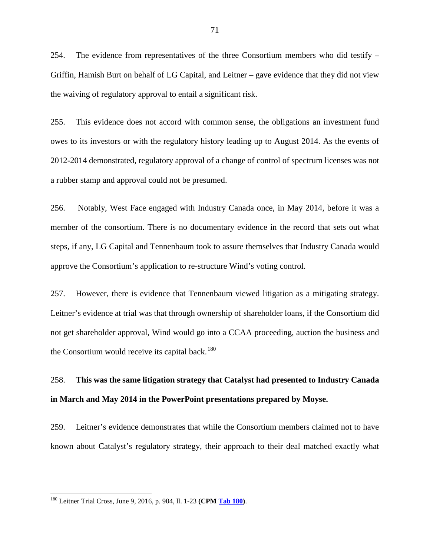254. The evidence from representatives of the three Consortium members who did testify – Griffin, Hamish Burt on behalf of LG Capital, and Leitner – gave evidence that they did not view the waiving of regulatory approval to entail a significant risk.

255. This evidence does not accord with common sense, the obligations an investment fund owes to its investors or with the regulatory history leading up to August 2014. As the events of 2012-2014 demonstrated, regulatory approval of a change of control of spectrum licenses was not a rubber stamp and approval could not be presumed.

256. Notably, West Face engaged with Industry Canada once, in May 2014, before it was a member of the consortium. There is no documentary evidence in the record that sets out what steps, if any, LG Capital and Tennenbaum took to assure themselves that Industry Canada would approve the Consortium's application to re-structure Wind's voting control.

257. However, there is evidence that Tennenbaum viewed litigation as a mitigating strategy. Leitner's evidence at trial was that through ownership of shareholder loans, if the Consortium did not get shareholder approval, Wind would go into a CCAA proceeding, auction the business and the Consortium would receive its capital back. $180$ 

# 258. **This was the same litigation strategy that Catalyst had presented to Industry Canada in March and May 2014 in the PowerPoint presentations prepared by Moyse.**

259. Leitner's evidence demonstrates that while the Consortium members claimed not to have known about Catalyst's regulatory strategy, their approach to their deal matched exactly what

<span id="page-72-0"></span> <sup>180</sup> Leitner Trial Cross, June 9, 2016, p. 904, ll. 1-23 **(CPM Tab 180)**.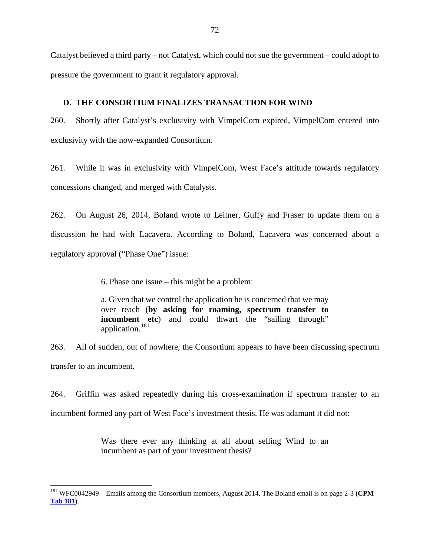Catalyst believed a third party – not Catalyst, which could not sue the government – could adopt to pressure the government to grant it regulatory approval.

#### **D. THE CONSORTIUM FINALIZES TRANSACTION FOR WIND**

260. Shortly after Catalyst's exclusivity with VimpelCom expired, VimpelCom entered into exclusivity with the now-expanded Consortium.

261. While it was in exclusivity with VimpelCom, West Face's attitude towards regulatory concessions changed, and merged with Catalysts.

262. On August 26, 2014, Boland wrote to Leitner, Guffy and Fraser to update them on a discussion he had with Lacavera. According to Boland, Lacavera was concerned about a regulatory approval ("Phase One") issue:

6. Phase one issue – this might be a problem:

a. Given that we control the application he is concerned that we may over reach (**by asking for roaming, spectrum transfer to incumbent** etc) and could thwart the "sailing through" application.<sup>[181](#page-73-0)</sup>

263. All of sudden, out of nowhere, the Consortium appears to have been discussing spectrum transfer to an incumbent.

264. Griffin was asked repeatedly during his cross-examination if spectrum transfer to an incumbent formed any part of West Face's investment thesis. He was adamant it did not:

> Was there ever any thinking at all about selling Wind to an incumbent as part of your investment thesis?

<span id="page-73-0"></span> <sup>181</sup> WFC0042949 – Emails among the Consortium members, August 2014. The Boland email is on page 2-3 **(CPM Tab 181)**.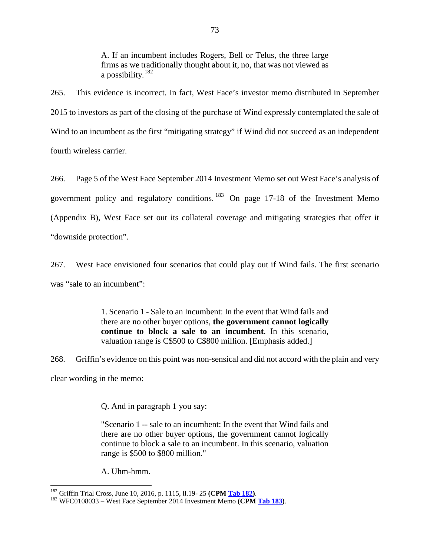A. If an incumbent includes Rogers, Bell or Telus, the three large firms as we traditionally thought about it, no, that was not viewed as a possibility. $182$ 

265. This evidence is incorrect. In fact, West Face's investor memo distributed in September 2015 to investors as part of the closing of the purchase of Wind expressly contemplated the sale of Wind to an incumbent as the first "mitigating strategy" if Wind did not succeed as an independent fourth wireless carrier.

266. Page 5 of the West Face September 2014 Investment Memo set out West Face's analysis of government policy and regulatory conditions. [183](#page-74-1) On page 17-18 of the Investment Memo (Appendix B), West Face set out its collateral coverage and mitigating strategies that offer it "downside protection".

267. West Face envisioned four scenarios that could play out if Wind fails. The first scenario was "sale to an incumbent":

> 1. Scenario 1 - Sale to an Incumbent: In the event that Wind fails and there are no other buyer options, **the government cannot logically continue to block a sale to an incumbent**. In this scenario, valuation range is C\$500 to C\$800 million. [Emphasis added.]

268. Griffin's evidence on this point was non-sensical and did not accord with the plain and very clear wording in the memo:

Q. And in paragraph 1 you say:

"Scenario 1 -- sale to an incumbent: In the event that Wind fails and there are no other buyer options, the government cannot logically continue to block a sale to an incumbent. In this scenario, valuation range is \$500 to \$800 million."

A. Uhm-hmm.

<span id="page-74-1"></span><span id="page-74-0"></span><sup>182</sup> Griffin Trial Cross, June 10, 2016, p. 1115, ll.19- <sup>25</sup>**(CPM Tab 182)**. <sup>183</sup> WFC0108033 – West Face September 2014 Investment Memo **(CPM Tab 183)**.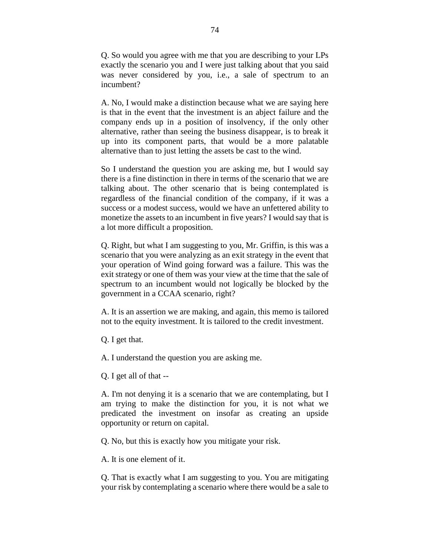Q. So would you agree with me that you are describing to your LPs exactly the scenario you and I were just talking about that you said was never considered by you, i.e., a sale of spectrum to an incumbent?

A. No, I would make a distinction because what we are saying here is that in the event that the investment is an abject failure and the company ends up in a position of insolvency, if the only other alternative, rather than seeing the business disappear, is to break it up into its component parts, that would be a more palatable alternative than to just letting the assets be cast to the wind.

So I understand the question you are asking me, but I would say there is a fine distinction in there in terms of the scenario that we are talking about. The other scenario that is being contemplated is regardless of the financial condition of the company, if it was a success or a modest success, would we have an unfettered ability to monetize the assets to an incumbent in five years? I would say that is a lot more difficult a proposition.

Q. Right, but what I am suggesting to you, Mr. Griffin, is this was a scenario that you were analyzing as an exit strategy in the event that your operation of Wind going forward was a failure. This was the exit strategy or one of them was your view at the time that the sale of spectrum to an incumbent would not logically be blocked by the government in a CCAA scenario, right?

A. It is an assertion we are making, and again, this memo is tailored not to the equity investment. It is tailored to the credit investment.

Q. I get that.

A. I understand the question you are asking me.

Q. I get all of that --

A. I'm not denying it is a scenario that we are contemplating, but I am trying to make the distinction for you, it is not what we predicated the investment on insofar as creating an upside opportunity or return on capital.

Q. No, but this is exactly how you mitigate your risk.

A. It is one element of it.

Q. That is exactly what I am suggesting to you. You are mitigating your risk by contemplating a scenario where there would be a sale to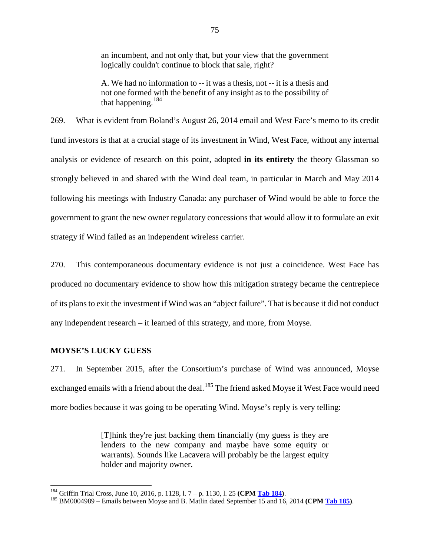an incumbent, and not only that, but your view that the government logically couldn't continue to block that sale, right?

A. We had no information to -- it was a thesis, not -- it is a thesis and not one formed with the benefit of any insight as to the possibility of that happening.<sup>[184](#page-76-0)</sup>

269. What is evident from Boland's August 26, 2014 email and West Face's memo to its credit fund investors is that at a crucial stage of its investment in Wind, West Face, without any internal analysis or evidence of research on this point, adopted **in its entirety** the theory Glassman so strongly believed in and shared with the Wind deal team, in particular in March and May 2014 following his meetings with Industry Canada: any purchaser of Wind would be able to force the government to grant the new owner regulatory concessions that would allow it to formulate an exit strategy if Wind failed as an independent wireless carrier.

270. This contemporaneous documentary evidence is not just a coincidence. West Face has produced no documentary evidence to show how this mitigation strategy became the centrepiece of its plans to exit the investment if Wind was an "abject failure". That is because it did not conduct any independent research – it learned of this strategy, and more, from Moyse.

## **MOYSE'S LUCKY GUESS**

271. In September 2015, after the Consortium's purchase of Wind was announced, Moyse exchanged emails with a friend about the deal.<sup>[185](#page-76-1)</sup> The friend asked Moyse if West Face would need more bodies because it was going to be operating Wind. Moyse's reply is very telling:

> [T]hink they're just backing them financially (my guess is they are lenders to the new company and maybe have some equity or warrants). Sounds like Lacavera will probably be the largest equity holder and majority owner.

<span id="page-76-1"></span><span id="page-76-0"></span><sup>&</sup>lt;sup>184</sup> Griffin Trial Cross, June 10, 2016, p. 1128, l. 7 – p. 1130, l. 25 **(CPM <u>Tab 184</u>)**.<br><sup>185</sup> BM0004989 – Emails between Moyse and B. Matlin dated September 15 and 16, 2014 **(CPM <u>Tab 185</u>)**.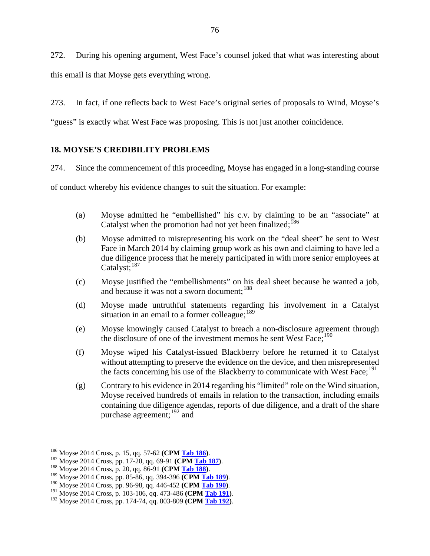272. During his opening argument, West Face's counsel joked that what was interesting about this email is that Moyse gets everything wrong.

273. In fact, if one reflects back to West Face's original series of proposals to Wind, Moyse's

"guess" is exactly what West Face was proposing. This is not just another coincidence.

# **18. MOYSE'S CREDIBILITY PROBLEMS**

274. Since the commencement of this proceeding, Moyse has engaged in a long-standing course

of conduct whereby his evidence changes to suit the situation. For example:

- (a) Moyse admitted he "embellished" his c.v. by claiming to be an "associate" at Catalyst when the promotion had not yet been finalized;<sup>[186](#page-77-0)</sup>
- (b) Moyse admitted to misrepresenting his work on the "deal sheet" he sent to West Face in March 2014 by claiming group work as his own and claiming to have led a due diligence process that he merely participated in with more senior employees at Catalyst; $^{187}$  $^{187}$  $^{187}$
- (c) Moyse justified the "embellishments" on his deal sheet because he wanted a job, and because it was not a sworn document: <sup>[188](#page-77-2)</sup>
- (d) Moyse made untruthful statements regarding his involvement in a Catalyst situation in an email to a former colleague;  $189$
- (e) Moyse knowingly caused Catalyst to breach a non-disclosure agreement through the disclosure of one of the investment memos he sent West Face;<sup>[190](#page-77-4)</sup>
- (f) Moyse wiped his Catalyst-issued Blackberry before he returned it to Catalyst without attempting to preserve the evidence on the device, and then misrepresented the facts concerning his use of the Blackberry to communicate with West Face;<sup>[191](#page-77-5)</sup>
- (g) Contrary to his evidence in 2014 regarding his "limited" role on the Wind situation, Moyse received hundreds of emails in relation to the transaction, including emails containing due diligence agendas, reports of due diligence, and a draft of the share purchase agreement:  $192$  and

<span id="page-77-2"></span>

<span id="page-77-1"></span><span id="page-77-0"></span><sup>&</sup>lt;sup>186</sup> Moyse 2014 Cross, p. 15, qq. 57-62 (**CPM <u>Tab 186</u>**).<br><sup>187</sup> Moyse 2014 Cross, pp. 17-20, qq. 69-91 (**CPM <u>Tab 187</u>)**.<br><sup>188</sup> Moyse 2014 Cross, p. 20, qq. 86-91 (**CPM <u>Tab 188</u>)**.<br><sup>189</sup> Moyse 2014 Cross, pp. 85-86, qq

<span id="page-77-4"></span><span id="page-77-3"></span>

<span id="page-77-5"></span>

<span id="page-77-6"></span>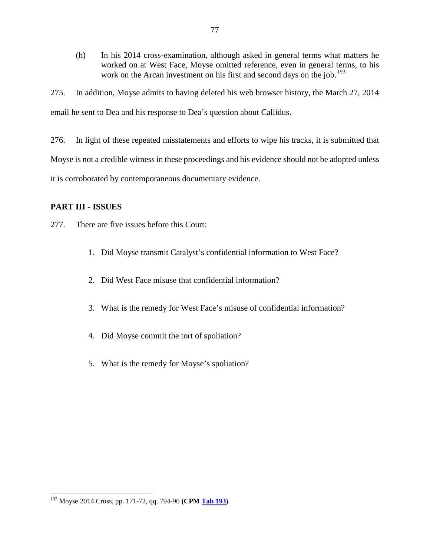(h) In his 2014 cross-examination, although asked in general terms what matters he worked on at West Face, Moyse omitted reference, even in general terms, to his work on the Arcan investment on his first and second days on the job.<sup>[193](#page-78-0)</sup>

275. In addition, Moyse admits to having deleted his web browser history, the March 27, 2014 email he sent to Dea and his response to Dea's question about Callidus.

276. In light of these repeated misstatements and efforts to wipe his tracks, it is submitted that Moyse is not a credible witness in these proceedings and his evidence should not be adopted unless it is corroborated by contemporaneous documentary evidence.

# **PART III - ISSUES**

277. There are five issues before this Court:

- 1. Did Moyse transmit Catalyst's confidential information to West Face?
- 2. Did West Face misuse that confidential information?
- 3. What is the remedy for West Face's misuse of confidential information?
- 4. Did Moyse commit the tort of spoliation?
- 5. What is the remedy for Moyse's spoliation?

<span id="page-78-0"></span> <sup>193</sup> Moyse 2014 Cross, pp. 171-72, qq. 794-96 **(CPM Tab 193)**.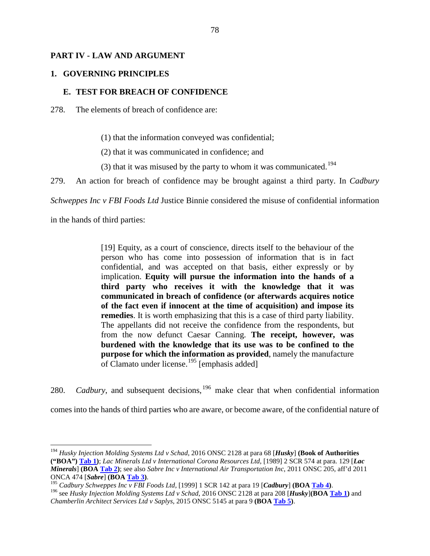#### **PART IV - LAW AND ARGUMENT**

#### **1. GOVERNING PRINCIPLES**

#### **E. TEST FOR BREACH OF CONFIDENCE**

278. The elements of breach of confidence are:

(1) that the information conveyed was confidential;

(2) that it was communicated in confidence; and

(3) that it was misused by the party to whom it was communicated.<sup>[194](#page-79-0)</sup>

279. An action for breach of confidence may be brought against a third party. In *Cadbury* 

*Schweppes Inc v FBI Foods Ltd* Justice Binnie considered the misuse of confidential information

in the hands of third parties:

[19] Equity, as a court of conscience, directs itself to the behaviour of the person who has come into possession of information that is in fact confidential, and was accepted on that basis, either expressly or by implication. **Equity will pursue the information into the hands of a third party who receives it with the knowledge that it was communicated in breach of confidence (or afterwards acquires notice of the fact even if innocent at the time of acquisition) and impose its remedies**. It is worth emphasizing that this is a case of third party liability. The appellants did not receive the confidence from the respondents, but from the now defunct Caesar Canning. **The receipt, however, was burdened with the knowledge that its use was to be confined to the purpose for which the information as provided**, namely the manufacture of Clamato under license.<sup>[195](#page-79-1)</sup> [emphasis added]

280. *Cadbury*, and subsequent decisions, <sup>[196](#page-79-2)</sup> make clear that when confidential information

comes into the hands of third parties who are aware, or become aware, of the confidential nature of

<span id="page-79-0"></span> <sup>194</sup> *Husky Injection Molding Systems Ltd v Schad*, 2016 ONSC 2128 at para 68 [*Husky*] **(Book of Authorities ("BOA") Tab 1)**; *Lac Minerals Ltd v International Corona Resources Ltd*, [1989] 2 SCR 574 at para. 129 [*Lac Minerals*] **(BOA Tab 2)**; see also *Sabre Inc v International Air Transportation Inc*, 2011 ONSC 205, aff'd 2011 ONCA 474 [Sabre] (BOA Tab 3).<br><sup>195</sup> Cadbury Schweppes Inc v FBI Foods Ltd, [1999] 1 SCR 142 at para 19 [Cadbury] (BOA Tab 4).<br><sup>196</sup> see Husky Injection Molding Systems Ltd v Schad, 2016 ONSC 2128 at para 208 [Husky](BOA Ta

<span id="page-79-1"></span>

<span id="page-79-2"></span>*Chamberlin Architect Services Ltd v Saplys*, 2015 ONSC 5145 at para 9 **(BOA Tab 5)**.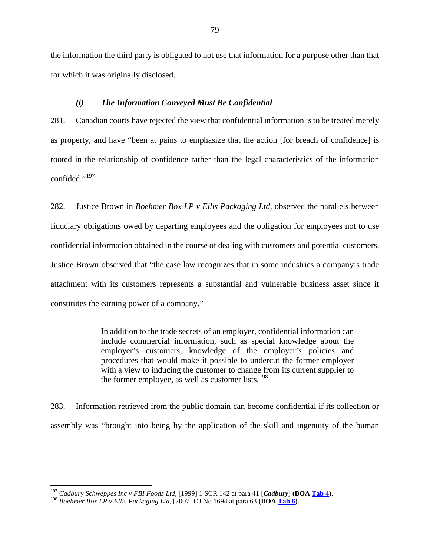the information the third party is obligated to not use that information for a purpose other than that for which it was originally disclosed.

#### *(i) The Information Conveyed Must Be Confidential*

281. Canadian courts have rejected the view that confidential information is to be treated merely as property, and have "been at pains to emphasize that the action [for breach of confidence] is rooted in the relationship of confidence rather than the legal characteristics of the information confided."<sup>[197](#page-80-0)</sup>

282. Justice Brown in *Boehmer Box LP v Ellis Packaging Ltd,* observed the parallels between fiduciary obligations owed by departing employees and the obligation for employees not to use confidential information obtained in the course of dealing with customers and potential customers. Justice Brown observed that "the case law recognizes that in some industries a company's trade attachment with its customers represents a substantial and vulnerable business asset since it constitutes the earning power of a company."

> In addition to the trade secrets of an employer, confidential information can include commercial information, such as special knowledge about the employer's customers, knowledge of the employer's policies and procedures that would make it possible to undercut the former employer with a view to inducing the customer to change from its current supplier to the former employee, as well as customer lists.<sup>[198](#page-80-1)</sup>

283. Information retrieved from the public domain can become confidential if its collection or assembly was "brought into being by the application of the skill and ingenuity of the human

<span id="page-80-0"></span><sup>&</sup>lt;sup>197</sup> Cadbury Schweppes Inc v FBI Foods Ltd, [1999] 1 SCR 142 at para 41 [Cadbury] (BOA <u>Tab 4</u>).<br><sup>198</sup> Boehmer Box LP v Ellis Packaging Ltd, [2007] OJ No 1694 at para 63 (BOA <u>Tab 6</u>).

<span id="page-80-1"></span>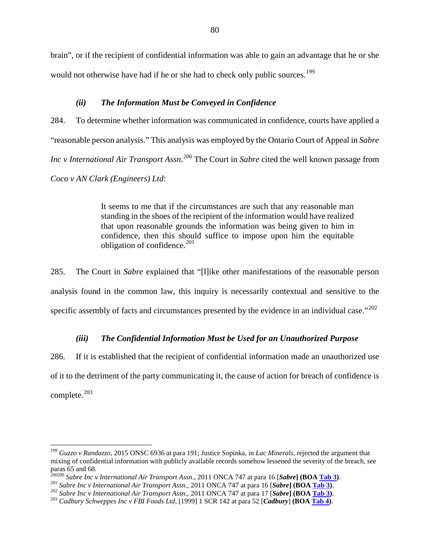brain", or if the recipient of confidential information was able to gain an advantage that he or she would not otherwise have had if he or she had to check only public sources.<sup>[199](#page-81-0)</sup>

## *(ii) The Information Must be Conveyed in Confidence*

284. To determine whether information was communicated in confidence, courts have applied a "reasonable person analysis." This analysis was employed by the Ontario Court of Appeal in *Sabre Inc v International Air Transport Assn.*<sup>[200](#page-81-1)</sup> The Court in *Sabre* cited the well known passage from *Coco v AN Clark (Engineers) Ltd*:

> It seems to me that if the circumstances are such that any reasonable man standing in the shoes of the recipient of the information would have realized that upon reasonable grounds the information was being given to him in confidence, then this should suffice to impose upon him the equitable obligation of confidence.<sup>[201](#page-81-2)</sup>

285. The Court in *Sabre* explained that "[l]ike other manifestations of the reasonable person analysis found in the common law, this inquiry is necessarily contextual and sensitive to the specific assembly of facts and circumstances presented by the evidence in an individual case."<sup>[202](#page-81-3)</sup>

# *(iii) The Confidential Information Must be Used for an Unauthorized Purpose*

286. If it is established that the recipient of confidential information made an unauthorized use of it to the detriment of the party communicating it, the cause of action for breach of confidence is complete.<sup>[203](#page-81-4)</sup>

<span id="page-81-0"></span> <sup>199</sup> *Guzzo v Randazzo*, 2015 ONSC 6936 at para 191; Justice Sopinka, in *Lac Minerals*, rejected the argument that mixing of confidential information with publicly available records somehow lessened the severity of the breach, see paras 65 and 68.<br><sup>200200</sup> Sabre Inc v International Air Transport Assn., 2011 ONCA 747 at para 16 [Sabre] (BOA Tab 3).

<span id="page-81-1"></span>

<span id="page-81-3"></span><span id="page-81-2"></span><sup>&</sup>lt;sup>201</sup> Sabre Inc v International Air Transport Assn., 2011 ONCA 747 at para 16 [Sabre] (BOA Tab 3).<br><sup>202</sup> Sabre Inc v International Air Transport Assn., 2011 ONCA 747 at para 17 [Sabre] (BOA Tab 3).<br><sup>203</sup> Cadbury Schweppes

<span id="page-81-4"></span>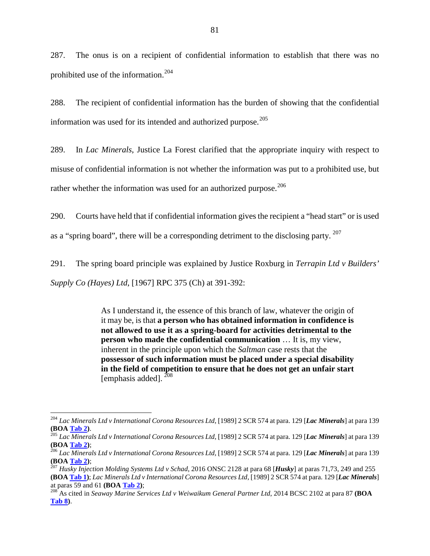287. The onus is on a recipient of confidential information to establish that there was no prohibited use of the information.[204](#page-82-0)

288. The recipient of confidential information has the burden of showing that the confidential information was used for its intended and authorized purpose.<sup>[205](#page-82-1)</sup>

289. In *Lac Minerals*, Justice La Forest clarified that the appropriate inquiry with respect to misuse of confidential information is not whether the information was put to a prohibited use, but rather whether the information was used for an authorized purpose.<sup>[206](#page-82-2)</sup>

290. Courts have held that if confidential information gives the recipient a "head start" or is used as a "spring board", there will be a corresponding detriment to the disclosing party. [207](#page-82-3)

291. The spring board principle was explained by Justice Roxburg in *Terrapin Ltd v Builders' Supply Co (Hayes) Ltd*, [1967] RPC 375 (Ch) at 391-392:

> As I understand it, the essence of this branch of law, whatever the origin of it may be, is that **a person who has obtained information in confidence is not allowed to use it as a spring-board for activities detrimental to the person who made the confidential communication** … It is, my view, inherent in the principle upon which the *Saltman* case rests that the **possessor of such information must be placed under a special disability in the field of competition to ensure that he does not get an unfair start** [emphasis added].  $^{208}$  $^{208}$  $^{208}$

<span id="page-82-0"></span> <sup>204</sup> *Lac Minerals Ltd v International Corona Resources Ltd*, [1989] 2 SCR 574 at para. 129 [*Lac Minerals*] at para 139

<span id="page-82-1"></span>**<sup>(</sup>BOA Tab 2)**. <sup>205</sup> *Lac Minerals Ltd v International Corona Resources Ltd*, [1989] 2 SCR 574 at para. 129 [*Lac Minerals*] at para 139

<span id="page-82-2"></span>**<sup>(</sup>BOA Tab 2)**; <sup>206</sup> *Lac Minerals Ltd v International Corona Resources Ltd*, [1989] 2 SCR 574 at para. 129 [*Lac Minerals*] at para 139

<span id="page-82-3"></span><sup>&</sup>lt;sup>207</sup> *Husky Injection Molding Systems Ltd v Schad*, 2016 ONSC 2128 at para 68 [*Husky*] at paras 71,73, 249 and 255 **(BOA Tab 1)**; *Lac Minerals Ltd v International Corona Resources Ltd*, [1989] 2 SCR 574 at para. 129 [*Lac Minerals*] at paras 59 and 61 **(BOA Tab 2)**; <sup>208</sup> As cited in *Seaway Marine Services Ltd v Weiwaikum General Partner Ltd*, 2014 BCSC 2102 at para 87 **(BOA** 

<span id="page-82-4"></span>**Tab 8)**.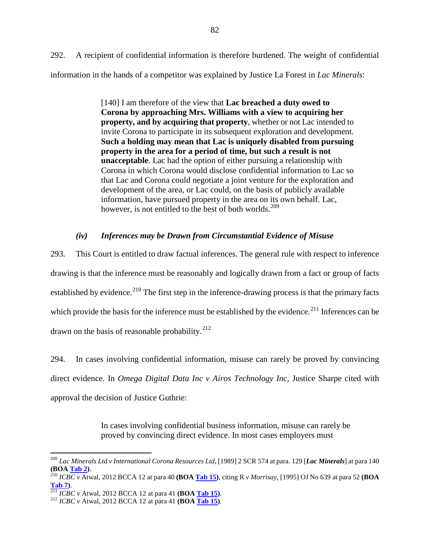292. A recipient of confidential information is therefore burdened. The weight of confidential information in the hands of a competitor was explained by Justice La Forest in *Lac Minerals*:

> [140] I am therefore of the view that **Lac breached a duty owed to Corona by approaching Mrs. Williams with a view to acquiring her property, and by acquiring that property**, whether or not Lac intended to invite Corona to participate in its subsequent exploration and development. **Such a holding may mean that Lac is uniquely disabled from pursuing property in the area for a period of time, but such a result is not unacceptable**. Lac had the option of either pursuing a relationship with Corona in which Corona would disclose confidential information to Lac so that Lac and Corona could negotiate a joint venture for the exploration and development of the area, or Lac could, on the basis of publicly available information, have pursued property in the area on its own behalf. Lac, however, is not entitled to the best of both worlds.<sup>[209](#page-83-0)</sup>

# *(iv) Inferences may be Drawn from Circumstantial Evidence of Misuse*

293. This Court is entitled to draw factual inferences. The general rule with respect to inference drawing is that the inference must be reasonably and logically drawn from a fact or group of facts established by evidence.<sup>[210](#page-83-1)</sup> The first step in the inference-drawing process is that the primary facts which provide the basis for the inference must be established by the evidence.<sup>[211](#page-83-2)</sup> Inferences can be drawn on the basis of reasonable probability. $^{212}$  $^{212}$  $^{212}$ 

294. In cases involving confidential information, misuse can rarely be proved by convincing direct evidence. In *Omega Digital Data Inc v Airos Technology Inc*, Justice Sharpe cited with approval the decision of Justice Guthrie:

> In cases involving confidential business information, misuse can rarely be proved by convincing direct evidence. In most cases employers must

<span id="page-83-0"></span> <sup>209</sup> *Lac Minerals Ltd v International Corona Resources Ltd*, [1989] 2 SCR 574 at para. 129 [*Lac Minerals*] at para 140

<span id="page-83-1"></span>**<sup>(</sup>BOA Tab 2)**. <sup>210</sup> *ICBC v* Atwal, 2012 BCCA 12 at para 40 **(BOA Tab 15)**, citing R *v Morrisay*, [1995] OJ No 639 at para 52 **(BOA Tab 7)**. <sup>211</sup> *ICBC v* Atwal, 2012 BCCA 12 at para 41 **(BOA Tab 15)**. <sup>212</sup> *ICBC v* Atwal, 2012 BCCA 12 at para 41 **(BOA Tab 15)**.

<span id="page-83-2"></span>

<span id="page-83-3"></span>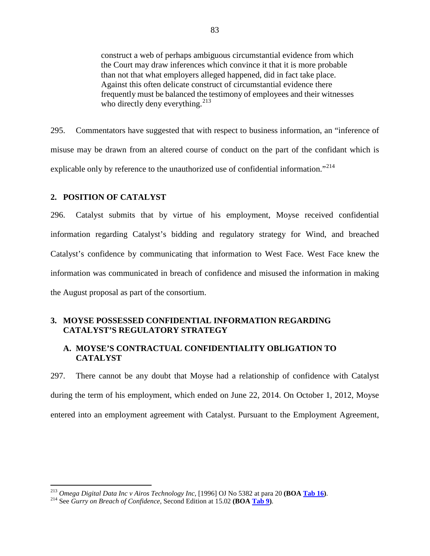construct a web of perhaps ambiguous circumstantial evidence from which the Court may draw inferences which convince it that it is more probable than not that what employers alleged happened, did in fact take place. Against this often delicate construct of circumstantial evidence there frequently must be balanced the testimony of employees and their witnesses who directly deny everything. $^{213}$  $^{213}$  $^{213}$ 

295. Commentators have suggested that with respect to business information, an "inference of misuse may be drawn from an altered course of conduct on the part of the confidant which is explicable only by reference to the unauthorized use of confidential information."<sup>[214](#page-84-1)</sup>

## **2. POSITION OF CATALYST**

296. Catalyst submits that by virtue of his employment, Moyse received confidential information regarding Catalyst's bidding and regulatory strategy for Wind, and breached Catalyst's confidence by communicating that information to West Face. West Face knew the information was communicated in breach of confidence and misused the information in making the August proposal as part of the consortium.

# **3. MOYSE POSSESSED CONFIDENTIAL INFORMATION REGARDING CATALYST'S REGULATORY STRATEGY**

## **A. MOYSE'S CONTRACTUAL CONFIDENTIALITY OBLIGATION TO CATALYST**

297. There cannot be any doubt that Moyse had a relationship of confidence with Catalyst during the term of his employment, which ended on June 22, 2014. On October 1, 2012, Moyse entered into an employment agreement with Catalyst. Pursuant to the Employment Agreement,

<span id="page-84-1"></span><span id="page-84-0"></span><sup>213</sup> *Omega Digital Data Inc v Airos Technology Inc*, [1996] OJ No 5382 at para 20 **(BOA Tab 16)**. 214 See *Gurry on Breach of Confidence*, Second Edition at 15.02 **(BOA Tab 9)**.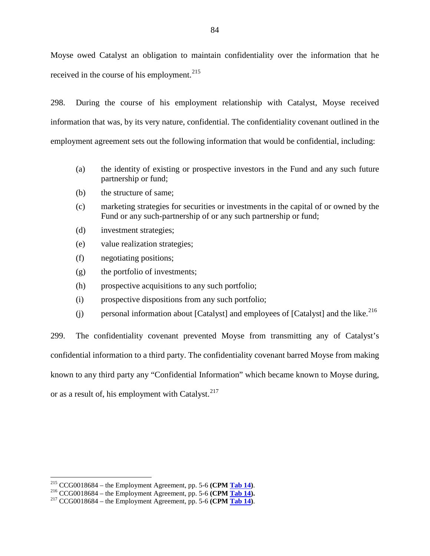Moyse owed Catalyst an obligation to maintain confidentiality over the information that he received in the course of his employment.<sup>[215](#page-85-0)</sup>

298. During the course of his employment relationship with Catalyst, Moyse received information that was, by its very nature, confidential. The confidentiality covenant outlined in the employment agreement sets out the following information that would be confidential, including:

- (a) the identity of existing or prospective investors in the Fund and any such future partnership or fund;
- (b) the structure of same;
- (c) marketing strategies for securities or investments in the capital of or owned by the Fund or any such-partnership of or any such partnership or fund;
- (d) investment strategies;
- (e) value realization strategies;
- (f) negotiating positions;
- (g) the portfolio of investments;
- (h) prospective acquisitions to any such portfolio;
- (i) prospective dispositions from any such portfolio;
- (j) personal information about [Catalyst] and employees of [Catalyst] and the like.<sup>[216](#page-85-1)</sup>

299. The confidentiality covenant prevented Moyse from transmitting any of Catalyst's confidential information to a third party. The confidentiality covenant barred Moyse from making known to any third party any "Confidential Information" which became known to Moyse during, or as a result of, his employment with Catalyst.<sup>[217](#page-85-2)</sup>

<span id="page-85-1"></span><span id="page-85-0"></span><sup>&</sup>lt;sup>215</sup> CCG0018684 – the Employment Agreement, pp. 5-6 (CPM <u>Tab 14</u>).<br><sup>216</sup> CCG0018684 – the Employment Agreement, pp. 5-6 (CPM <u>Tab 14</u>).<br><sup>217</sup> CCG0018684 – the Employment Agreement, pp. 5-6 (CPM <u>Tab 14</u>).

<span id="page-85-2"></span>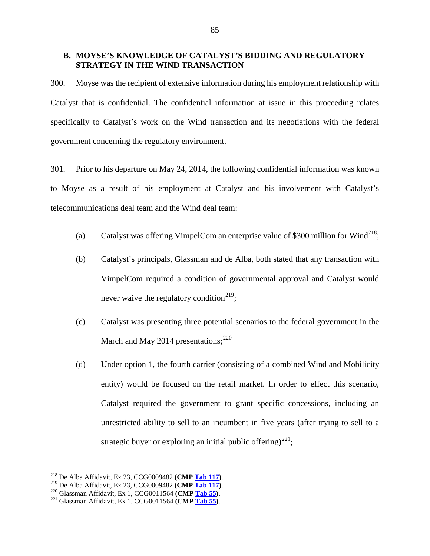## **B. MOYSE'S KNOWLEDGE OF CATALYST'S BIDDING AND REGULATORY STRATEGY IN THE WIND TRANSACTION**

300. Moyse was the recipient of extensive information during his employment relationship with Catalyst that is confidential. The confidential information at issue in this proceeding relates specifically to Catalyst's work on the Wind transaction and its negotiations with the federal government concerning the regulatory environment.

301. Prior to his departure on May 24, 2014, the following confidential information was known to Moyse as a result of his employment at Catalyst and his involvement with Catalyst's telecommunications deal team and the Wind deal team:

- (a) Catalyst was offering VimpelCom an enterprise value of \$300 million for Wind<sup>218</sup>;
- (b) Catalyst's principals, Glassman and de Alba, both stated that any transaction with VimpelCom required a condition of governmental approval and Catalyst would never waive the regulatory condition<sup>[219](#page-86-1)</sup>;
- (c) Catalyst was presenting three potential scenarios to the federal government in the March and May 2014 presentations; $^{220}$  $^{220}$  $^{220}$
- (d) Under option 1, the fourth carrier (consisting of a combined Wind and Mobilicity entity) would be focused on the retail market. In order to effect this scenario, Catalyst required the government to grant specific concessions, including an unrestricted ability to sell to an incumbent in five years (after trying to sell to a strategic buyer or exploring an initial public offering)<sup>[221](#page-86-3)</sup>;

<span id="page-86-1"></span><span id="page-86-0"></span><sup>&</sup>lt;sup>218</sup> De Alba Affidavit, Ex 23, CCG0009482 (**CMP <u>Tab 117</u>)**.<br><sup>219</sup> De Alba Affidavit, Ex 23, CCG0009482 (**CMP <u>Tab 117</u>)**.<br><sup>220</sup> Glassman Affidavit, Ex 1, CCG0011564 (**CMP <u>Tab 55</u>)**.<br><sup>221</sup> Glassman Affidavit, Ex 1, CCG0

<span id="page-86-2"></span>

<span id="page-86-3"></span>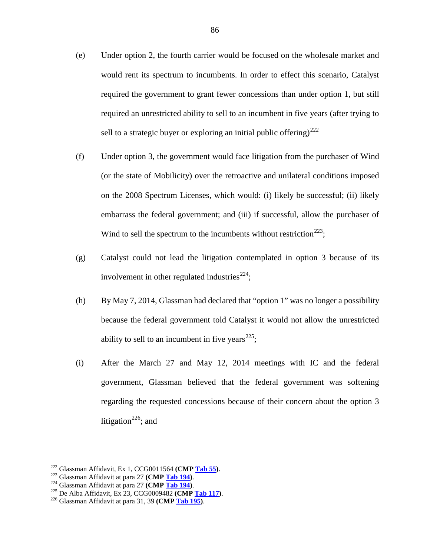- (e) Under option 2, the fourth carrier would be focused on the wholesale market and would rent its spectrum to incumbents. In order to effect this scenario, Catalyst required the government to grant fewer concessions than under option 1, but still required an unrestricted ability to sell to an incumbent in five years (after trying to sell to a strategic buyer or exploring an initial public offering)<sup>[222](#page-87-0)</sup>
- (f) Under option 3, the government would face litigation from the purchaser of Wind (or the state of Mobilicity) over the retroactive and unilateral conditions imposed on the 2008 Spectrum Licenses, which would: (i) likely be successful; (ii) likely embarrass the federal government; and (iii) if successful, allow the purchaser of Wind to sell the spectrum to the incumbents without restriction<sup>223</sup>;
- (g) Catalyst could not lead the litigation contemplated in option 3 because of its involvement in other regulated industries<sup>[224](#page-87-2)</sup>;
- (h) By May 7, 2014, Glassman had declared that "option 1" was no longer a possibility because the federal government told Catalyst it would not allow the unrestricted ability to sell to an incumbent in five years<sup> $225$ </sup>;
- (i) After the March 27 and May 12, 2014 meetings with IC and the federal government, Glassman believed that the federal government was softening regarding the requested concessions because of their concern about the option 3 litigation<sup>[226](#page-87-4)</sup>; and

<span id="page-87-1"></span><span id="page-87-0"></span><sup>&</sup>lt;sup>222</sup> Glassman Affidavit, Ex 1, CCG0011564 (**CMP <u>Tab 55</u>)**.<br><sup>223</sup> Glassman Affidavit at para 27 (**CMP <u>Tab 194</u>)**.<br><sup>224</sup> Glassman Affidavit at para 27 (**CMP <u>Tab 194</u>)**.<br><sup>225</sup> De Alba Affidavit, Ex 23, CCG0009482 (**CMP <u>**</u>

<span id="page-87-2"></span>

<span id="page-87-3"></span>

<span id="page-87-4"></span>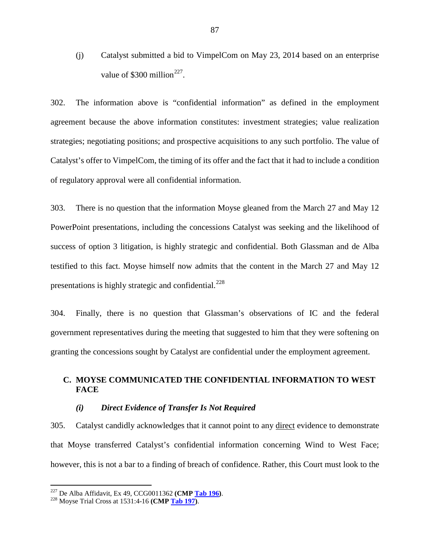(j) Catalyst submitted a bid to VimpelCom on May 23, 2014 based on an enterprise value of \$300 million<sup>[227](#page-88-0)</sup>.

302. The information above is "confidential information" as defined in the employment agreement because the above information constitutes: investment strategies; value realization strategies; negotiating positions; and prospective acquisitions to any such portfolio. The value of Catalyst's offer to VimpelCom, the timing of its offer and the fact that it had to include a condition of regulatory approval were all confidential information.

303. There is no question that the information Moyse gleaned from the March 27 and May 12 PowerPoint presentations, including the concessions Catalyst was seeking and the likelihood of success of option 3 litigation, is highly strategic and confidential. Both Glassman and de Alba testified to this fact. Moyse himself now admits that the content in the March 27 and May 12 presentations is highly strategic and confidential.<sup>[228](#page-88-1)</sup>

304. Finally, there is no question that Glassman's observations of IC and the federal government representatives during the meeting that suggested to him that they were softening on granting the concessions sought by Catalyst are confidential under the employment agreement.

# **C. MOYSE COMMUNICATED THE CONFIDENTIAL INFORMATION TO WEST FACE**

#### *(i) Direct Evidence of Transfer Is Not Required*

305. Catalyst candidly acknowledges that it cannot point to any direct evidence to demonstrate that Moyse transferred Catalyst's confidential information concerning Wind to West Face; however, this is not a bar to a finding of breach of confidence. Rather, this Court must look to the

<span id="page-88-0"></span><sup>227</sup> De Alba Affidavit, Ex 49, CCG0011362 **(CMP Tab 196)**. <sup>228</sup> Moyse Trial Cross at 1531:4-16 **(CMP Tab 197)**.

<span id="page-88-1"></span>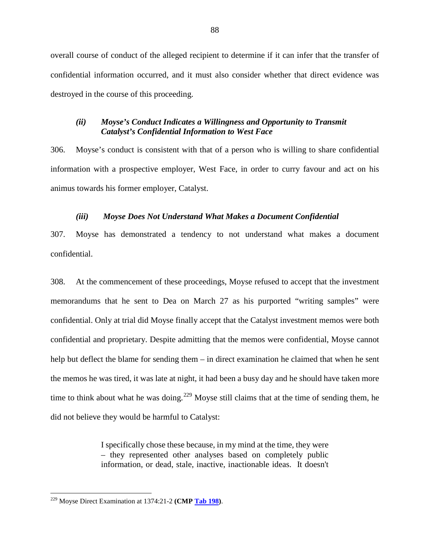overall course of conduct of the alleged recipient to determine if it can infer that the transfer of confidential information occurred, and it must also consider whether that direct evidence was destroyed in the course of this proceeding.

# *(ii) Moyse's Conduct Indicates a Willingness and Opportunity to Transmit Catalyst's Confidential Information to West Face*

306. Moyse's conduct is consistent with that of a person who is willing to share confidential information with a prospective employer, West Face, in order to curry favour and act on his animus towards his former employer, Catalyst.

# *(iii) Moyse Does Not Understand What Makes a Document Confidential*

307. Moyse has demonstrated a tendency to not understand what makes a document confidential.

308. At the commencement of these proceedings, Moyse refused to accept that the investment memorandums that he sent to Dea on March 27 as his purported "writing samples" were confidential. Only at trial did Moyse finally accept that the Catalyst investment memos were both confidential and proprietary. Despite admitting that the memos were confidential, Moyse cannot help but deflect the blame for sending them – in direct examination he claimed that when he sent the memos he was tired, it was late at night, it had been a busy day and he should have taken more time to think about what he was doing.<sup>[229](#page-89-0)</sup> Moyse still claims that at the time of sending them, he did not believe they would be harmful to Catalyst:

> I specifically chose these because, in my mind at the time, they were – they represented other analyses based on completely public information, or dead, stale, inactive, inactionable ideas. It doesn't

<span id="page-89-0"></span> <sup>229</sup> Moyse Direct Examination at 1374:21-2 **(CMP Tab 198)**.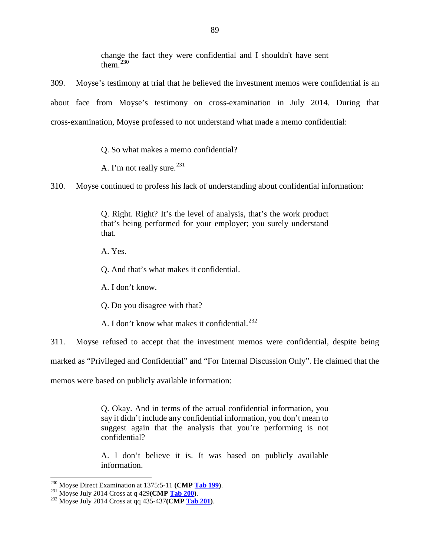change the fact they were confidential and I shouldn't have sent them $230$ 

309. Moyse's testimony at trial that he believed the investment memos were confidential is an about face from Moyse's testimony on cross-examination in July 2014. During that cross-examination, Moyse professed to not understand what made a memo confidential:

Q. So what makes a memo confidential?

A. I'm not really sure.  $231$ 

310. Moyse continued to profess his lack of understanding about confidential information:

Q. Right. Right? It's the level of analysis, that's the work product that's being performed for your employer; you surely understand that.

A. Yes.

Q. And that's what makes it confidential.

A. I don't know.

Q. Do you disagree with that?

A. I don't know what makes it confidential.<sup>[232](#page-90-2)</sup>

311. Moyse refused to accept that the investment memos were confidential, despite being

marked as "Privileged and Confidential" and "For Internal Discussion Only". He claimed that the

memos were based on publicly available information:

Q. Okay. And in terms of the actual confidential information, you say it didn't include any confidential information, you don't mean to suggest again that the analysis that you're performing is not confidential?

A. I don't believe it is. It was based on publicly available information.

<span id="page-90-1"></span><span id="page-90-0"></span><sup>230</sup> Moyse Direct Examination at 1375:5-11 **(CMP Tab 199)**. 231 Moyse July 2014 Cross at q 429**(CMP Tab 200)**. 232 Moyse July 2014 Cross at qq 435-437**(CMP Tab 201)**.

<span id="page-90-2"></span>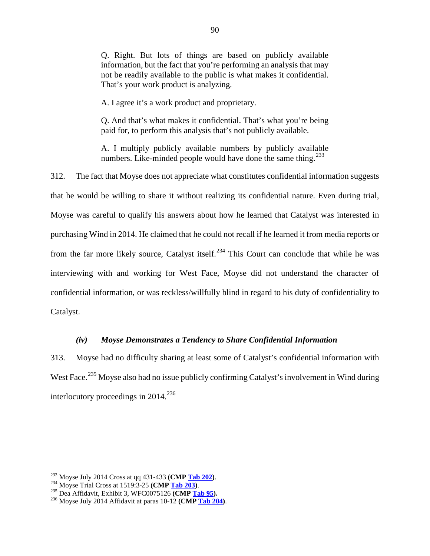Q. Right. But lots of things are based on publicly available information, but the fact that you're performing an analysis that may not be readily available to the public is what makes it confidential. That's your work product is analyzing.

A. I agree it's a work product and proprietary.

Q. And that's what makes it confidential. That's what you're being paid for, to perform this analysis that's not publicly available.

A. I multiply publicly available numbers by publicly available numbers. Like-minded people would have done the same thing.<sup>[233](#page-91-0)</sup>

312. The fact that Moyse does not appreciate what constitutes confidential information suggests that he would be willing to share it without realizing its confidential nature. Even during trial, Moyse was careful to qualify his answers about how he learned that Catalyst was interested in purchasing Wind in 2014. He claimed that he could not recall if he learned it from media reports or from the far more likely source, Catalyst itself.<sup>[234](#page-91-1)</sup> This Court can conclude that while he was interviewing with and working for West Face, Moyse did not understand the character of confidential information, or was reckless/willfully blind in regard to his duty of confidentiality to Catalyst.

## *(iv) Moyse Demonstrates a Tendency to Share Confidential Information*

313. Moyse had no difficulty sharing at least some of Catalyst's confidential information with West Face.<sup>[235](#page-91-2)</sup> Moyse also had no issue publicly confirming Catalyst's involvement in Wind during interlocutory proceedings in  $2014$ <sup>[236](#page-91-3)</sup>

<span id="page-91-1"></span><span id="page-91-0"></span><sup>&</sup>lt;sup>233</sup> Moyse July 2014 Cross at qq 431-433 (**CMP <u>Tab 202</u>)**.<br><sup>234</sup> Moyse Trial Cross at 1519:3-25 (**CMP <u>Tab 203</u>)**.<br><sup>235</sup> Dea Affidavit, Exhibit 3, WFC0075126 (**CMP <u>Tab 95</u>).**<br><sup>236</sup> Moyse July 2014 Affidavit at paras 10

<span id="page-91-2"></span>

<span id="page-91-3"></span>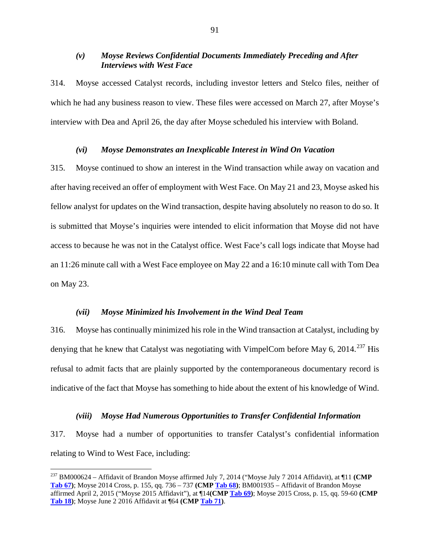### *(v) Moyse Reviews Confidential Documents Immediately Preceding and After Interviews with West Face*

314. Moyse accessed Catalyst records, including investor letters and Stelco files, neither of which he had any business reason to view. These files were accessed on March 27, after Moyse's interview with Dea and April 26, the day after Moyse scheduled his interview with Boland.

#### *(vi) Moyse Demonstrates an Inexplicable Interest in Wind On Vacation*

315. Moyse continued to show an interest in the Wind transaction while away on vacation and after having received an offer of employment with West Face. On May 21 and 23, Moyse asked his fellow analyst for updates on the Wind transaction, despite having absolutely no reason to do so. It is submitted that Moyse's inquiries were intended to elicit information that Moyse did not have access to because he was not in the Catalyst office. West Face's call logs indicate that Moyse had an 11:26 minute call with a West Face employee on May 22 and a 16:10 minute call with Tom Dea on May 23.

#### *(vii) Moyse Minimized his Involvement in the Wind Deal Team*

316. Moyse has continually minimized his role in the Wind transaction at Catalyst, including by denying that he knew that Catalyst was negotiating with VimpelCom before May 6, 2014.<sup>[237](#page-92-0)</sup> His refusal to admit facts that are plainly supported by the contemporaneous documentary record is indicative of the fact that Moyse has something to hide about the extent of his knowledge of Wind.

#### *(viii) Moyse Had Numerous Opportunities to Transfer Confidential Information*

317. Moyse had a number of opportunities to transfer Catalyst's confidential information relating to Wind to West Face, including:

<span id="page-92-0"></span> <sup>237</sup> BM000624 – Affidavit of Brandon Moyse affirmed July 7, 2014 ("Moyse July 7 2014 Affidavit), at ¶11 **(CMP Tab 67)**; Moyse 2014 Cross, p. 155, qq. 736 – 737 **(CMP Tab 68)**; BM001935 – Affidavit of Brandon Moyse affirmed April 2, 2015 ("Moyse 2015 Affidavit"), at ¶14**(CMP Tab 69)**; Moyse 2015 Cross, p. 15, qq. 59-60 **(CMP Tab 18)**; Moyse June 2 2016 Affidavit at ¶64 **(CMP Tab 71)**.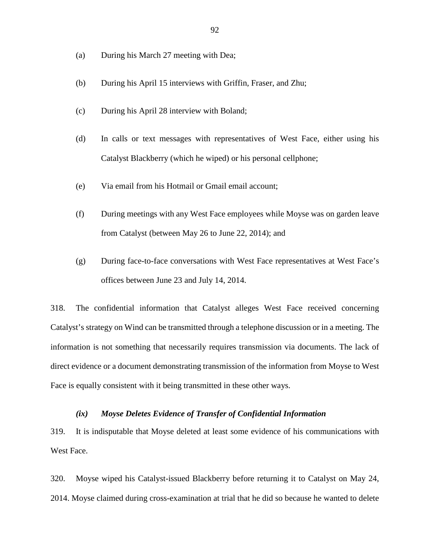- (a) During his March 27 meeting with Dea;
- (b) During his April 15 interviews with Griffin, Fraser, and Zhu;
- (c) During his April 28 interview with Boland;
- (d) In calls or text messages with representatives of West Face, either using his Catalyst Blackberry (which he wiped) or his personal cellphone;
- (e) Via email from his Hotmail or Gmail email account;
- (f) During meetings with any West Face employees while Moyse was on garden leave from Catalyst (between May 26 to June 22, 2014); and
- (g) During face-to-face conversations with West Face representatives at West Face's offices between June 23 and July 14, 2014.

318. The confidential information that Catalyst alleges West Face received concerning Catalyst's strategy on Wind can be transmitted through a telephone discussion or in a meeting. The information is not something that necessarily requires transmission via documents. The lack of direct evidence or a document demonstrating transmission of the information from Moyse to West Face is equally consistent with it being transmitted in these other ways.

#### *(ix) Moyse Deletes Evidence of Transfer of Confidential Information*

319. It is indisputable that Moyse deleted at least some evidence of his communications with West Face.

320. Moyse wiped his Catalyst-issued Blackberry before returning it to Catalyst on May 24, 2014. Moyse claimed during cross-examination at trial that he did so because he wanted to delete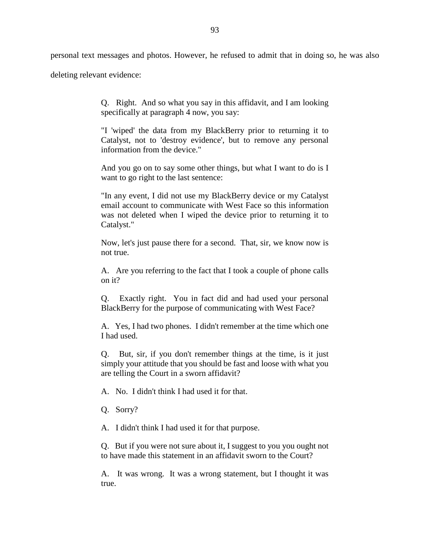personal text messages and photos. However, he refused to admit that in doing so, he was also

deleting relevant evidence:

Q. Right. And so what you say in this affidavit, and I am looking specifically at paragraph 4 now, you say:

"I 'wiped' the data from my BlackBerry prior to returning it to Catalyst, not to 'destroy evidence', but to remove any personal information from the device."

And you go on to say some other things, but what I want to do is I want to go right to the last sentence:

"In any event, I did not use my BlackBerry device or my Catalyst email account to communicate with West Face so this information was not deleted when I wiped the device prior to returning it to Catalyst."

Now, let's just pause there for a second. That, sir, we know now is not true.

A. Are you referring to the fact that I took a couple of phone calls on it?

Q. Exactly right. You in fact did and had used your personal BlackBerry for the purpose of communicating with West Face?

A. Yes, I had two phones. I didn't remember at the time which one I had used.

Q. But, sir, if you don't remember things at the time, is it just simply your attitude that you should be fast and loose with what you are telling the Court in a sworn affidavit?

A. No. I didn't think I had used it for that.

Q. Sorry?

A. I didn't think I had used it for that purpose.

Q. But if you were not sure about it, I suggest to you you ought not to have made this statement in an affidavit sworn to the Court?

A. It was wrong. It was a wrong statement, but I thought it was true.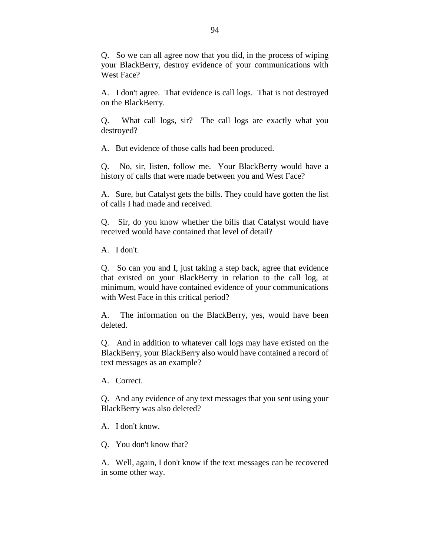Q. So we can all agree now that you did, in the process of wiping your BlackBerry, destroy evidence of your communications with West Face?

A. I don't agree. That evidence is call logs. That is not destroyed on the BlackBerry.

Q. What call logs, sir? The call logs are exactly what you destroyed?

A. But evidence of those calls had been produced.

Q. No, sir, listen, follow me. Your BlackBerry would have a history of calls that were made between you and West Face?

A. Sure, but Catalyst gets the bills. They could have gotten the list of calls I had made and received.

Q. Sir, do you know whether the bills that Catalyst would have received would have contained that level of detail?

A. I don't.

Q. So can you and I, just taking a step back, agree that evidence that existed on your BlackBerry in relation to the call log, at minimum, would have contained evidence of your communications with West Face in this critical period?

A. The information on the BlackBerry, yes, would have been deleted.

Q. And in addition to whatever call logs may have existed on the BlackBerry, your BlackBerry also would have contained a record of text messages as an example?

A. Correct.

Q. And any evidence of any text messages that you sent using your BlackBerry was also deleted?

A. I don't know.

Q. You don't know that?

A. Well, again, I don't know if the text messages can be recovered in some other way.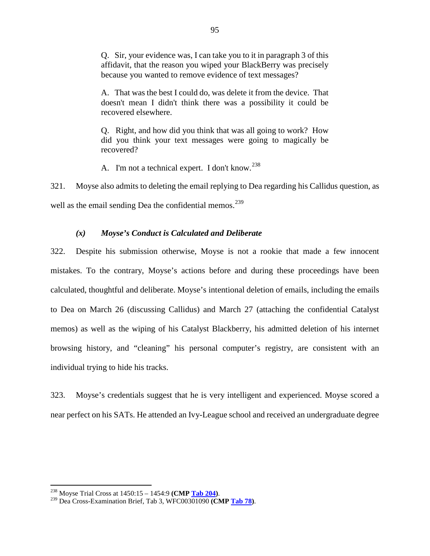Q. Sir, your evidence was, I can take you to it in paragraph 3 of this affidavit, that the reason you wiped your BlackBerry was precisely because you wanted to remove evidence of text messages?

A. That was the best I could do, was delete it from the device. That doesn't mean I didn't think there was a possibility it could be recovered elsewhere.

Q. Right, and how did you think that was all going to work? How did you think your text messages were going to magically be recovered?

A. I'm not a technical expert. I don't know.<sup>[238](#page-96-0)</sup>

321. Moyse also admits to deleting the email replying to Dea regarding his Callidus question, as well as the email sending Dea the confidential memos.<sup>[239](#page-96-1)</sup>

# *(x) Moyse's Conduct is Calculated and Deliberate*

322. Despite his submission otherwise, Moyse is not a rookie that made a few innocent mistakes. To the contrary, Moyse's actions before and during these proceedings have been calculated, thoughtful and deliberate. Moyse's intentional deletion of emails, including the emails to Dea on March 26 (discussing Callidus) and March 27 (attaching the confidential Catalyst memos) as well as the wiping of his Catalyst Blackberry, his admitted deletion of his internet browsing history, and "cleaning" his personal computer's registry, are consistent with an individual trying to hide his tracks.

323. Moyse's credentials suggest that he is very intelligent and experienced. Moyse scored a near perfect on his SATs. He attended an Ivy-League school and received an undergraduate degree

<span id="page-96-1"></span><span id="page-96-0"></span><sup>238</sup> Moyse Trial Cross at 1450:15 – 1454:9 **(CMP Tab 204)**. <sup>239</sup> Dea Cross-Examination Brief, Tab 3, WFC00301090 **(CMP Tab 78)**.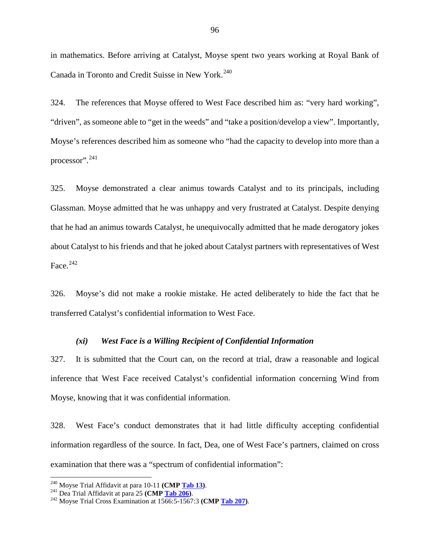in mathematics. Before arriving at Catalyst, Moyse spent two years working at Royal Bank of Canada in Toronto and Credit Suisse in New York.<sup>[240](#page-97-0)</sup>

324. The references that Moyse offered to West Face described him as: "very hard working", "driven", as someone able to "get in the weeds" and "take a position/develop a view". Importantly, Moyse's references described him as someone who "had the capacity to develop into more than a processor".[241](#page-97-1)

325. Moyse demonstrated a clear animus towards Catalyst and to its principals, including Glassman. Moyse admitted that he was unhappy and very frustrated at Catalyst. Despite denying that he had an animus towards Catalyst, he unequivocally admitted that he made derogatory jokes about Catalyst to his friends and that he joked about Catalyst partners with representatives of West Face. $242$ 

326. Moyse's did not make a rookie mistake. He acted deliberately to hide the fact that he transferred Catalyst's confidential information to West Face.

#### *(xi) West Face is a Willing Recipient of Confidential Information*

327. It is submitted that the Court can, on the record at trial, draw a reasonable and logical inference that West Face received Catalyst's confidential information concerning Wind from Moyse, knowing that it was confidential information.

328. West Face's conduct demonstrates that it had little difficulty accepting confidential information regardless of the source. In fact, Dea, one of West Face's partners, claimed on cross examination that there was a "spectrum of confidential information":

<span id="page-97-2"></span><span id="page-97-1"></span>

<span id="page-97-0"></span><sup>&</sup>lt;sup>240</sup> Moyse Trial Affidavit at para 10-11 **(CMP <u>Tab 13</u>)**.<br><sup>241</sup> Dea Trial Affidavit at para 25 **(CMP <u>Tab 206</u>)**.<br><sup>242</sup> Moyse Trial Cross Examination at 1566:5-1567:3 **(CMP <u>Tab 207</u>)**.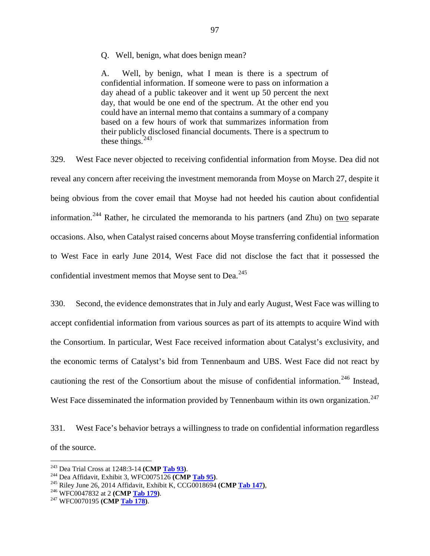#### Q. Well, benign, what does benign mean?

A. Well, by benign, what I mean is there is a spectrum of confidential information. If someone were to pass on information a day ahead of a public takeover and it went up 50 percent the next day, that would be one end of the spectrum. At the other end you could have an internal memo that contains a summary of a company based on a few hours of work that summarizes information from their publicly disclosed financial documents. There is a spectrum to these things. $243$ 

329. West Face never objected to receiving confidential information from Moyse. Dea did not reveal any concern after receiving the investment memoranda from Moyse on March 27, despite it being obvious from the cover email that Moyse had not heeded his caution about confidential information.<sup>[244](#page-98-1)</sup> Rather, he circulated the memoranda to his partners (and Zhu) on two separate occasions. Also, when Catalyst raised concerns about Moyse transferring confidential information to West Face in early June 2014, West Face did not disclose the fact that it possessed the confidential investment memos that Moyse sent to Dea.<sup>[245](#page-98-2)</sup>

330. Second, the evidence demonstrates that in July and early August, West Face was willing to accept confidential information from various sources as part of its attempts to acquire Wind with the Consortium. In particular, West Face received information about Catalyst's exclusivity, and the economic terms of Catalyst's bid from Tennenbaum and UBS. West Face did not react by cautioning the rest of the Consortium about the misuse of confidential information.<sup>[246](#page-98-3)</sup> Instead, West Face disseminated the information provided by Tennenbaum within its own organization.<sup>[247](#page-98-4)</sup>

331. West Face's behavior betrays a willingness to trade on confidential information regardless of the source.

<span id="page-98-2"></span><span id="page-98-1"></span>

<span id="page-98-0"></span><sup>&</sup>lt;sup>243</sup> Dea Trial Cross at 1248:3-14 (**CMP <u>Tab 93</u>**).<br><sup>244</sup> Dea Affidavit, Exhibit 3, WFC0075126 (**CMP <u>Tab 95</u>)**.<br><sup>245</sup> Riley June 26, 2014 Affidavit, Exhibit K, CCG0018694 (**CMP <u>Tab 147</u>**),<br><sup>246</sup> WFC0047832 at 2 (**CMP <u>**</u>

<span id="page-98-3"></span>

<span id="page-98-4"></span>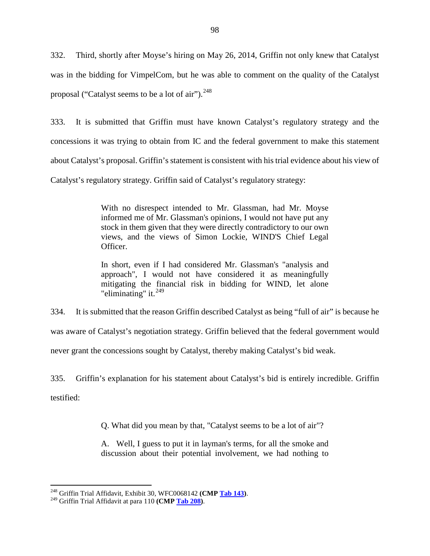332. Third, shortly after Moyse's hiring on May 26, 2014, Griffin not only knew that Catalyst was in the bidding for VimpelCom, but he was able to comment on the quality of the Catalyst proposal ("Catalyst seems to be a lot of air").  $248$ 

333. It is submitted that Griffin must have known Catalyst's regulatory strategy and the concessions it was trying to obtain from IC and the federal government to make this statement about Catalyst's proposal. Griffin's statement is consistent with his trial evidence about his view of Catalyst's regulatory strategy. Griffin said of Catalyst's regulatory strategy:

> With no disrespect intended to Mr. Glassman, had Mr. Moyse informed me of Mr. Glassman's opinions, I would not have put any stock in them given that they were directly contradictory to our own views, and the views of Simon Lockie, WIND'S Chief Legal Officer.

> In short, even if I had considered Mr. Glassman's "analysis and approach", I would not have considered it as meaningfully mitigating the financial risk in bidding for WIND, let alone "eliminating" it. $^{249}$  $^{249}$  $^{249}$

334. It is submitted that the reason Griffin described Catalyst as being "full of air" is because he was aware of Catalyst's negotiation strategy. Griffin believed that the federal government would never grant the concessions sought by Catalyst, thereby making Catalyst's bid weak.

335. Griffin's explanation for his statement about Catalyst's bid is entirely incredible. Griffin testified:

Q. What did you mean by that, "Catalyst seems to be a lot of air"?

A. Well, I guess to put it in layman's terms, for all the smoke and discussion about their potential involvement, we had nothing to

<span id="page-99-0"></span><sup>248</sup> Griffin Trial Affidavit, Exhibit 30, WFC0068142 **(CMP Tab 143)**. <sup>249</sup> Griffin Trial Affidavit at para 110 **(CMP Tab 208)**.

<span id="page-99-1"></span>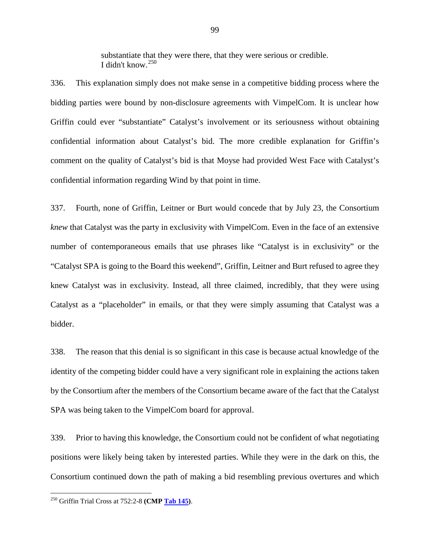substantiate that they were there, that they were serious or credible. I didn't know.[250](#page-100-0)

336. This explanation simply does not make sense in a competitive bidding process where the bidding parties were bound by non-disclosure agreements with VimpelCom. It is unclear how Griffin could ever "substantiate" Catalyst's involvement or its seriousness without obtaining confidential information about Catalyst's bid. The more credible explanation for Griffin's comment on the quality of Catalyst's bid is that Moyse had provided West Face with Catalyst's confidential information regarding Wind by that point in time.

337. Fourth, none of Griffin, Leitner or Burt would concede that by July 23, the Consortium *knew* that Catalyst was the party in exclusivity with VimpelCom. Even in the face of an extensive number of contemporaneous emails that use phrases like "Catalyst is in exclusivity" or the "Catalyst SPA is going to the Board this weekend", Griffin, Leitner and Burt refused to agree they knew Catalyst was in exclusivity. Instead, all three claimed, incredibly, that they were using Catalyst as a "placeholder" in emails, or that they were simply assuming that Catalyst was a bidder.

338. The reason that this denial is so significant in this case is because actual knowledge of the identity of the competing bidder could have a very significant role in explaining the actions taken by the Consortium after the members of the Consortium became aware of the fact that the Catalyst SPA was being taken to the VimpelCom board for approval.

339. Prior to having this knowledge, the Consortium could not be confident of what negotiating positions were likely being taken by interested parties. While they were in the dark on this, the Consortium continued down the path of making a bid resembling previous overtures and which

<span id="page-100-0"></span> <sup>250</sup> Griffin Trial Cross at 752:2-8 **(CMP Tab 145)**.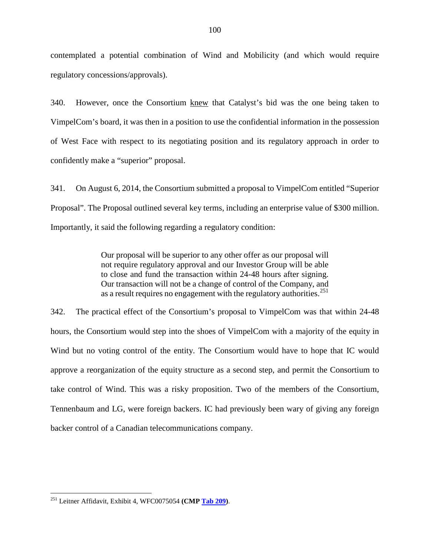contemplated a potential combination of Wind and Mobilicity (and which would require regulatory concessions/approvals).

340. However, once the Consortium knew that Catalyst's bid was the one being taken to VimpelCom's board, it was then in a position to use the confidential information in the possession of West Face with respect to its negotiating position and its regulatory approach in order to confidently make a "superior" proposal.

341. On August 6, 2014, the Consortium submitted a proposal to VimpelCom entitled "Superior Proposal". The Proposal outlined several key terms, including an enterprise value of \$300 million. Importantly, it said the following regarding a regulatory condition:

> Our proposal will be superior to any other offer as our proposal will not require regulatory approval and our Investor Group will be able to close and fund the transaction within 24-48 hours after signing. Our transaction will not be a change of control of the Company, and as a result requires no engagement with the regulatory authorities.<sup>[251](#page-101-0)</sup>

342. The practical effect of the Consortium's proposal to VimpelCom was that within 24-48 hours, the Consortium would step into the shoes of VimpelCom with a majority of the equity in Wind but no voting control of the entity. The Consortium would have to hope that IC would approve a reorganization of the equity structure as a second step, and permit the Consortium to take control of Wind. This was a risky proposition. Two of the members of the Consortium, Tennenbaum and LG, were foreign backers. IC had previously been wary of giving any foreign backer control of a Canadian telecommunications company.

<span id="page-101-0"></span> <sup>251</sup> Leitner Affidavit, Exhibit 4, WFC0075054 **(CMP Tab 209)**.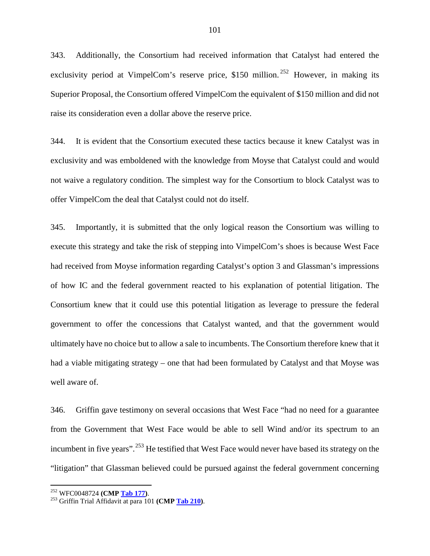343. Additionally, the Consortium had received information that Catalyst had entered the exclusivity period at VimpelCom's reserve price, \$150 million.<sup>[252](#page-102-0)</sup> However, in making its Superior Proposal, the Consortium offered VimpelCom the equivalent of \$150 million and did not raise its consideration even a dollar above the reserve price.

344. It is evident that the Consortium executed these tactics because it knew Catalyst was in exclusivity and was emboldened with the knowledge from Moyse that Catalyst could and would not waive a regulatory condition. The simplest way for the Consortium to block Catalyst was to offer VimpelCom the deal that Catalyst could not do itself.

345. Importantly, it is submitted that the only logical reason the Consortium was willing to execute this strategy and take the risk of stepping into VimpelCom's shoes is because West Face had received from Moyse information regarding Catalyst's option 3 and Glassman's impressions of how IC and the federal government reacted to his explanation of potential litigation. The Consortium knew that it could use this potential litigation as leverage to pressure the federal government to offer the concessions that Catalyst wanted, and that the government would ultimately have no choice but to allow a sale to incumbents. The Consortium therefore knew that it had a viable mitigating strategy – one that had been formulated by Catalyst and that Moyse was well aware of.

346. Griffin gave testimony on several occasions that West Face "had no need for a guarantee from the Government that West Face would be able to sell Wind and/or its spectrum to an incumbent in five years".<sup>[253](#page-102-1)</sup> He testified that West Face would never have based its strategy on the "litigation" that Glassman believed could be pursued against the federal government concerning

<span id="page-102-1"></span><span id="page-102-0"></span><sup>252</sup> WFC0048724 **(CMP Tab 177)**. 253 Griffin Trial Affidavit at para 101 **(CMP Tab 210)**.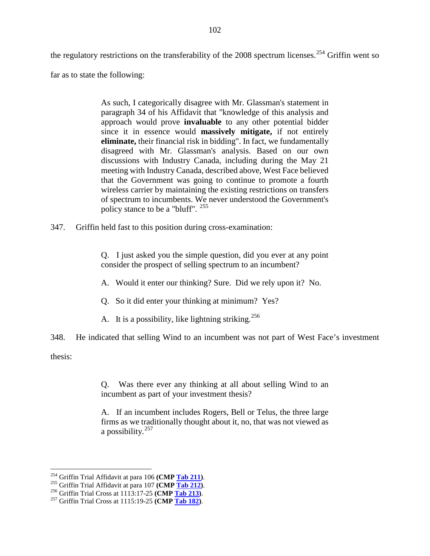the regulatory restrictions on the transferability of the  $2008$  spectrum licenses.<sup>[254](#page-103-0)</sup> Griffin went so

far as to state the following:

As such, I categorically disagree with Mr. Glassman's statement in paragraph 34 of his Affidavit that "knowledge of this analysis and approach would prove **invaluable** to any other potential bidder since it in essence would **massively mitigate,** if not entirely **eliminate,** their financial risk in bidding". In fact, we fundamentally disagreed with Mr. Glassman's analysis. Based on our own discussions with Industry Canada, including during the May 21 meeting with Industry Canada, described above, West Face believed that the Government was going to continue to promote a fourth wireless carrier by maintaining the existing restrictions on transfers of spectrum to incumbents. We never understood the Government's policy stance to be a "bluff". [255](#page-103-1)

347. Griffin held fast to this position during cross-examination:

Q. I just asked you the simple question, did you ever at any point consider the prospect of selling spectrum to an incumbent?

- A. Would it enter our thinking? Sure. Did we rely upon it? No.
- Q. So it did enter your thinking at minimum? Yes?
- A. It is a possibility, like lightning striking.<sup>[256](#page-103-2)</sup>

348. He indicated that selling Wind to an incumbent was not part of West Face's investment

thesis:

Q. Was there ever any thinking at all about selling Wind to an incumbent as part of your investment thesis?

A. If an incumbent includes Rogers, Bell or Telus, the three large firms as we traditionally thought about it, no, that was not viewed as a possibility.[257](#page-103-3)

<span id="page-103-1"></span><span id="page-103-0"></span><sup>&</sup>lt;sup>254</sup> Griffin Trial Affidavit at para 106 (**CMP <u>Tab 211</u>)**.<br><sup>255</sup> Griffin Trial Affidavit at para 107 (**CMP <u>Tab 212</u>)**.<br><sup>256</sup> Griffin Trial Cross at 1113:17-25 (**CMP <u>Tab 213</u>)**.<br><sup>257</sup> Griffin Trial Cross at 1115:19-25

<span id="page-103-2"></span>

<span id="page-103-3"></span>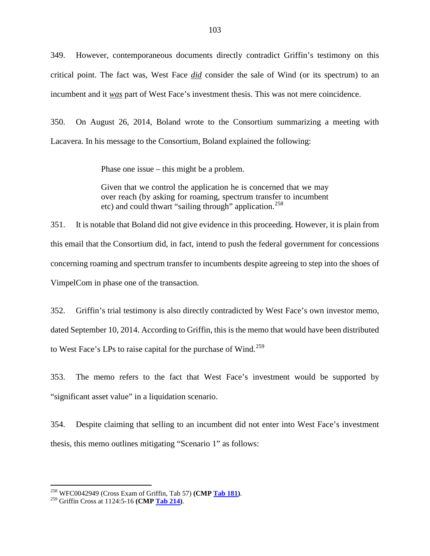349. However, contemporaneous documents directly contradict Griffin's testimony on this critical point. The fact was, West Face *did* consider the sale of Wind (or its spectrum) to an incumbent and it *was* part of West Face's investment thesis. This was not mere coincidence.

350. On August 26, 2014, Boland wrote to the Consortium summarizing a meeting with Lacavera. In his message to the Consortium, Boland explained the following:

Phase one issue – this might be a problem.

Given that we control the application he is concerned that we may over reach (by asking for roaming, spectrum transfer to incumbent etc) and could thwart "sailing through" application.<sup>[258](#page-104-0)</sup>

351. It is notable that Boland did not give evidence in this proceeding. However, it is plain from this email that the Consortium did, in fact, intend to push the federal government for concessions concerning roaming and spectrum transfer to incumbents despite agreeing to step into the shoes of VimpelCom in phase one of the transaction.

352. Griffin's trial testimony is also directly contradicted by West Face's own investor memo, dated September 10, 2014. According to Griffin, this is the memo that would have been distributed to West Face's LPs to raise capital for the purchase of Wind.<sup>[259](#page-104-1)</sup>

353. The memo refers to the fact that West Face's investment would be supported by "significant asset value" in a liquidation scenario.

354. Despite claiming that selling to an incumbent did not enter into West Face's investment thesis, this memo outlines mitigating "Scenario 1" as follows:

<span id="page-104-0"></span><sup>258</sup> WFC0042949 (Cross Exam of Griffin, Tab 57) **(CMP Tab 181)**. <sup>259</sup> Griffin Cross at 1124:5-16 **(CMP Tab 214)**.

<span id="page-104-1"></span>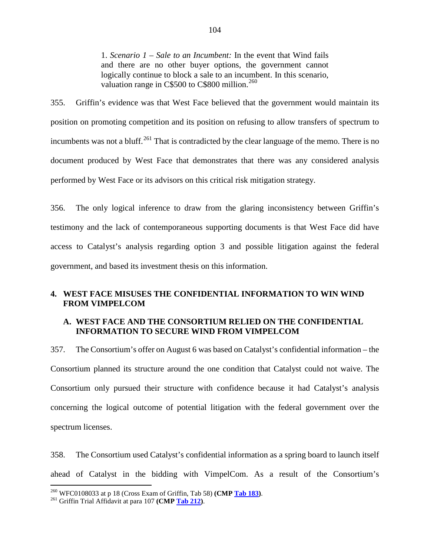1. *Scenario 1 – Sale to an Incumbent:* In the event that Wind fails and there are no other buyer options, the government cannot logically continue to block a sale to an incumbent. In this scenario, valuation range in C\$500 to C\$800 million.<sup>[260](#page-105-0)</sup>

355. Griffin's evidence was that West Face believed that the government would maintain its position on promoting competition and its position on refusing to allow transfers of spectrum to incumbents was not a bluff.<sup>[261](#page-105-1)</sup> That is contradicted by the clear language of the memo. There is no document produced by West Face that demonstrates that there was any considered analysis performed by West Face or its advisors on this critical risk mitigation strategy.

356. The only logical inference to draw from the glaring inconsistency between Griffin's testimony and the lack of contemporaneous supporting documents is that West Face did have access to Catalyst's analysis regarding option 3 and possible litigation against the federal government, and based its investment thesis on this information.

# **4. WEST FACE MISUSES THE CONFIDENTIAL INFORMATION TO WIN WIND FROM VIMPELCOM**

# **A. WEST FACE AND THE CONSORTIUM RELIED ON THE CONFIDENTIAL INFORMATION TO SECURE WIND FROM VIMPELCOM**

357. The Consortium's offer on August 6 was based on Catalyst's confidential information – the Consortium planned its structure around the one condition that Catalyst could not waive. The Consortium only pursued their structure with confidence because it had Catalyst's analysis concerning the logical outcome of potential litigation with the federal government over the spectrum licenses.

358. The Consortium used Catalyst's confidential information as a spring board to launch itself ahead of Catalyst in the bidding with VimpelCom. As a result of the Consortium's

<span id="page-105-0"></span><sup>260</sup> WFC0108033 at p 18 (Cross Exam of Griffin, Tab 58) **(CMP Tab 183)**. <sup>261</sup> Griffin Trial Affidavit at para 107 **(CMP Tab 212)**.

<span id="page-105-1"></span>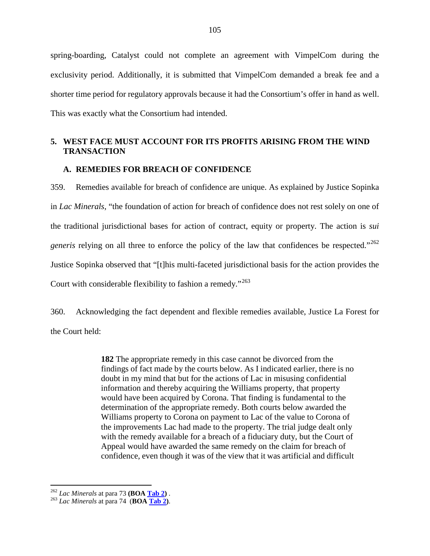spring-boarding, Catalyst could not complete an agreement with VimpelCom during the exclusivity period. Additionally, it is submitted that VimpelCom demanded a break fee and a shorter time period for regulatory approvals because it had the Consortium's offer in hand as well. This was exactly what the Consortium had intended.

# **5. WEST FACE MUST ACCOUNT FOR ITS PROFITS ARISING FROM THE WIND TRANSACTION**

#### **A. REMEDIES FOR BREACH OF CONFIDENCE**

359. Remedies available for breach of confidence are unique. As explained by Justice Sopinka in *Lac Minerals*, "the foundation of action for breach of confidence does not rest solely on one of the traditional jurisdictional bases for action of contract, equity or property. The action is *sui generis* relying on all three to enforce the policy of the law that confidences be respected."<sup>[262](#page-106-0)</sup> Justice Sopinka observed that "[t]his multi-faceted jurisdictional basis for the action provides the Court with considerable flexibility to fashion a remedy."<sup>[263](#page-106-1)</sup>

360. Acknowledging the fact dependent and flexible remedies available, Justice La Forest for the Court held:

> **182** The appropriate remedy in this case cannot be divorced from the findings of fact made by the courts below. As I indicated earlier, there is no doubt in my mind that but for the actions of Lac in misusing confidential information and thereby acquiring the Williams property, that property would have been acquired by Corona. That finding is fundamental to the determination of the appropriate remedy. Both courts below awarded the Williams property to Corona on payment to Lac of the value to Corona of the improvements Lac had made to the property. The trial judge dealt only with the remedy available for a breach of a fiduciary duty, but the Court of Appeal would have awarded the same remedy on the claim for breach of confidence, even though it was of the view that it was artificial and difficult

<span id="page-106-1"></span><span id="page-106-0"></span><sup>262</sup> *Lac Minerals* at para 73 **(BOA Tab 2)** . <sup>263</sup> *Lac Minerals* at para 74 (**BOA Tab 2)**.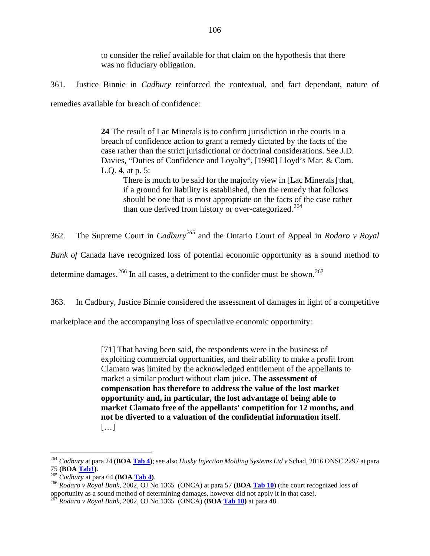to consider the relief available for that claim on the hypothesis that there was no fiduciary obligation.

361. Justice Binnie in *Cadbury* reinforced the contextual, and fact dependant, nature of remedies available for breach of confidence:

> **24** The result of Lac Minerals is to confirm jurisdiction in the courts in a breach of confidence action to grant a remedy dictated by the facts of the case rather than the strict jurisdictional or doctrinal considerations. See J.D. Davies, "Duties of Confidence and Loyalty", [1990] Lloyd's Mar. & Com. L.Q. 4, at p. 5:

There is much to be said for the majority view in [Lac Minerals] that, if a ground for liability is established, then the remedy that follows should be one that is most appropriate on the facts of the case rather than one derived from history or over-categorized.<sup>[264](#page-107-0)</sup>

362. The Supreme Court in *Cadbury[265](#page-107-1)* and the Ontario Court of Appeal in *Rodaro v Royal Bank of* Canada have recognized loss of potential economic opportunity as a sound method to determine damages.<sup>[266](#page-107-2)</sup> In all cases, a detriment to the confider must be shown.<sup>[267](#page-107-3)</sup>

363. In Cadbury, Justice Binnie considered the assessment of damages in light of a competitive

marketplace and the accompanying loss of speculative economic opportunity:

[71] That having been said, the respondents were in the business of exploiting commercial opportunities, and their ability to make a profit from Clamato was limited by the acknowledged entitlement of the appellants to market a similar product without clam juice. **The assessment of compensation has therefore to address the value of the lost market opportunity and, in particular, the lost advantage of being able to market Clamato free of the appellants' competition for 12 months, and not be diverted to a valuation of the confidential information itself**. […]

<span id="page-107-0"></span><sup>&</sup>lt;sup>264</sup> *Cadbury* at para 24 **(BOA <u>Tab 4</u>)**; see also *Husky Injection Molding Systems Ltd v* Schad, 2016 ONSC 2297 at para<br>75 **(BOA Tab1)**.

<span id="page-107-2"></span><span id="page-107-1"></span><sup>75</sup> **(BOA Tab1)**. <sup>265</sup> *Cadbury* at para 64 **(BOA Tab 4)**. <sup>266</sup> *Rodaro v Royal Bank,* 2002, OJ No 1365 (ONCA) at para 57 **(BOA Tab 10)** (the court recognized loss of opportunity as a sound method of determining damages, however did not apply it in that case).

<span id="page-107-3"></span><sup>267</sup> *Rodaro v Royal Bank,* 2002, OJ No 1365 (ONCA) **(BOA Tab 10)** at para 48.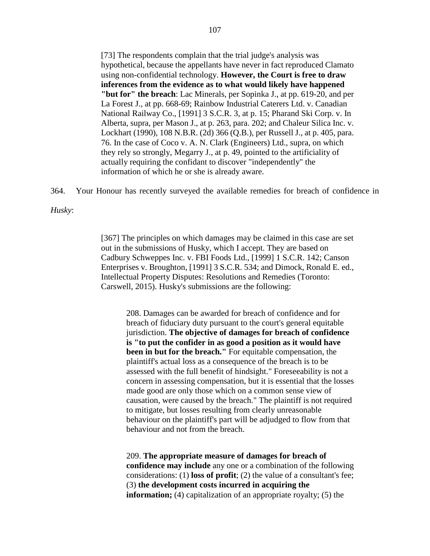[73] The respondents complain that the trial judge's analysis was hypothetical, because the appellants have never in fact reproduced Clamato using non-confidential technology. **However, the Court is free to draw inferences from the evidence as to what would likely have happened "but for" the breach**: Lac Minerals, per Sopinka J., at pp. 619-20, and per La Forest J., at pp. 668-69; Rainbow Industrial Caterers Ltd. v. Canadian National Railway Co., [1991] 3 S.C.R. 3, at p. 15; Pharand Ski Corp. v. In Alberta, supra, per Mason J., at p. 263, para. 202; and Chaleur Silica Inc. v. Lockhart (1990), 108 N.B.R. (2d) 366 (Q.B.), per Russell J., at p. 405, para. 76. In the case of Coco v. A. N. Clark (Engineers) Ltd., supra, on which they rely so strongly, Megarry J., at p. 49, pointed to the artificiality of actually requiring the confidant to discover "independently" the information of which he or she is already aware.

364. Your Honour has recently surveyed the available remedies for breach of confidence in

*Husky*:

[367] The principles on which damages may be claimed in this case are set out in the submissions of Husky, which I accept. They are based on Cadbury Schweppes Inc. v. FBI Foods Ltd., [1999] 1 S.C.R. 142; Canson Enterprises v. Broughton, [1991] 3 S.C.R. 534; and Dimock, Ronald E. ed., Intellectual Property Disputes: Resolutions and Remedies (Toronto: Carswell, 2015). Husky's submissions are the following:

208. Damages can be awarded for breach of confidence and for breach of fiduciary duty pursuant to the court's general equitable jurisdiction. **The objective of damages for breach of confidence is "to put the confider in as good a position as it would have been in but for the breach."** For equitable compensation, the plaintiff's actual loss as a consequence of the breach is to be assessed with the full benefit of hindsight." Foreseeability is not a concern in assessing compensation, but it is essential that the losses made good are only those which on a common sense view of causation, were caused by the breach." The plaintiff is not required to mitigate, but losses resulting from clearly unreasonable behaviour on the plaintiff's part will be adjudged to flow from that behaviour and not from the breach.

209. **The appropriate measure of damages for breach of confidence may include** any one or a combination of the following considerations: (1) **loss of profit**; (2) the value of a consultant's fee; (3) **the development costs incurred in acquiring the information;** (4) capitalization of an appropriate royalty; (5) the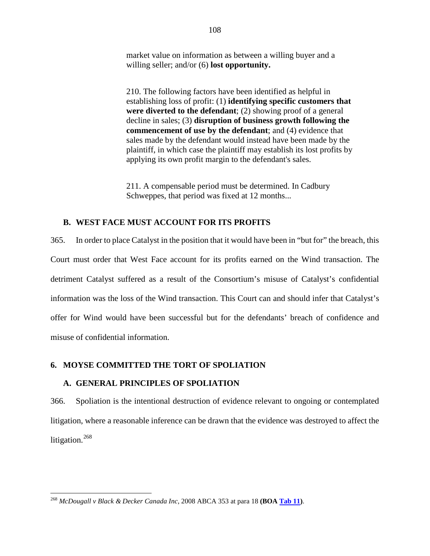market value on information as between a willing buyer and a willing seller; and/or (6) **lost opportunity.**

210. The following factors have been identified as helpful in establishing loss of profit: (1) **identifying specific customers that were diverted to the defendant**; (2) showing proof of a general decline in sales; (3) **disruption of business growth following the commencement of use by the defendant**; and (4) evidence that sales made by the defendant would instead have been made by the plaintiff, in which case the plaintiff may establish its lost profits by applying its own profit margin to the defendant's sales.

211. A compensable period must be determined. In Cadbury Schweppes, that period was fixed at 12 months...

#### **B. WEST FACE MUST ACCOUNT FOR ITS PROFITS**

365. In order to place Catalyst in the position that it would have been in "but for" the breach, this Court must order that West Face account for its profits earned on the Wind transaction. The detriment Catalyst suffered as a result of the Consortium's misuse of Catalyst's confidential information was the loss of the Wind transaction. This Court can and should infer that Catalyst's offer for Wind would have been successful but for the defendants' breach of confidence and misuse of confidential information.

#### **6. MOYSE COMMITTED THE TORT OF SPOLIATION**

## **A. GENERAL PRINCIPLES OF SPOLIATION**

366. Spoliation is the intentional destruction of evidence relevant to ongoing or contemplated litigation, where a reasonable inference can be drawn that the evidence was destroyed to affect the litigation.<sup>[268](#page-109-0)</sup>

<span id="page-109-0"></span> <sup>268</sup> *McDougall v Black & Decker Canada Inc*, 2008 ABCA 353 at para 18 **(BOA Tab 11)**.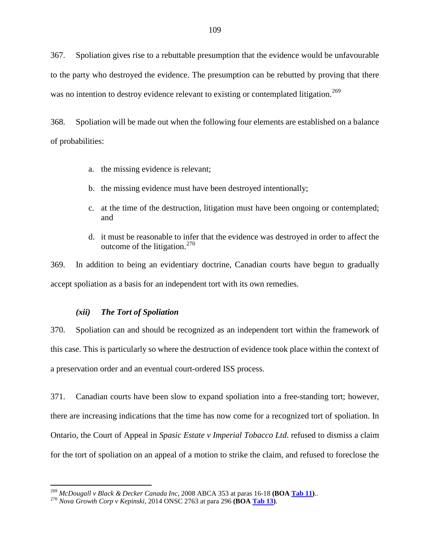367. Spoliation gives rise to a rebuttable presumption that the evidence would be unfavourable to the party who destroyed the evidence. The presumption can be rebutted by proving that there was no intention to destroy evidence relevant to existing or contemplated litigation.<sup>[269](#page-110-0)</sup>

368. Spoliation will be made out when the following four elements are established on a balance of probabilities:

- a. the missing evidence is relevant;
- b. the missing evidence must have been destroyed intentionally;
- c. at the time of the destruction, litigation must have been ongoing or contemplated; and
- d. it must be reasonable to infer that the evidence was destroyed in order to affect the outcome of the litigation.<sup>[270](#page-110-1)</sup>

369. In addition to being an evidentiary doctrine, Canadian courts have begun to gradually accept spoliation as a basis for an independent tort with its own remedies.

#### *(xii) The Tort of Spoliation*

370. Spoliation can and should be recognized as an independent tort within the framework of this case. This is particularly so where the destruction of evidence took place within the context of a preservation order and an eventual court-ordered ISS process.

371. Canadian courts have been slow to expand spoliation into a free-standing tort; however, there are increasing indications that the time has now come for a recognized tort of spoliation. In Ontario, the Court of Appeal in *Spasic Estate v Imperial Tobacco Ltd*. refused to dismiss a claim for the tort of spoliation on an appeal of a motion to strike the claim, and refused to foreclose the

<span id="page-110-0"></span><sup>269</sup> *McDougall v Black & Decker Canada Inc*, 2008 ABCA 353 at paras 16-18 **(BOA Tab 11)**.. <sup>270</sup> *Nova Growth Corp v Kepinski*, 2014 ONSC 2763 at para 296 **(BOA Tab 13)**.

<span id="page-110-1"></span>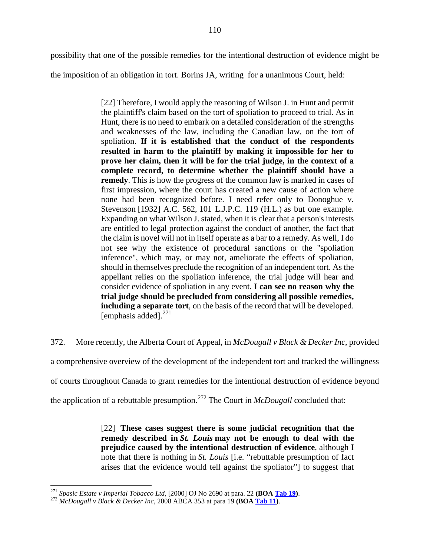possibility that one of the possible remedies for the intentional destruction of evidence might be

the imposition of an obligation in tort. Borins JA, writing for a unanimous Court, held:

[22] Therefore, I would apply the reasoning of Wilson J. in Hunt and permit the plaintiff's claim based on the tort of spoliation to proceed to trial. As in Hunt, there is no need to embark on a detailed consideration of the strengths and weaknesses of the law, including the Canadian law, on the tort of spoliation. **If it is established that the conduct of the respondents resulted in harm to the plaintiff by making it impossible for her to prove her claim, then it will be for the trial judge, in the context of a complete record, to determine whether the plaintiff should have a remedy**. This is how the progress of the common law is marked in cases of first impression, where the court has created a new cause of action where none had been recognized before. I need refer only to Donoghue v. Stevenson [1932] A.C. 562, 101 L.J.P.C. 119 (H.L.) as but one example. Expanding on what Wilson J. stated, when it is clear that a person's interests are entitled to legal protection against the conduct of another, the fact that the claim is novel will not in itself operate as a bar to a remedy. As well, I do not see why the existence of procedural sanctions or the "spoliation inference", which may, or may not, ameliorate the effects of spoliation, should in themselves preclude the recognition of an independent tort. As the appellant relies on the spoliation inference, the trial judge will hear and consider evidence of spoliation in any event. **I can see no reason why the trial judge should be precluded from considering all possible remedies, including a separate tort**, on the basis of the record that will be developed. [emphasis added]. $^{271}$  $^{271}$  $^{271}$ 

372. More recently, the Alberta Court of Appeal, in *McDougall v Black & Decker Inc*, provided a comprehensive overview of the development of the independent tort and tracked the willingness of courts throughout Canada to grant remedies for the intentional destruction of evidence beyond the application of a rebuttable presumption.[272](#page-111-1) The Court in *McDougall* concluded that:

> [22] **These cases suggest there is some judicial recognition that the remedy described in** *St. Louis* **may not be enough to deal with the prejudice caused by the intentional destruction of evidence**, although I note that there is nothing in *St. Louis* [i.e. "rebuttable presumption of fact arises that the evidence would tell against the spoliator"] to suggest that

<span id="page-111-0"></span><sup>271</sup> *Spasic Estate v Imperial Tobacco Ltd*, [2000] OJ No 2690 at para. 22 **(BOA Tab 19)**. <sup>272</sup> *McDougall v Black & Decker Inc*, 2008 ABCA 353 at para 19 **(BOA Tab 11)**.

<span id="page-111-1"></span>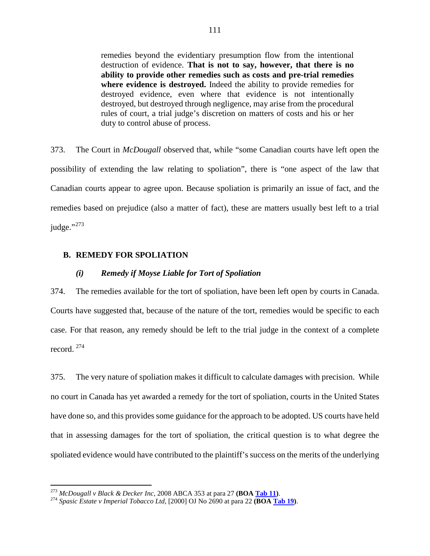remedies beyond the evidentiary presumption flow from the intentional destruction of evidence. **That is not to say, however, that there is no ability to provide other remedies such as costs and pre-trial remedies where evidence is destroyed.** Indeed the ability to provide remedies for destroyed evidence, even where that evidence is not intentionally destroyed, but destroyed through negligence, may arise from the procedural rules of court, a trial judge's discretion on matters of costs and his or her duty to control abuse of process.

373. The Court in *McDougall* observed that, while "some Canadian courts have left open the possibility of extending the law relating to spoliation", there is "one aspect of the law that Canadian courts appear to agree upon. Because spoliation is primarily an issue of fact, and the remedies based on prejudice (also a matter of fact), these are matters usually best left to a trial judge."<sup>[273](#page-112-0)</sup>

## **B. REMEDY FOR SPOLIATION**

#### *(i) Remedy if Moyse Liable for Tort of Spoliation*

374. The remedies available for the tort of spoliation, have been left open by courts in Canada. Courts have suggested that, because of the nature of the tort, remedies would be specific to each case. For that reason, any remedy should be left to the trial judge in the context of a complete record. [274](#page-112-1)

375. The very nature of spoliation makes it difficult to calculate damages with precision. While no court in Canada has yet awarded a remedy for the tort of spoliation, courts in the United States have done so, and this provides some guidance for the approach to be adopted. US courts have held that in assessing damages for the tort of spoliation, the critical question is to what degree the spoliated evidence would have contributed to the plaintiff's success on the merits of the underlying

<span id="page-112-1"></span><span id="page-112-0"></span><sup>273</sup> *McDougall v Black & Decker Inc*, 2008 ABCA 353 at para 27 **(BOA Tab 11)**. <sup>274</sup> *Spasic Estate v Imperial Tobacco Ltd*, [2000] OJ No 2690 at para 22 **(BOA Tab 19)**.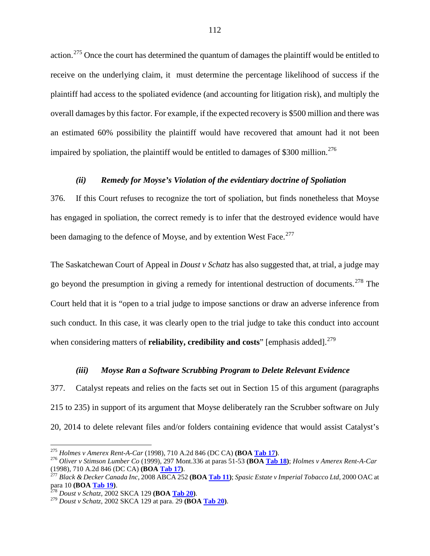action.<sup>[275](#page-113-0)</sup> Once the court has determined the quantum of damages the plaintiff would be entitled to receive on the underlying claim, it must determine the percentage likelihood of success if the plaintiff had access to the spoliated evidence (and accounting for litigation risk), and multiply the overall damages by this factor. For example, if the expected recovery is \$500 million and there was an estimated 60% possibility the plaintiff would have recovered that amount had it not been impaired by spoliation, the plaintiff would be entitled to damages of  $$300$  million.<sup>[276](#page-113-1)</sup>

### *(ii) Remedy for Moyse's Violation of the evidentiary doctrine of Spoliation*

376. If this Court refuses to recognize the tort of spoliation, but finds nonetheless that Moyse has engaged in spoliation, the correct remedy is to infer that the destroyed evidence would have been damaging to the defence of Moyse, and by extention West Face.<sup>[277](#page-113-2)</sup>

The Saskatchewan Court of Appeal in *Doust v Schatz* has also suggested that, at trial, a judge may go beyond the presumption in giving a remedy for intentional destruction of documents.<sup>[278](#page-113-3)</sup> The Court held that it is "open to a trial judge to impose sanctions or draw an adverse inference from such conduct. In this case, it was clearly open to the trial judge to take this conduct into account when considering matters of **reliability, credibility and costs**" [emphasis added].<sup>[279](#page-113-4)</sup>

#### *(iii) Moyse Ran a Software Scrubbing Program to Delete Relevant Evidence*

377. Catalyst repeats and relies on the facts set out in Section 15 of this argument (paragraphs [215](#page-62-0) to [235\)](#page-67-0) in support of its argument that Moyse deliberately ran the Scrubber software on July 20, 2014 to delete relevant files and/or folders containing evidence that would assist Catalyst's

<span id="page-113-1"></span>

<span id="page-113-0"></span><sup>&</sup>lt;sup>275</sup> Holmes v Amerex Rent-A-Car (1998), 710 A.2d 846 (DC CA) (**BOA <u>Tab 17</u>)**.<br><sup>276</sup> Oliver v Stimson Lumber Co (1999), 297 Mont.336 at paras 51-53 (**BOA <u>Tab 18</u>)**; Holmes v Amerex Rent-A-Car (1998), 710 A.2d 846 (DC CA

<span id="page-113-2"></span><sup>(1998), 710</sup> A.2d 846 (DC CA) **(BOA Tab 17)**. <sup>277</sup> *Black & Decker Canada Inc*, 2008 ABCA 252 **(BOA Tab 11)**; *Spasic Estate v Imperial Tobacco Ltd*, 2000 OAC at para 10 **(BOA Tab 19)**. <sup>278</sup> *Doust v Schatz*, 2002 SKCA 129 **(BOA Tab 20)**. <sup>279</sup> *Doust v Schatz*, 2002 SKCA 129 at para. 29 **(BOA Tab 20)**.

<span id="page-113-3"></span>

<span id="page-113-4"></span>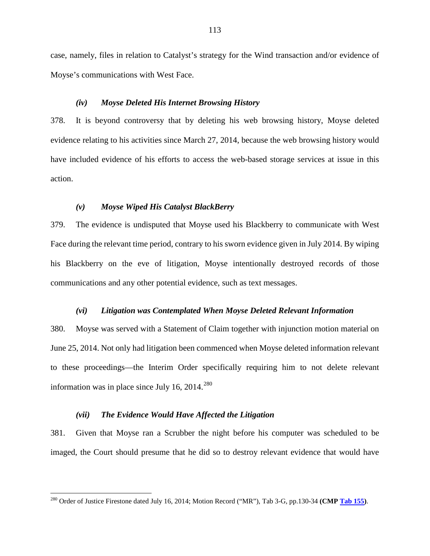case, namely, files in relation to Catalyst's strategy for the Wind transaction and/or evidence of Moyse's communications with West Face.

#### *(iv) Moyse Deleted His Internet Browsing History*

378. It is beyond controversy that by deleting his web browsing history, Moyse deleted evidence relating to his activities since March 27, 2014, because the web browsing history would have included evidence of his efforts to access the web-based storage services at issue in this action.

## *(v) Moyse Wiped His Catalyst BlackBerry*

379. The evidence is undisputed that Moyse used his Blackberry to communicate with West Face during the relevant time period, contrary to his sworn evidence given in July 2014. By wiping his Blackberry on the eve of litigation, Moyse intentionally destroyed records of those communications and any other potential evidence, such as text messages.

## *(vi) Litigation was Contemplated When Moyse Deleted Relevant Information*

380. Moyse was served with a Statement of Claim together with injunction motion material on June 25, 2014. Not only had litigation been commenced when Moyse deleted information relevant to these proceedings—the Interim Order specifically requiring him to not delete relevant information was in place since July 16,  $2014<sup>280</sup>$  $2014<sup>280</sup>$  $2014<sup>280</sup>$ 

## *(vii) The Evidence Would Have Affected the Litigation*

381. Given that Moyse ran a Scrubber the night before his computer was scheduled to be imaged, the Court should presume that he did so to destroy relevant evidence that would have

<span id="page-114-0"></span><sup>&</sup>lt;sup>280</sup> Order of Justice Firestone dated July 16, 2014; Motion Record ("MR"), Tab 3-G, pp.130-34 **(CMP** Tab 155).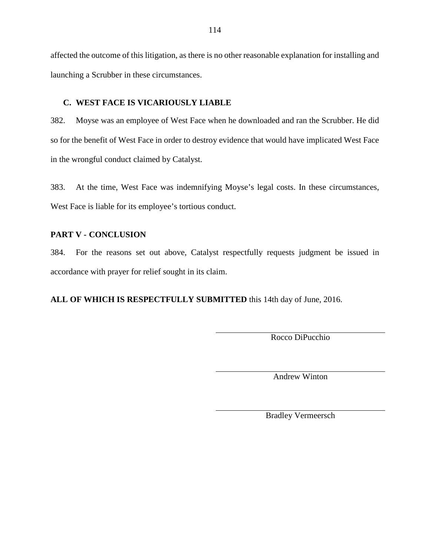affected the outcome of this litigation, as there is no other reasonable explanation for installing and launching a Scrubber in these circumstances.

# **C. WEST FACE IS VICARIOUSLY LIABLE**

382. Moyse was an employee of West Face when he downloaded and ran the Scrubber. He did so for the benefit of West Face in order to destroy evidence that would have implicated West Face in the wrongful conduct claimed by Catalyst.

383. At the time, West Face was indemnifying Moyse's legal costs. In these circumstances, West Face is liable for its employee's tortious conduct.

# **PART V - CONCLUSION**

384. For the reasons set out above, Catalyst respectfully requests judgment be issued in accordance with prayer for relief sought in its claim.

**ALL OF WHICH IS RESPECTFULLY SUBMITTED** this 14th day of June, 2016.

Rocco DiPucchio

Andrew Winton

Bradley Vermeersch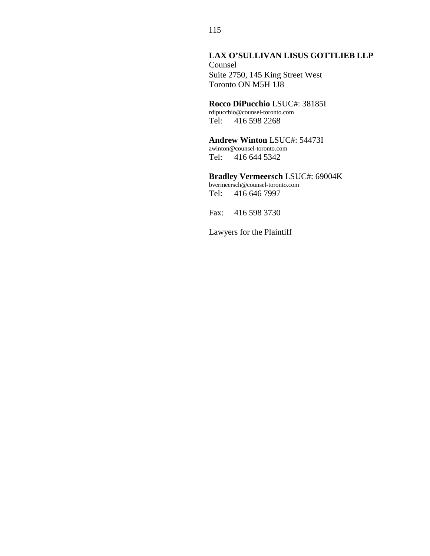# **LAX O'SULLIVAN LISUS GOTTLIEB LLP** Counsel Suite 2750, 145 King Street West Toronto ON M5H 1J8

# **Rocco DiPucchio** LSUC#: 38185I

rdipucchio@counsel-toronto.com Tel: 416 598 2268

### **Andrew Winton** LSUC#: 54473I awinton@counsel-toronto.com

Tel: 416 644 5342

# **Bradley Vermeersch** LSUC#: 69004K

bvermeersch@counsel-toronto.com Tel: 416 646 7997

Fax: 416 598 3730

Lawyers for the Plaintiff